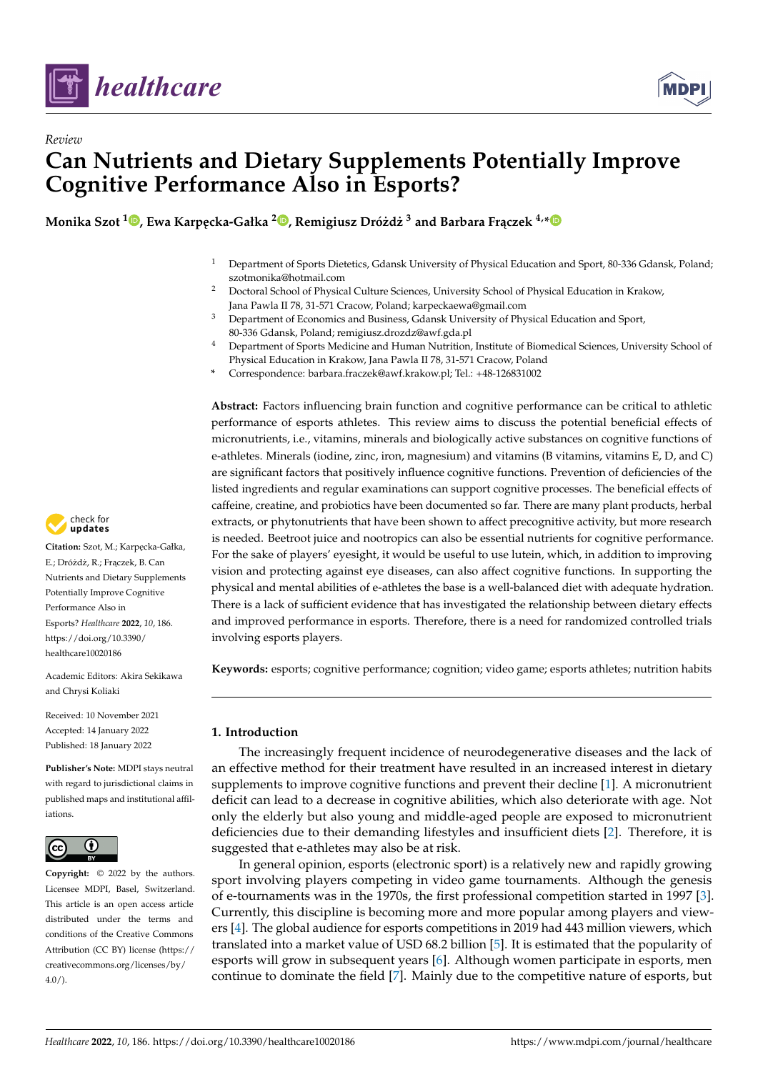



# *Review* **Can Nutrients and Dietary Supplements Potentially Improve Cognitive Performance Also in Esports?**

**Monika Szot <sup>1</sup> [,](https://orcid.org/0000-0003-3388-0342) Ewa Karp ˛ecka-Gałka <sup>2</sup> [,](https://orcid.org/0000-0002-2624-632X) Remigiusz Drózd˙ z˙ <sup>3</sup> and Barbara Fr ˛aczek 4,[\\*](https://orcid.org/0000-0002-5673-6135)**

- <sup>1</sup> Department of Sports Dietetics, Gdansk University of Physical Education and Sport, 80-336 Gdansk, Poland; szotmonika@hotmail.com
- <sup>2</sup> Doctoral School of Physical Culture Sciences, University School of Physical Education in Krakow, Jana Pawla II 78, 31-571 Cracow, Poland; karpeckaewa@gmail.com
- <sup>3</sup> Department of Economics and Business, Gdansk University of Physical Education and Sport, 80-336 Gdansk, Poland; remigiusz.drozdz@awf.gda.pl
- <sup>4</sup> Department of Sports Medicine and Human Nutrition, Institute of Biomedical Sciences, University School of Physical Education in Krakow, Jana Pawla II 78, 31-571 Cracow, Poland
- **\*** Correspondence: barbara.fraczek@awf.krakow.pl; Tel.: +48-126831002

**Abstract:** Factors influencing brain function and cognitive performance can be critical to athletic performance of esports athletes. This review aims to discuss the potential beneficial effects of micronutrients, i.e., vitamins, minerals and biologically active substances on cognitive functions of e-athletes. Minerals (iodine, zinc, iron, magnesium) and vitamins (B vitamins, vitamins E, D, and C) are significant factors that positively influence cognitive functions. Prevention of deficiencies of the listed ingredients and regular examinations can support cognitive processes. The beneficial effects of caffeine, creatine, and probiotics have been documented so far. There are many plant products, herbal extracts, or phytonutrients that have been shown to affect precognitive activity, but more research is needed. Beetroot juice and nootropics can also be essential nutrients for cognitive performance. For the sake of players' eyesight, it would be useful to use lutein, which, in addition to improving vision and protecting against eye diseases, can also affect cognitive functions. In supporting the physical and mental abilities of e-athletes the base is a well-balanced diet with adequate hydration. There is a lack of sufficient evidence that has investigated the relationship between dietary effects and improved performance in esports. Therefore, there is a need for randomized controlled trials involving esports players.

**Keywords:** esports; cognitive performance; cognition; video game; esports athletes; nutrition habits

# **1. Introduction**

The increasingly frequent incidence of neurodegenerative diseases and the lack of an effective method for their treatment have resulted in an increased interest in dietary supplements to improve cognitive functions and prevent their decline [\[1\]](#page-32-0). A micronutrient deficit can lead to a decrease in cognitive abilities, which also deteriorate with age. Not only the elderly but also young and middle-aged people are exposed to micronutrient deficiencies due to their demanding lifestyles and insufficient diets [\[2\]](#page-32-1). Therefore, it is suggested that e-athletes may also be at risk.

In general opinion, esports (electronic sport) is a relatively new and rapidly growing sport involving players competing in video game tournaments. Although the genesis of e-tournaments was in the 1970s, the first professional competition started in 1997 [\[3\]](#page-32-2). Currently, this discipline is becoming more and more popular among players and viewers [\[4\]](#page-32-3). The global audience for esports competitions in 2019 had 443 million viewers, which translated into a market value of USD 68.2 billion [\[5\]](#page-32-4). It is estimated that the popularity of esports will grow in subsequent years [\[6\]](#page-32-5). Although women participate in esports, men continue to dominate the field [\[7\]](#page-32-6). Mainly due to the competitive nature of esports, but



Citation: Szot, M.; Karpęcka-Gałka, E.; Dróżdż, R.; Frączek, B. Can Nutrients and Dietary Supplements Potentially Improve Cognitive Performance Also in Esports? *Healthcare* **2022**, *10*, 186. [https://doi.org/10.3390/](https://doi.org/10.3390/healthcare10020186) [healthcare10020186](https://doi.org/10.3390/healthcare10020186)

Academic Editors: Akira Sekikawa and Chrysi Koliaki

Received: 10 November 2021 Accepted: 14 January 2022 Published: 18 January 2022

**Publisher's Note:** MDPI stays neutral with regard to jurisdictional claims in published maps and institutional affiliations.



**Copyright:** © 2022 by the authors. Licensee MDPI, Basel, Switzerland. This article is an open access article distributed under the terms and conditions of the Creative Commons Attribution (CC BY) license [\(https://](https://creativecommons.org/licenses/by/4.0/) [creativecommons.org/licenses/by/](https://creativecommons.org/licenses/by/4.0/)  $4.0/$ ).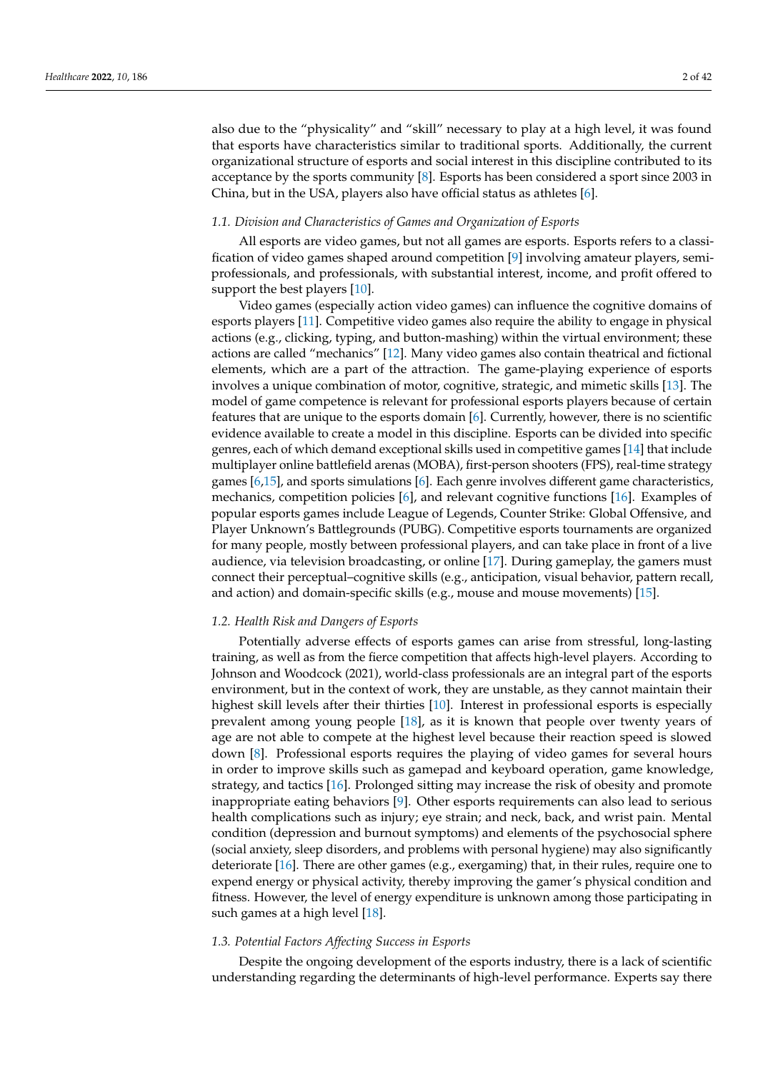also due to the "physicality" and "skill" necessary to play at a high level, it was found that esports have characteristics similar to traditional sports. Additionally, the current organizational structure of esports and social interest in this discipline contributed to its acceptance by the sports community [\[8\]](#page-32-7). Esports has been considered a sport since 2003 in China, but in the USA, players also have official status as athletes [\[6\]](#page-32-5).

# *1.1. Division and Characteristics of Games and Organization of Esports*

All esports are video games, but not all games are esports. Esports refers to a classification of video games shaped around competition [\[9\]](#page-32-8) involving amateur players, semiprofessionals, and professionals, with substantial interest, income, and profit offered to support the best players [\[10\]](#page-32-9).

Video games (especially action video games) can influence the cognitive domains of esports players [\[11\]](#page-32-10). Competitive video games also require the ability to engage in physical actions (e.g., clicking, typing, and button-mashing) within the virtual environment; these actions are called "mechanics" [\[12\]](#page-32-11). Many video games also contain theatrical and fictional elements, which are a part of the attraction. The game-playing experience of esports involves a unique combination of motor, cognitive, strategic, and mimetic skills [\[13\]](#page-32-12). The model of game competence is relevant for professional esports players because of certain features that are unique to the esports domain [\[6\]](#page-32-5). Currently, however, there is no scientific evidence available to create a model in this discipline. Esports can be divided into specific genres, each of which demand exceptional skills used in competitive games [\[14\]](#page-32-13) that include multiplayer online battlefield arenas (MOBA), first-person shooters (FPS), real-time strategy games [\[6,](#page-32-5)[15\]](#page-32-14), and sports simulations [\[6\]](#page-32-5). Each genre involves different game characteristics, mechanics, competition policies [\[6\]](#page-32-5), and relevant cognitive functions [\[16\]](#page-32-15). Examples of popular esports games include League of Legends, Counter Strike: Global Offensive, and Player Unknown's Battlegrounds (PUBG). Competitive esports tournaments are organized for many people, mostly between professional players, and can take place in front of a live audience, via television broadcasting, or online [\[17\]](#page-32-16). During gameplay, the gamers must connect their perceptual–cognitive skills (e.g., anticipation, visual behavior, pattern recall, and action) and domain-specific skills (e.g., mouse and mouse movements) [\[15\]](#page-32-14).

#### *1.2. Health Risk and Dangers of Esports*

Potentially adverse effects of esports games can arise from stressful, long-lasting training, as well as from the fierce competition that affects high-level players. According to Johnson and Woodcock (2021), world-class professionals are an integral part of the esports environment, but in the context of work, they are unstable, as they cannot maintain their highest skill levels after their thirties [\[10\]](#page-32-9). Interest in professional esports is especially prevalent among young people [\[18\]](#page-33-0), as it is known that people over twenty years of age are not able to compete at the highest level because their reaction speed is slowed down [\[8\]](#page-32-7). Professional esports requires the playing of video games for several hours in order to improve skills such as gamepad and keyboard operation, game knowledge, strategy, and tactics [\[16\]](#page-32-15). Prolonged sitting may increase the risk of obesity and promote inappropriate eating behaviors [\[9\]](#page-32-8). Other esports requirements can also lead to serious health complications such as injury; eye strain; and neck, back, and wrist pain. Mental condition (depression and burnout symptoms) and elements of the psychosocial sphere (social anxiety, sleep disorders, and problems with personal hygiene) may also significantly deteriorate [\[16\]](#page-32-15). There are other games (e.g., exergaming) that, in their rules, require one to expend energy or physical activity, thereby improving the gamer's physical condition and fitness. However, the level of energy expenditure is unknown among those participating in such games at a high level [\[18\]](#page-33-0).

#### *1.3. Potential Factors Affecting Success in Esports*

Despite the ongoing development of the esports industry, there is a lack of scientific understanding regarding the determinants of high-level performance. Experts say there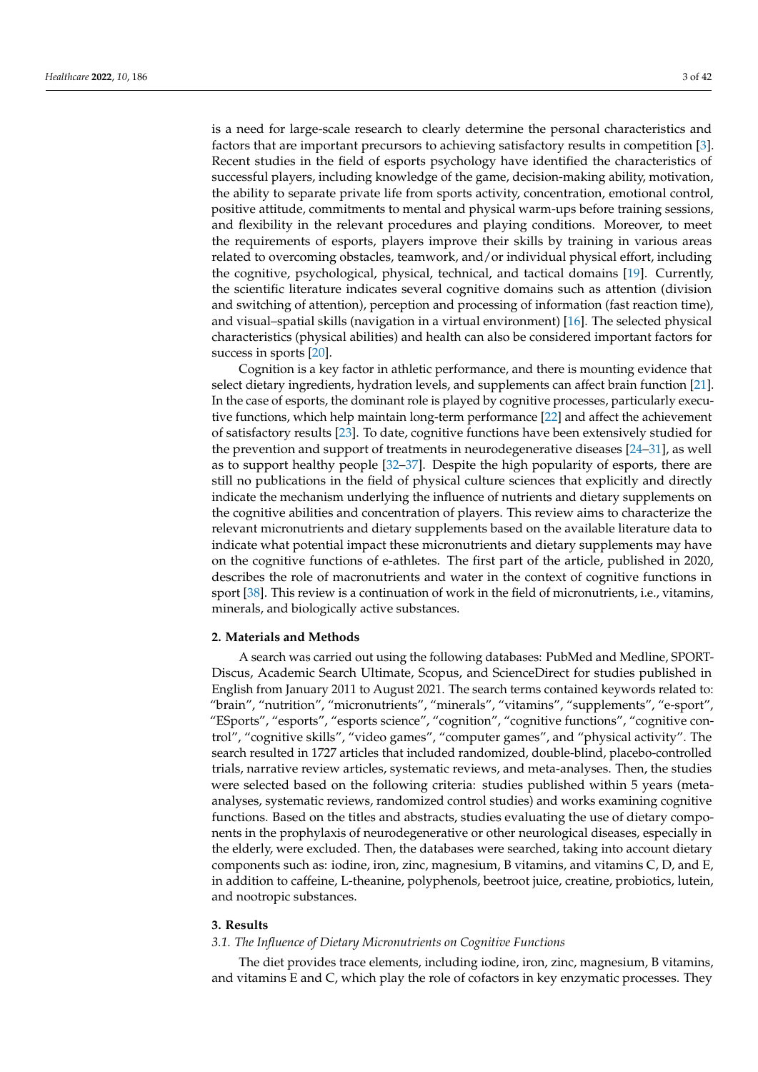is a need for large-scale research to clearly determine the personal characteristics and factors that are important precursors to achieving satisfactory results in competition [\[3\]](#page-32-2). Recent studies in the field of esports psychology have identified the characteristics of successful players, including knowledge of the game, decision-making ability, motivation, the ability to separate private life from sports activity, concentration, emotional control, positive attitude, commitments to mental and physical warm-ups before training sessions, and flexibility in the relevant procedures and playing conditions. Moreover, to meet the requirements of esports, players improve their skills by training in various areas related to overcoming obstacles, teamwork, and/or individual physical effort, including the cognitive, psychological, physical, technical, and tactical domains [\[19\]](#page-33-1). Currently, the scientific literature indicates several cognitive domains such as attention (division and switching of attention), perception and processing of information (fast reaction time), and visual–spatial skills (navigation in a virtual environment) [\[16\]](#page-32-15). The selected physical characteristics (physical abilities) and health can also be considered important factors for success in sports [\[20\]](#page-33-2).

Cognition is a key factor in athletic performance, and there is mounting evidence that select dietary ingredients, hydration levels, and supplements can affect brain function [\[21\]](#page-33-3). In the case of esports, the dominant role is played by cognitive processes, particularly executive functions, which help maintain long-term performance [\[22\]](#page-33-4) and affect the achievement of satisfactory results [\[23\]](#page-33-5). To date, cognitive functions have been extensively studied for the prevention and support of treatments in neurodegenerative diseases [\[24–](#page-33-6)[31\]](#page-33-7), as well as to support healthy people [\[32–](#page-33-8)[37\]](#page-33-9). Despite the high popularity of esports, there are still no publications in the field of physical culture sciences that explicitly and directly indicate the mechanism underlying the influence of nutrients and dietary supplements on the cognitive abilities and concentration of players. This review aims to characterize the relevant micronutrients and dietary supplements based on the available literature data to indicate what potential impact these micronutrients and dietary supplements may have on the cognitive functions of e-athletes. The first part of the article, published in 2020, describes the role of macronutrients and water in the context of cognitive functions in sport [\[38\]](#page-33-10). This review is a continuation of work in the field of micronutrients, i.e., vitamins, minerals, and biologically active substances.

# **2. Materials and Methods**

A search was carried out using the following databases: PubMed and Medline, SPORT-Discus, Academic Search Ultimate, Scopus, and ScienceDirect for studies published in English from January 2011 to August 2021. The search terms contained keywords related to: "brain", "nutrition", "micronutrients", "minerals", "vitamins", "supplements", "e-sport", "ESports", "esports", "esports science", "cognition", "cognitive functions", "cognitive control", "cognitive skills", "video games", "computer games", and "physical activity". The search resulted in 1727 articles that included randomized, double-blind, placebo-controlled trials, narrative review articles, systematic reviews, and meta-analyses. Then, the studies were selected based on the following criteria: studies published within 5 years (metaanalyses, systematic reviews, randomized control studies) and works examining cognitive functions. Based on the titles and abstracts, studies evaluating the use of dietary components in the prophylaxis of neurodegenerative or other neurological diseases, especially in the elderly, were excluded. Then, the databases were searched, taking into account dietary components such as: iodine, iron, zinc, magnesium, B vitamins, and vitamins C, D, and E, in addition to caffeine, L-theanine, polyphenols, beetroot juice, creatine, probiotics, lutein, and nootropic substances.

# **3. Results**

#### *3.1. The Influence of Dietary Micronutrients on Cognitive Functions*

The diet provides trace elements, including iodine, iron, zinc, magnesium, B vitamins, and vitamins E and C, which play the role of cofactors in key enzymatic processes. They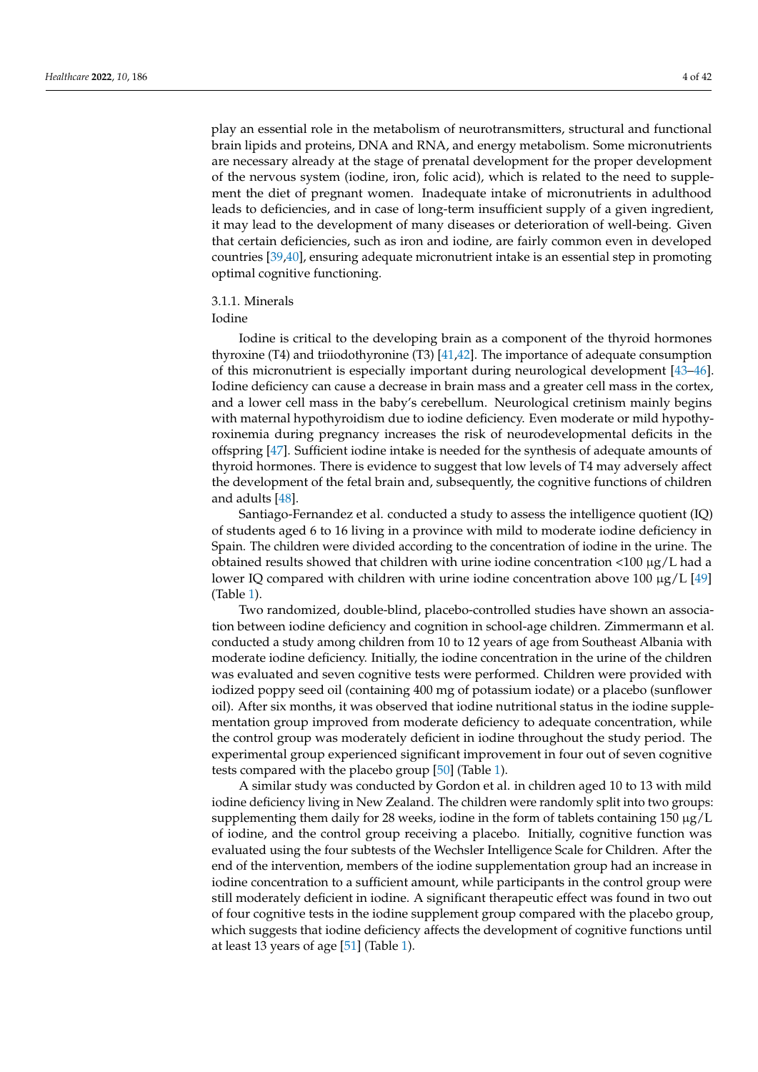play an essential role in the metabolism of neurotransmitters, structural and functional brain lipids and proteins, DNA and RNA, and energy metabolism. Some micronutrients are necessary already at the stage of prenatal development for the proper development of the nervous system (iodine, iron, folic acid), which is related to the need to supplement the diet of pregnant women. Inadequate intake of micronutrients in adulthood leads to deficiencies, and in case of long-term insufficient supply of a given ingredient, it may lead to the development of many diseases or deterioration of well-being. Given that certain deficiencies, such as iron and iodine, are fairly common even in developed countries [\[39](#page-33-11)[,40\]](#page-33-12), ensuring adequate micronutrient intake is an essential step in promoting optimal cognitive functioning.

#### 3.1.1. Minerals

#### Iodine

Iodine is critical to the developing brain as a component of the thyroid hormones thyroxine (T4) and triiodothyronine (T3) [\[41](#page-33-13)[,42\]](#page-33-14). The importance of adequate consumption of this micronutrient is especially important during neurological development [\[43](#page-33-15)[–46\]](#page-34-0). Iodine deficiency can cause a decrease in brain mass and a greater cell mass in the cortex, and a lower cell mass in the baby's cerebellum. Neurological cretinism mainly begins with maternal hypothyroidism due to iodine deficiency. Even moderate or mild hypothyroxinemia during pregnancy increases the risk of neurodevelopmental deficits in the offspring [\[47\]](#page-34-1). Sufficient iodine intake is needed for the synthesis of adequate amounts of thyroid hormones. There is evidence to suggest that low levels of T4 may adversely affect the development of the fetal brain and, subsequently, the cognitive functions of children and adults [\[48\]](#page-34-2).

Santiago-Fernandez et al. conducted a study to assess the intelligence quotient (IQ) of students aged 6 to 16 living in a province with mild to moderate iodine deficiency in Spain. The children were divided according to the concentration of iodine in the urine. The obtained results showed that children with urine iodine concentration  $\langle 100 \mu g/L$  had a lower IQ compared with children with urine iodine concentration above 100  $\mu$ g/L [\[49\]](#page-34-3) (Table [1\)](#page-6-0).

Two randomized, double-blind, placebo-controlled studies have shown an association between iodine deficiency and cognition in school-age children. Zimmermann et al. conducted a study among children from 10 to 12 years of age from Southeast Albania with moderate iodine deficiency. Initially, the iodine concentration in the urine of the children was evaluated and seven cognitive tests were performed. Children were provided with iodized poppy seed oil (containing 400 mg of potassium iodate) or a placebo (sunflower oil). After six months, it was observed that iodine nutritional status in the iodine supplementation group improved from moderate deficiency to adequate concentration, while the control group was moderately deficient in iodine throughout the study period. The experimental group experienced significant improvement in four out of seven cognitive tests compared with the placebo group [\[50\]](#page-34-4) (Table [1\)](#page-6-0).

A similar study was conducted by Gordon et al. in children aged 10 to 13 with mild iodine deficiency living in New Zealand. The children were randomly split into two groups: supplementing them daily for 28 weeks, iodine in the form of tablets containing 150  $\mu$ g/L of iodine, and the control group receiving a placebo. Initially, cognitive function was evaluated using the four subtests of the Wechsler Intelligence Scale for Children. After the end of the intervention, members of the iodine supplementation group had an increase in iodine concentration to a sufficient amount, while participants in the control group were still moderately deficient in iodine. A significant therapeutic effect was found in two out of four cognitive tests in the iodine supplement group compared with the placebo group, which suggests that iodine deficiency affects the development of cognitive functions until at least 13 years of age [\[51\]](#page-34-5) (Table [1\)](#page-6-0).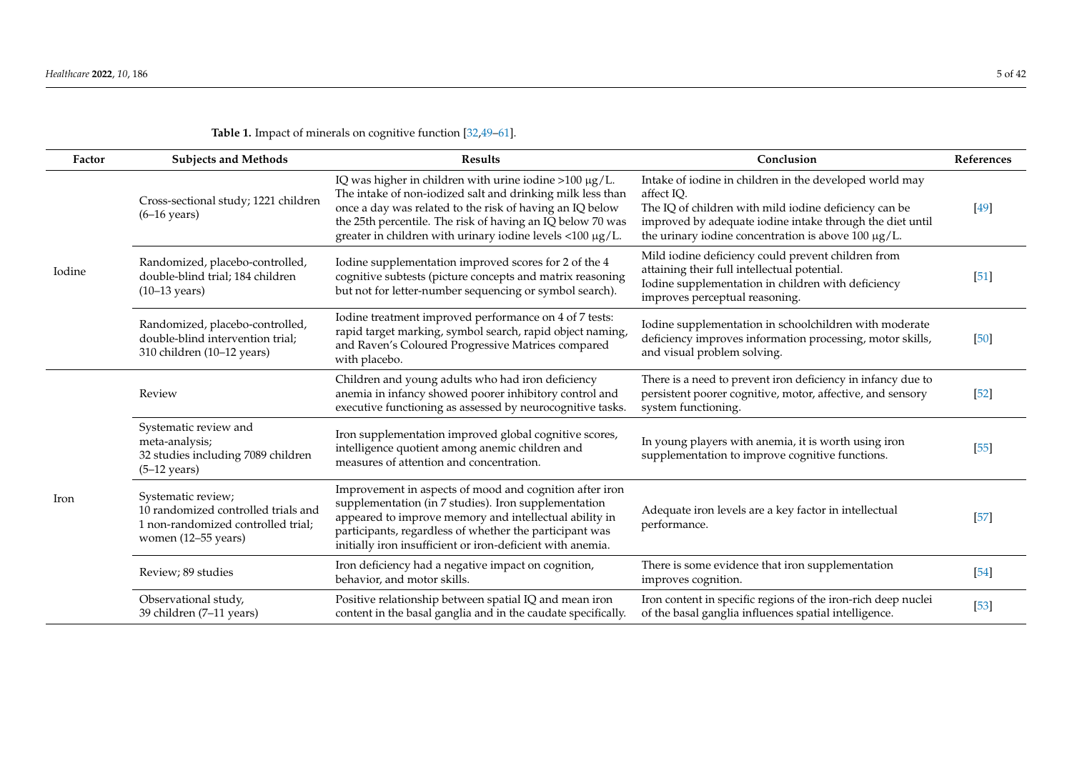| Factor | <b>Subjects and Methods</b>                                                                                            | <b>Results</b>                                                                                                                                                                                                                                                                                                    | Conclusion                                                                                                                                                                                                                                         | References |
|--------|------------------------------------------------------------------------------------------------------------------------|-------------------------------------------------------------------------------------------------------------------------------------------------------------------------------------------------------------------------------------------------------------------------------------------------------------------|----------------------------------------------------------------------------------------------------------------------------------------------------------------------------------------------------------------------------------------------------|------------|
|        | Cross-sectional study; 1221 children<br>$(6-16 \text{ years})$                                                         | IQ was higher in children with urine iodine > 100 $\mu$ g/L.<br>The intake of non-iodized salt and drinking milk less than<br>once a day was related to the risk of having an IQ below<br>the 25th percentile. The risk of having an IQ below 70 was<br>greater in children with urinary iodine levels <100 µg/L. | Intake of iodine in children in the developed world may<br>affect IQ.<br>The IQ of children with mild iodine deficiency can be<br>improved by adequate iodine intake through the diet until<br>the urinary iodine concentration is above 100 µg/L. | $[49]$     |
| Iodine | Randomized, placebo-controlled,<br>double-blind trial; 184 children<br>$(10-13 \text{ years})$                         | Iodine supplementation improved scores for 2 of the 4<br>cognitive subtests (picture concepts and matrix reasoning<br>but not for letter-number sequencing or symbol search).                                                                                                                                     | Mild iodine deficiency could prevent children from<br>attaining their full intellectual potential.<br>Iodine supplementation in children with deficiency<br>improves perceptual reasoning.                                                         | [51]       |
|        | Randomized, placebo-controlled,<br>double-blind intervention trial;<br>310 children (10-12 years)                      | Iodine treatment improved performance on 4 of 7 tests:<br>rapid target marking, symbol search, rapid object naming,<br>and Raven's Coloured Progressive Matrices compared<br>with placebo.                                                                                                                        | Iodine supplementation in schoolchildren with moderate<br>deficiency improves information processing, motor skills,<br>and visual problem solving.                                                                                                 | $[50]$     |
|        | Review                                                                                                                 | Children and young adults who had iron deficiency<br>anemia in infancy showed poorer inhibitory control and<br>executive functioning as assessed by neurocognitive tasks.                                                                                                                                         | There is a need to prevent iron deficiency in infancy due to<br>persistent poorer cognitive, motor, affective, and sensory<br>system functioning.                                                                                                  | $[52]$     |
|        | Systematic review and<br>meta-analysis;<br>32 studies including 7089 children<br>$(5-12 \text{ years})$                | Iron supplementation improved global cognitive scores,<br>intelligence quotient among anemic children and<br>measures of attention and concentration.                                                                                                                                                             | In young players with anemia, it is worth using iron<br>supplementation to improve cognitive functions.                                                                                                                                            | $[55]$     |
| Iron   | Systematic review;<br>10 randomized controlled trials and<br>1 non-randomized controlled trial;<br>women (12-55 years) | Improvement in aspects of mood and cognition after iron<br>supplementation (in 7 studies). Iron supplementation<br>appeared to improve memory and intellectual ability in<br>participants, regardless of whether the participant was<br>initially iron insufficient or iron-deficient with anemia.                | Adequate iron levels are a key factor in intellectual<br>performance.                                                                                                                                                                              | $[57]$     |
|        | Review; 89 studies                                                                                                     | Iron deficiency had a negative impact on cognition,<br>behavior, and motor skills.                                                                                                                                                                                                                                | There is some evidence that iron supplementation<br>improves cognition.                                                                                                                                                                            | $[54]$     |
|        | Observational study,<br>39 children (7-11 years)                                                                       | Positive relationship between spatial IQ and mean iron<br>content in the basal ganglia and in the caudate specifically.                                                                                                                                                                                           | Iron content in specific regions of the iron-rich deep nuclei<br>of the basal ganglia influences spatial intelligence.                                                                                                                             | $[53]$     |

# **Table 1.** Impact of minerals on cognitive function [\[32,](#page-33-16)[49](#page-34-6)[–61\]](#page-34-7).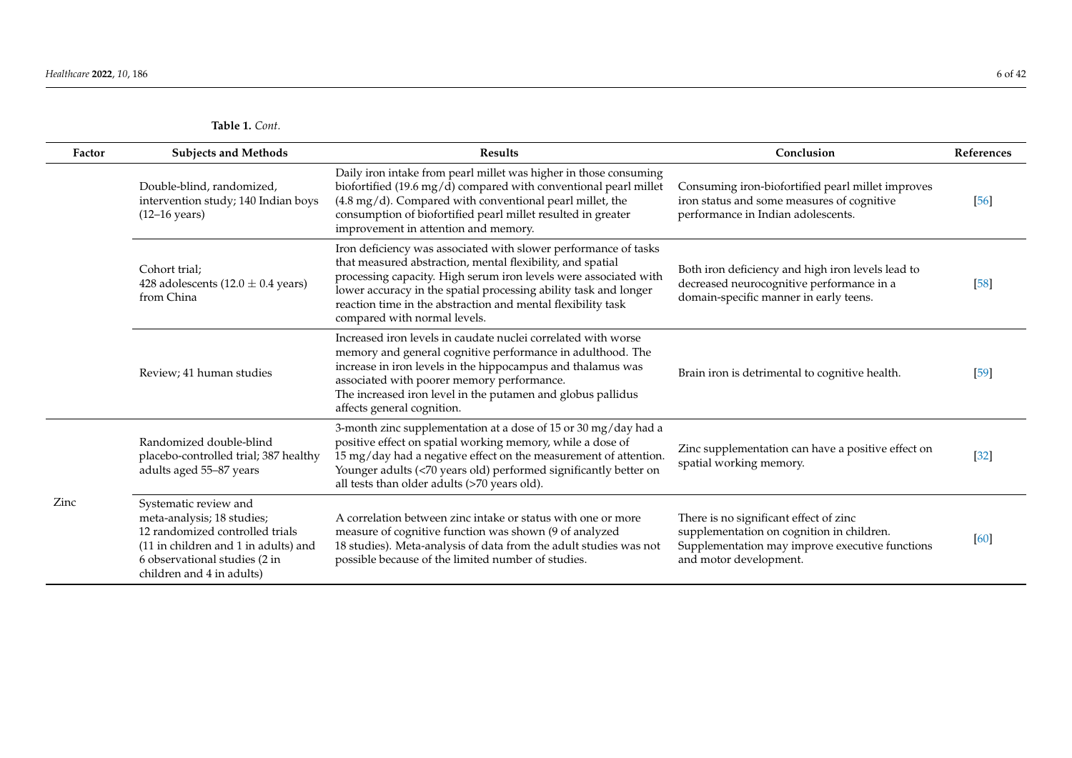| Factor | <b>Subjects and Methods</b>                                                                                                                                                                  | <b>Results</b>                                                                                                                                                                                                                                                                                                                                                        | Conclusion                                                                                                                                                       | References |
|--------|----------------------------------------------------------------------------------------------------------------------------------------------------------------------------------------------|-----------------------------------------------------------------------------------------------------------------------------------------------------------------------------------------------------------------------------------------------------------------------------------------------------------------------------------------------------------------------|------------------------------------------------------------------------------------------------------------------------------------------------------------------|------------|
|        | Double-blind, randomized,<br>intervention study; 140 Indian boys<br>$(12-16 \text{ years})$                                                                                                  | Daily iron intake from pearl millet was higher in those consuming<br>biofortified (19.6 mg/d) compared with conventional pearl millet<br>$(4.8 \text{ mg}/\text{d})$ . Compared with conventional pearl millet, the<br>consumption of biofortified pearl millet resulted in greater<br>improvement in attention and memory.                                           | Consuming iron-biofortified pearl millet improves<br>iron status and some measures of cognitive<br>performance in Indian adolescents.                            | [56]       |
|        | Cohort trial:<br>428 adolescents (12.0 $\pm$ 0.4 years)<br>from China                                                                                                                        | Iron deficiency was associated with slower performance of tasks<br>that measured abstraction, mental flexibility, and spatial<br>processing capacity. High serum iron levels were associated with<br>lower accuracy in the spatial processing ability task and longer<br>reaction time in the abstraction and mental flexibility task<br>compared with normal levels. | Both iron deficiency and high iron levels lead to<br>decreased neurocognitive performance in a<br>domain-specific manner in early teens.                         | $[58]$     |
|        | Review; 41 human studies                                                                                                                                                                     | Increased iron levels in caudate nuclei correlated with worse<br>memory and general cognitive performance in adulthood. The<br>increase in iron levels in the hippocampus and thalamus was<br>associated with poorer memory performance.<br>The increased iron level in the putamen and globus pallidus<br>affects general cognition.                                 | Brain iron is detrimental to cognitive health.                                                                                                                   | $[59]$     |
|        | Randomized double-blind<br>placebo-controlled trial; 387 healthy<br>adults aged 55-87 years                                                                                                  | 3-month zinc supplementation at a dose of 15 or 30 mg/day had a<br>positive effect on spatial working memory, while a dose of<br>15 mg/day had a negative effect on the measurement of attention.<br>Younger adults (<70 years old) performed significantly better on<br>all tests than older adults (>70 years old).                                                 | Zinc supplementation can have a positive effect on<br>spatial working memory.                                                                                    | $[32]$     |
| Zinc   | Systematic review and<br>meta-analysis; 18 studies;<br>12 randomized controlled trials<br>(11 in children and 1 in adults) and<br>6 observational studies (2 in<br>children and 4 in adults) | A correlation between zinc intake or status with one or more<br>measure of cognitive function was shown (9 of analyzed<br>18 studies). Meta-analysis of data from the adult studies was not<br>possible because of the limited number of studies.                                                                                                                     | There is no significant effect of zinc<br>supplementation on cognition in children.<br>Supplementation may improve executive functions<br>and motor development. | [60]       |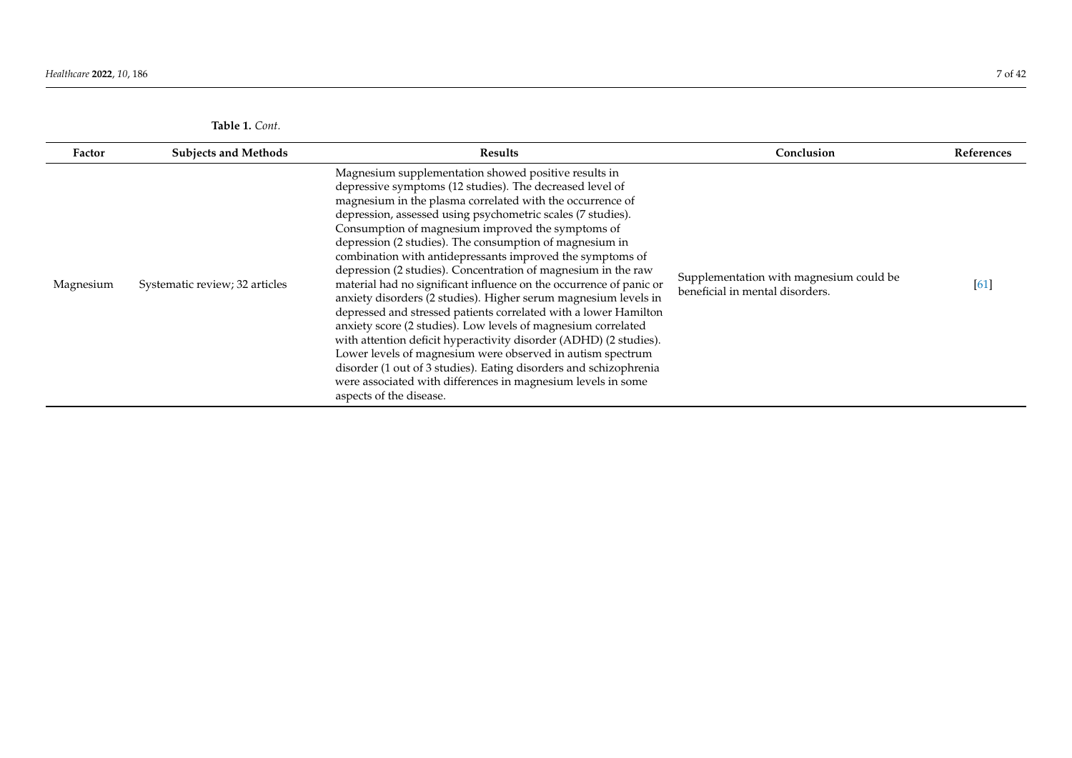| Table 1. Cont. |
|----------------|
|----------------|

<span id="page-6-0"></span>

| Factor    | <b>Subjects and Methods</b>    | <b>Results</b>                                                                                                                                                                                                                                                                                                                                                                                                                                                                                                                                                                                                                                                                                                                                                                                                                                                                                                                                                                                                                                                               | Conclusion                                                                 | References         |
|-----------|--------------------------------|------------------------------------------------------------------------------------------------------------------------------------------------------------------------------------------------------------------------------------------------------------------------------------------------------------------------------------------------------------------------------------------------------------------------------------------------------------------------------------------------------------------------------------------------------------------------------------------------------------------------------------------------------------------------------------------------------------------------------------------------------------------------------------------------------------------------------------------------------------------------------------------------------------------------------------------------------------------------------------------------------------------------------------------------------------------------------|----------------------------------------------------------------------------|--------------------|
| Magnesium | Systematic review; 32 articles | Magnesium supplementation showed positive results in<br>depressive symptoms (12 studies). The decreased level of<br>magnesium in the plasma correlated with the occurrence of<br>depression, assessed using psychometric scales (7 studies).<br>Consumption of magnesium improved the symptoms of<br>depression (2 studies). The consumption of magnesium in<br>combination with antidepressants improved the symptoms of<br>depression (2 studies). Concentration of magnesium in the raw<br>material had no significant influence on the occurrence of panic or<br>anxiety disorders (2 studies). Higher serum magnesium levels in<br>depressed and stressed patients correlated with a lower Hamilton<br>anxiety score (2 studies). Low levels of magnesium correlated<br>with attention deficit hyperactivity disorder (ADHD) (2 studies).<br>Lower levels of magnesium were observed in autism spectrum<br>disorder (1 out of 3 studies). Eating disorders and schizophrenia<br>were associated with differences in magnesium levels in some<br>aspects of the disease. | Supplementation with magnesium could be<br>beneficial in mental disorders. | $\lceil 61 \rceil$ |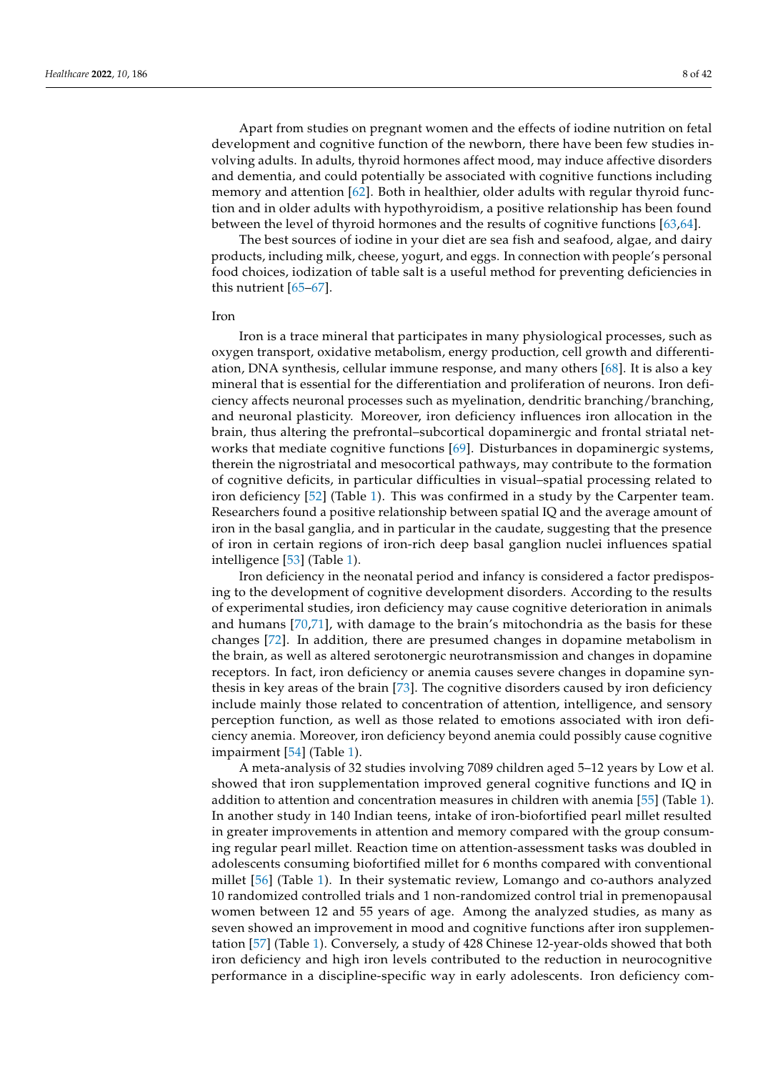Apart from studies on pregnant women and the effects of iodine nutrition on fetal development and cognitive function of the newborn, there have been few studies involving adults. In adults, thyroid hormones affect mood, may induce affective disorders and dementia, and could potentially be associated with cognitive functions including memory and attention [\[62\]](#page-34-19). Both in healthier, older adults with regular thyroid function and in older adults with hypothyroidism, a positive relationship has been found between the level of thyroid hormones and the results of cognitive functions [\[63](#page-34-20)[,64\]](#page-34-21).

The best sources of iodine in your diet are sea fish and seafood, algae, and dairy products, including milk, cheese, yogurt, and eggs. In connection with people's personal food choices, iodization of table salt is a useful method for preventing deficiencies in this nutrient [\[65–](#page-34-22)[67\]](#page-34-23).

#### Iron

Iron is a trace mineral that participates in many physiological processes, such as oxygen transport, oxidative metabolism, energy production, cell growth and differentiation, DNA synthesis, cellular immune response, and many others [\[68\]](#page-34-24). It is also a key mineral that is essential for the differentiation and proliferation of neurons. Iron deficiency affects neuronal processes such as myelination, dendritic branching/branching, and neuronal plasticity. Moreover, iron deficiency influences iron allocation in the brain, thus altering the prefrontal–subcortical dopaminergic and frontal striatal networks that mediate cognitive functions [\[69\]](#page-34-25). Disturbances in dopaminergic systems, therein the nigrostriatal and mesocortical pathways, may contribute to the formation of cognitive deficits, in particular difficulties in visual–spatial processing related to iron deficiency [\[52\]](#page-34-26) (Table [1\)](#page-6-0). This was confirmed in a study by the Carpenter team. Researchers found a positive relationship between spatial IQ and the average amount of iron in the basal ganglia, and in particular in the caudate, suggesting that the presence of iron in certain regions of iron-rich deep basal ganglion nuclei influences spatial intelligence [\[53\]](#page-34-27) (Table [1\)](#page-6-0).

Iron deficiency in the neonatal period and infancy is considered a factor predisposing to the development of cognitive development disorders. According to the results of experimental studies, iron deficiency may cause cognitive deterioration in animals and humans [\[70,](#page-34-28)[71\]](#page-34-29), with damage to the brain's mitochondria as the basis for these changes [\[72\]](#page-35-0). In addition, there are presumed changes in dopamine metabolism in the brain, as well as altered serotonergic neurotransmission and changes in dopamine receptors. In fact, iron deficiency or anemia causes severe changes in dopamine synthesis in key areas of the brain [\[73\]](#page-35-1). The cognitive disorders caused by iron deficiency include mainly those related to concentration of attention, intelligence, and sensory perception function, as well as those related to emotions associated with iron deficiency anemia. Moreover, iron deficiency beyond anemia could possibly cause cognitive impairment [\[54\]](#page-34-30) (Table [1\)](#page-6-0).

A meta-analysis of 32 studies involving 7089 children aged 5–12 years by Low et al. showed that iron supplementation improved general cognitive functions and IQ in addition to attention and concentration measures in children with anemia [\[55\]](#page-34-31) (Table [1\)](#page-6-0). In another study in 140 Indian teens, intake of iron-biofortified pearl millet resulted in greater improvements in attention and memory compared with the group consuming regular pearl millet. Reaction time on attention-assessment tasks was doubled in adolescents consuming biofortified millet for 6 months compared with conventional millet [\[56\]](#page-34-32) (Table [1\)](#page-6-0). In their systematic review, Lomango and co-authors analyzed 10 randomized controlled trials and 1 non-randomized control trial in premenopausal women between 12 and 55 years of age. Among the analyzed studies, as many as seven showed an improvement in mood and cognitive functions after iron supplementation [\[57\]](#page-34-33) (Table [1\)](#page-6-0). Conversely, a study of 428 Chinese 12-year-olds showed that both iron deficiency and high iron levels contributed to the reduction in neurocognitive performance in a discipline-specific way in early adolescents. Iron deficiency com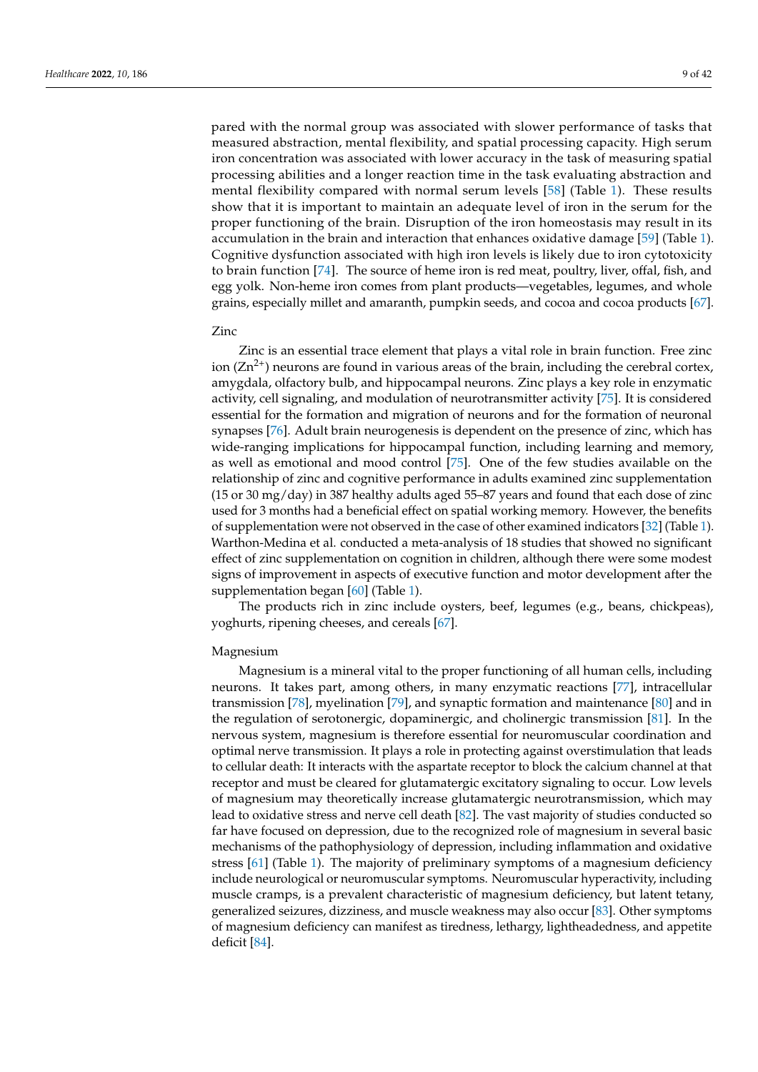pared with the normal group was associated with slower performance of tasks that measured abstraction, mental flexibility, and spatial processing capacity. High serum iron concentration was associated with lower accuracy in the task of measuring spatial processing abilities and a longer reaction time in the task evaluating abstraction and mental flexibility compared with normal serum levels [\[58\]](#page-34-34) (Table [1\)](#page-6-0). These results show that it is important to maintain an adequate level of iron in the serum for the proper functioning of the brain. Disruption of the iron homeostasis may result in its accumulation in the brain and interaction that enhances oxidative damage [\[59\]](#page-34-35) (Table [1\)](#page-6-0). Cognitive dysfunction associated with high iron levels is likely due to iron cytotoxicity to brain function [\[74\]](#page-35-2). The source of heme iron is red meat, poultry, liver, offal, fish, and egg yolk. Non-heme iron comes from plant products—vegetables, legumes, and whole grains, especially millet and amaranth, pumpkin seeds, and cocoa and cocoa products [\[67\]](#page-34-23).

# Zinc

Zinc is an essential trace element that plays a vital role in brain function. Free zinc ion  $(Zn^{2+})$  neurons are found in various areas of the brain, including the cerebral cortex, amygdala, olfactory bulb, and hippocampal neurons. Zinc plays a key role in enzymatic activity, cell signaling, and modulation of neurotransmitter activity [\[75\]](#page-35-3). It is considered essential for the formation and migration of neurons and for the formation of neuronal synapses [\[76\]](#page-35-4). Adult brain neurogenesis is dependent on the presence of zinc, which has wide-ranging implications for hippocampal function, including learning and memory, as well as emotional and mood control [\[75\]](#page-35-3). One of the few studies available on the relationship of zinc and cognitive performance in adults examined zinc supplementation (15 or 30 mg/day) in 387 healthy adults aged 55–87 years and found that each dose of zinc used for 3 months had a beneficial effect on spatial working memory. However, the benefits of supplementation were not observed in the case of other examined indicators [\[32\]](#page-33-8) (Table [1\)](#page-6-0). Warthon-Medina et al. conducted a meta-analysis of 18 studies that showed no significant effect of zinc supplementation on cognition in children, although there were some modest signs of improvement in aspects of executive function and motor development after the supplementation began [\[60\]](#page-34-36) (Table [1\)](#page-6-0).

The products rich in zinc include oysters, beef, legumes (e.g., beans, chickpeas), yoghurts, ripening cheeses, and cereals [\[67\]](#page-34-23).

#### Magnesium

Magnesium is a mineral vital to the proper functioning of all human cells, including neurons. It takes part, among others, in many enzymatic reactions [\[77\]](#page-35-5), intracellular transmission [\[78\]](#page-35-6), myelination [\[79\]](#page-35-7), and synaptic formation and maintenance [\[80\]](#page-35-8) and in the regulation of serotonergic, dopaminergic, and cholinergic transmission [\[81\]](#page-35-9). In the nervous system, magnesium is therefore essential for neuromuscular coordination and optimal nerve transmission. It plays a role in protecting against overstimulation that leads to cellular death: It interacts with the aspartate receptor to block the calcium channel at that receptor and must be cleared for glutamatergic excitatory signaling to occur. Low levels of magnesium may theoretically increase glutamatergic neurotransmission, which may lead to oxidative stress and nerve cell death [\[82\]](#page-35-10). The vast majority of studies conducted so far have focused on depression, due to the recognized role of magnesium in several basic mechanisms of the pathophysiology of depression, including inflammation and oxidative stress [\[61\]](#page-34-37) (Table [1\)](#page-6-0). The majority of preliminary symptoms of a magnesium deficiency include neurological or neuromuscular symptoms. Neuromuscular hyperactivity, including muscle cramps, is a prevalent characteristic of magnesium deficiency, but latent tetany, generalized seizures, dizziness, and muscle weakness may also occur [\[83\]](#page-35-11). Other symptoms of magnesium deficiency can manifest as tiredness, lethargy, lightheadedness, and appetite deficit [\[84\]](#page-35-12).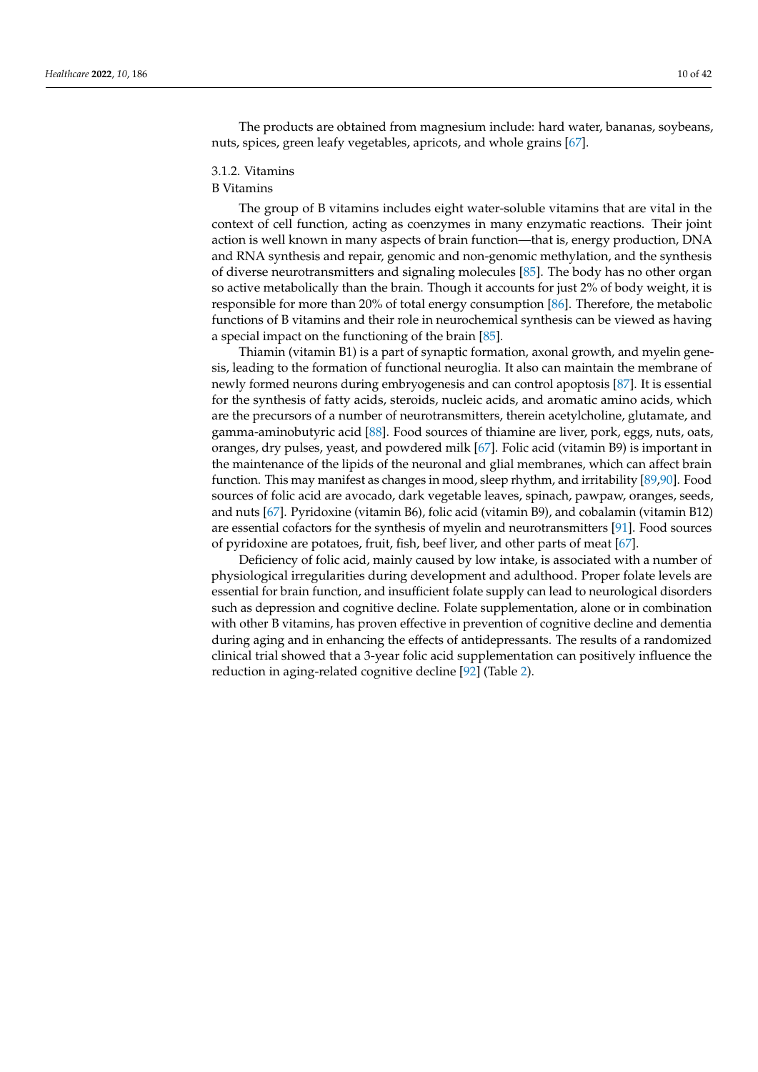The products are obtained from magnesium include: hard water, bananas, soybeans, nuts, spices, green leafy vegetables, apricots, and whole grains [\[67\]](#page-34-23).

#### 3.1.2. Vitamins

## B Vitamins

The group of B vitamins includes eight water-soluble vitamins that are vital in the context of cell function, acting as coenzymes in many enzymatic reactions. Their joint action is well known in many aspects of brain function—that is, energy production, DNA and RNA synthesis and repair, genomic and non-genomic methylation, and the synthesis of diverse neurotransmitters and signaling molecules [\[85\]](#page-35-13). The body has no other organ so active metabolically than the brain. Though it accounts for just 2% of body weight, it is responsible for more than 20% of total energy consumption [\[86\]](#page-35-14). Therefore, the metabolic functions of B vitamins and their role in neurochemical synthesis can be viewed as having a special impact on the functioning of the brain [\[85\]](#page-35-13).

Thiamin (vitamin B1) is a part of synaptic formation, axonal growth, and myelin genesis, leading to the formation of functional neuroglia. It also can maintain the membrane of newly formed neurons during embryogenesis and can control apoptosis [\[87\]](#page-35-15). It is essential for the synthesis of fatty acids, steroids, nucleic acids, and aromatic amino acids, which are the precursors of a number of neurotransmitters, therein acetylcholine, glutamate, and gamma-aminobutyric acid [\[88\]](#page-35-16). Food sources of thiamine are liver, pork, eggs, nuts, oats, oranges, dry pulses, yeast, and powdered milk [\[67\]](#page-34-23). Folic acid (vitamin B9) is important in the maintenance of the lipids of the neuronal and glial membranes, which can affect brain function. This may manifest as changes in mood, sleep rhythm, and irritability [\[89,](#page-35-17)[90\]](#page-35-18). Food sources of folic acid are avocado, dark vegetable leaves, spinach, pawpaw, oranges, seeds, and nuts [\[67\]](#page-34-23). Pyridoxine (vitamin B6), folic acid (vitamin B9), and cobalamin (vitamin B12) are essential cofactors for the synthesis of myelin and neurotransmitters [\[91\]](#page-35-19). Food sources of pyridoxine are potatoes, fruit, fish, beef liver, and other parts of meat [\[67\]](#page-34-23).

Deficiency of folic acid, mainly caused by low intake, is associated with a number of physiological irregularities during development and adulthood. Proper folate levels are essential for brain function, and insufficient folate supply can lead to neurological disorders such as depression and cognitive decline. Folate supplementation, alone or in combination with other B vitamins, has proven effective in prevention of cognitive decline and dementia during aging and in enhancing the effects of antidepressants. The results of a randomized clinical trial showed that a 3-year folic acid supplementation can positively influence the reduction in aging-related cognitive decline [\[92\]](#page-35-20) (Table [2\)](#page-11-0).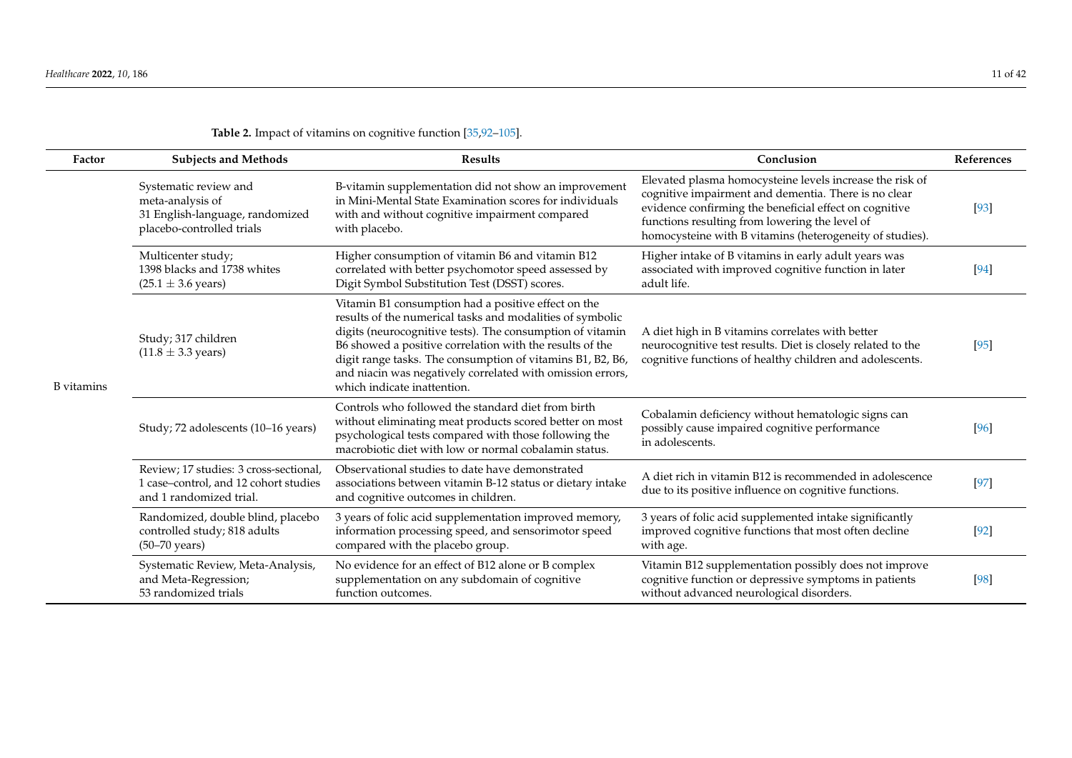| Factor            | <b>Subjects and Methods</b>                                                                                | <b>Results</b>                                                                                                                                                                                                                                                                                                                                                                                       | Conclusion                                                                                                                                                                                                                                                                               | References |
|-------------------|------------------------------------------------------------------------------------------------------------|------------------------------------------------------------------------------------------------------------------------------------------------------------------------------------------------------------------------------------------------------------------------------------------------------------------------------------------------------------------------------------------------------|------------------------------------------------------------------------------------------------------------------------------------------------------------------------------------------------------------------------------------------------------------------------------------------|------------|
| <b>B</b> vitamins | Systematic review and<br>meta-analysis of<br>31 English-language, randomized<br>placebo-controlled trials  | B-vitamin supplementation did not show an improvement<br>in Mini-Mental State Examination scores for individuals<br>with and without cognitive impairment compared<br>with placebo.                                                                                                                                                                                                                  | Elevated plasma homocysteine levels increase the risk of<br>cognitive impairment and dementia. There is no clear<br>evidence confirming the beneficial effect on cognitive<br>functions resulting from lowering the level of<br>homocysteine with B vitamins (heterogeneity of studies). | [93]       |
|                   | Multicenter study;<br>1398 blacks and 1738 whites<br>$(25.1 \pm 3.6 \text{ years})$                        | Higher consumption of vitamin B6 and vitamin B12<br>correlated with better psychomotor speed assessed by<br>Digit Symbol Substitution Test (DSST) scores.                                                                                                                                                                                                                                            | Higher intake of B vitamins in early adult years was<br>associated with improved cognitive function in later<br>adult life.                                                                                                                                                              | [94]       |
|                   | Study; 317 children<br>$(11.8 \pm 3.3 \text{ years})$                                                      | Vitamin B1 consumption had a positive effect on the<br>results of the numerical tasks and modalities of symbolic<br>digits (neurocognitive tests). The consumption of vitamin<br>B6 showed a positive correlation with the results of the<br>digit range tasks. The consumption of vitamins B1, B2, B6,<br>and niacin was negatively correlated with omission errors,<br>which indicate inattention. | A diet high in B vitamins correlates with better<br>neurocognitive test results. Diet is closely related to the<br>cognitive functions of healthy children and adolescents.                                                                                                              | [95]       |
|                   | Study; 72 adolescents (10-16 years)                                                                        | Controls who followed the standard diet from birth<br>without eliminating meat products scored better on most<br>psychological tests compared with those following the<br>macrobiotic diet with low or normal cobalamin status.                                                                                                                                                                      | Cobalamin deficiency without hematologic signs can<br>possibly cause impaired cognitive performance<br>in adolescents.                                                                                                                                                                   | [96]       |
|                   | Review; 17 studies: 3 cross-sectional,<br>1 case-control, and 12 cohort studies<br>and 1 randomized trial. | Observational studies to date have demonstrated<br>associations between vitamin B-12 status or dietary intake<br>and cognitive outcomes in children.                                                                                                                                                                                                                                                 | A diet rich in vitamin B12 is recommended in adolescence<br>due to its positive influence on cognitive functions.                                                                                                                                                                        | $[97]$     |
|                   | Randomized, double blind, placebo<br>controlled study; 818 adults<br>$(50-70 \text{ years})$               | 3 years of folic acid supplementation improved memory,<br>information processing speed, and sensorimotor speed<br>compared with the placebo group.                                                                                                                                                                                                                                                   | 3 years of folic acid supplemented intake significantly<br>improved cognitive functions that most often decline<br>with age.                                                                                                                                                             | [92]       |
|                   | Systematic Review, Meta-Analysis,<br>and Meta-Regression;<br>53 randomized trials                          | No evidence for an effect of B12 alone or B complex<br>supplementation on any subdomain of cognitive<br>function outcomes.                                                                                                                                                                                                                                                                           | Vitamin B12 supplementation possibly does not improve<br>cognitive function or depressive symptoms in patients<br>without advanced neurological disorders.                                                                                                                               | [98]       |

# **Table 2.** Impact of vitamins on cognitive function [\[35,](#page-33-17)[92–](#page-35-21)[105\]](#page-36-0).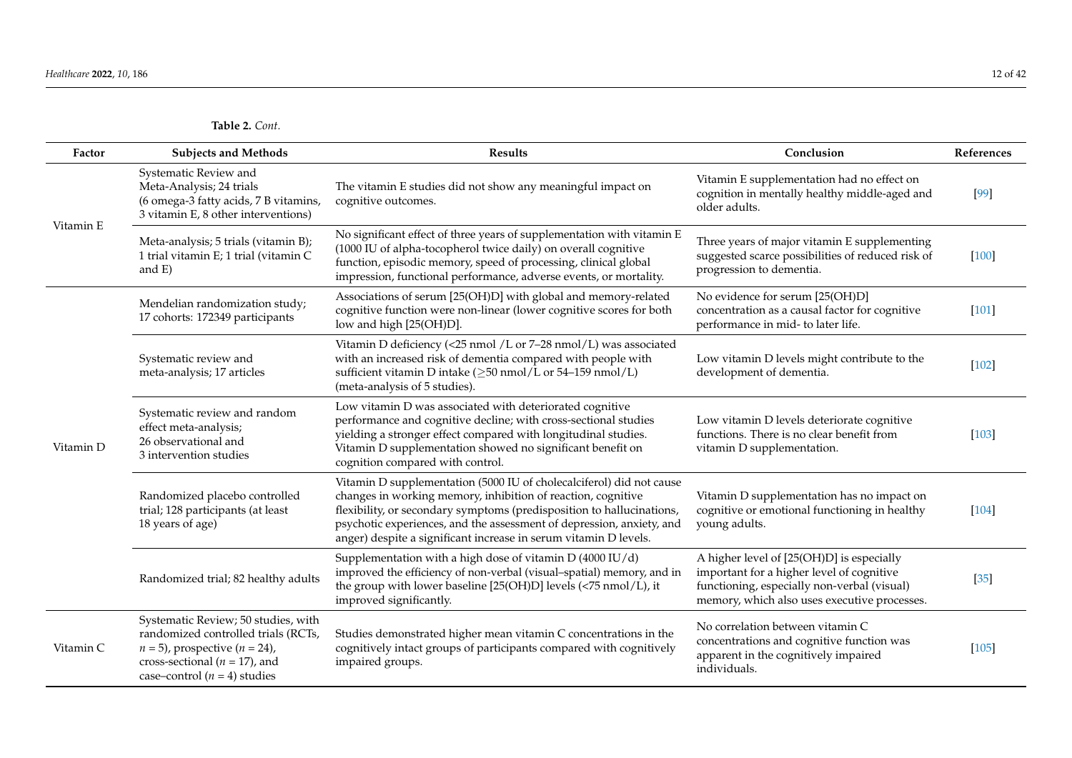<span id="page-11-0"></span>

| Factor    | <b>Subjects and Methods</b>                                                                                                                                                             | <b>Results</b>                                                                                                                                                                                                                                                                                                                                             | Conclusion                                                                                                                                                                            | References |
|-----------|-----------------------------------------------------------------------------------------------------------------------------------------------------------------------------------------|------------------------------------------------------------------------------------------------------------------------------------------------------------------------------------------------------------------------------------------------------------------------------------------------------------------------------------------------------------|---------------------------------------------------------------------------------------------------------------------------------------------------------------------------------------|------------|
| Vitamin E | Systematic Review and<br>Meta-Analysis; 24 trials<br>(6 omega-3 fatty acids, 7 B vitamins,<br>3 vitamin E, 8 other interventions)                                                       | The vitamin E studies did not show any meaningful impact on<br>cognitive outcomes.                                                                                                                                                                                                                                                                         | Vitamin E supplementation had no effect on<br>cognition in mentally healthy middle-aged and<br>older adults.                                                                          | $[99]$     |
|           | Meta-analysis; 5 trials (vitamin B);<br>1 trial vitamin E; 1 trial (vitamin C<br>and $E$ )                                                                                              | No significant effect of three years of supplementation with vitamin E<br>(1000 IU of alpha-tocopherol twice daily) on overall cognitive<br>function, episodic memory, speed of processing, clinical global<br>impression, functional performance, adverse events, or mortality.                                                                           | Three years of major vitamin E supplementing<br>suggested scarce possibilities of reduced risk of<br>progression to dementia.                                                         | $[100]$    |
| Vitamin D | Mendelian randomization study;<br>17 cohorts: 172349 participants                                                                                                                       | Associations of serum [25(OH)D] with global and memory-related<br>cognitive function were non-linear (lower cognitive scores for both<br>low and high [25(OH)D].                                                                                                                                                                                           | No evidence for serum [25(OH)D]<br>concentration as a causal factor for cognitive<br>performance in mid- to later life.                                                               | $[101]$    |
|           | Systematic review and<br>meta-analysis; 17 articles                                                                                                                                     | Vitamin D deficiency (<25 nmol /L or 7-28 nmol/L) was associated<br>with an increased risk of dementia compared with people with<br>sufficient vitamin D intake (≥50 nmol/L or 54-159 nmol/L)<br>(meta-analysis of 5 studies).                                                                                                                             | Low vitamin D levels might contribute to the<br>development of dementia.                                                                                                              | $[102]$    |
|           | Systematic review and random<br>effect meta-analysis;<br>26 observational and<br>3 intervention studies                                                                                 | Low vitamin D was associated with deteriorated cognitive<br>performance and cognitive decline; with cross-sectional studies<br>yielding a stronger effect compared with longitudinal studies.<br>Vitamin D supplementation showed no significant benefit on<br>cognition compared with control.                                                            | Low vitamin D levels deteriorate cognitive<br>functions. There is no clear benefit from<br>vitamin D supplementation.                                                                 | $[103]$    |
|           | Randomized placebo controlled<br>trial; 128 participants (at least<br>18 years of age)                                                                                                  | Vitamin D supplementation (5000 IU of cholecalciferol) did not cause<br>changes in working memory, inhibition of reaction, cognitive<br>flexibility, or secondary symptoms (predisposition to hallucinations,<br>psychotic experiences, and the assessment of depression, anxiety, and<br>anger) despite a significant increase in serum vitamin D levels. | Vitamin D supplementation has no impact on<br>cognitive or emotional functioning in healthy<br>young adults.                                                                          | $[104]$    |
|           | Randomized trial; 82 healthy adults                                                                                                                                                     | Supplementation with a high dose of vitamin D (4000 IU/d)<br>improved the efficiency of non-verbal (visual-spatial) memory, and in<br>the group with lower baseline [25(OH)D] levels (<75 nmol/L), it<br>improved significantly.                                                                                                                           | A higher level of [25(OH)D] is especially<br>important for a higher level of cognitive<br>functioning, especially non-verbal (visual)<br>memory, which also uses executive processes. | $[35]$     |
| Vitamin C | Systematic Review; 50 studies, with<br>randomized controlled trials (RCTs,<br>$n = 5$ , prospective $(n = 24)$ ,<br>cross-sectional ( $n = 17$ ), and<br>case–control $(n = 4)$ studies | Studies demonstrated higher mean vitamin C concentrations in the<br>cognitively intact groups of participants compared with cognitively<br>impaired groups.                                                                                                                                                                                                | No correlation between vitamin C<br>concentrations and cognitive function was<br>apparent in the cognitively impaired<br>individuals.                                                 | $[105]$    |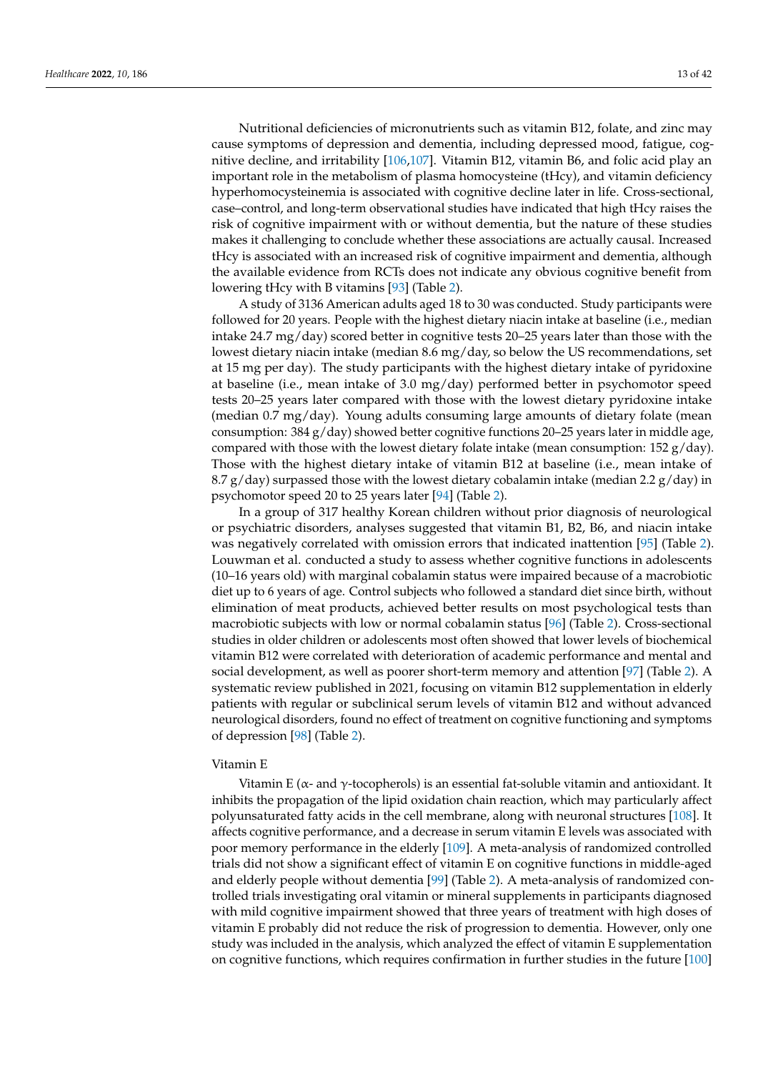Nutritional deficiencies of micronutrients such as vitamin B12, folate, and zinc may cause symptoms of depression and dementia, including depressed mood, fatigue, cognitive decline, and irritability [\[106,](#page-36-5)[107\]](#page-36-6). Vitamin B12, vitamin B6, and folic acid play an important role in the metabolism of plasma homocysteine (tHcy), and vitamin deficiency hyperhomocysteinemia is associated with cognitive decline later in life. Cross-sectional, case–control, and long-term observational studies have indicated that high tHcy raises the risk of cognitive impairment with or without dementia, but the nature of these studies makes it challenging to conclude whether these associations are actually causal. Increased tHcy is associated with an increased risk of cognitive impairment and dementia, although the available evidence from RCTs does not indicate any obvious cognitive benefit from lowering tHcy with B vitamins [\[93\]](#page-35-30) (Table [2\)](#page-11-0).

A study of 3136 American adults aged 18 to 30 was conducted. Study participants were followed for 20 years. People with the highest dietary niacin intake at baseline (i.e., median intake 24.7 mg/day) scored better in cognitive tests 20–25 years later than those with the lowest dietary niacin intake (median 8.6 mg/day, so below the US recommendations, set at 15 mg per day). The study participants with the highest dietary intake of pyridoxine at baseline (i.e., mean intake of 3.0 mg/day) performed better in psychomotor speed tests 20–25 years later compared with those with the lowest dietary pyridoxine intake (median 0.7 mg/day). Young adults consuming large amounts of dietary folate (mean consumption:  $384 \text{ g/day}$ ) showed better cognitive functions 20–25 years later in middle age, compared with those with the lowest dietary folate intake (mean consumption:  $152 g/day$ ). Those with the highest dietary intake of vitamin B12 at baseline (i.e., mean intake of 8.7 g/day) surpassed those with the lowest dietary cobalamin intake (median 2.2 g/day) in psychomotor speed 20 to 25 years later [\[94\]](#page-35-31) (Table [2\)](#page-11-0).

In a group of 317 healthy Korean children without prior diagnosis of neurological or psychiatric disorders, analyses suggested that vitamin B1, B2, B6, and niacin intake was negatively correlated with omission errors that indicated inattention [\[95\]](#page-35-32) (Table [2\)](#page-11-0). Louwman et al. conducted a study to assess whether cognitive functions in adolescents (10–16 years old) with marginal cobalamin status were impaired because of a macrobiotic diet up to 6 years of age. Control subjects who followed a standard diet since birth, without elimination of meat products, achieved better results on most psychological tests than macrobiotic subjects with low or normal cobalamin status [\[96\]](#page-35-33) (Table [2\)](#page-11-0). Cross-sectional studies in older children or adolescents most often showed that lower levels of biochemical vitamin B12 were correlated with deterioration of academic performance and mental and social development, as well as poorer short-term memory and attention [\[97\]](#page-35-34) (Table [2\)](#page-11-0). A systematic review published in 2021, focusing on vitamin B12 supplementation in elderly patients with regular or subclinical serum levels of vitamin B12 and without advanced neurological disorders, found no effect of treatment on cognitive functioning and symptoms of depression [\[98\]](#page-35-35) (Table [2\)](#page-11-0).

#### Vitamin E

Vitamin E ( $\alpha$ - and  $\gamma$ -tocopherols) is an essential fat-soluble vitamin and antioxidant. It inhibits the propagation of the lipid oxidation chain reaction, which may particularly affect polyunsaturated fatty acids in the cell membrane, along with neuronal structures [\[108\]](#page-36-7). It affects cognitive performance, and a decrease in serum vitamin E levels was associated with poor memory performance in the elderly [\[109\]](#page-36-8). A meta-analysis of randomized controlled trials did not show a significant effect of vitamin E on cognitive functions in middle-aged and elderly people without dementia [\[99\]](#page-35-36) (Table [2\)](#page-11-0). A meta-analysis of randomized controlled trials investigating oral vitamin or mineral supplements in participants diagnosed with mild cognitive impairment showed that three years of treatment with high doses of vitamin E probably did not reduce the risk of progression to dementia. However, only one study was included in the analysis, which analyzed the effect of vitamin E supplementation on cognitive functions, which requires confirmation in further studies in the future [\[100\]](#page-35-37)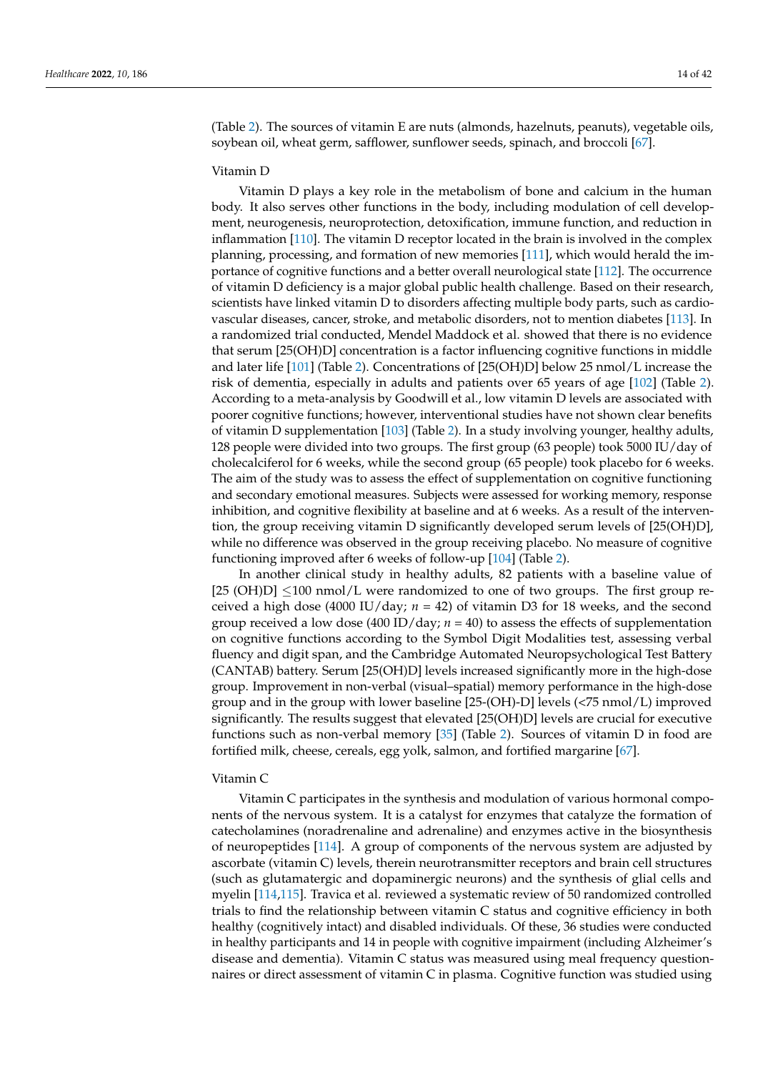(Table [2\)](#page-11-0). The sources of vitamin E are nuts (almonds, hazelnuts, peanuts), vegetable oils, soybean oil, wheat germ, safflower, sunflower seeds, spinach, and broccoli [\[67\]](#page-34-23).

#### Vitamin D

Vitamin D plays a key role in the metabolism of bone and calcium in the human body. It also serves other functions in the body, including modulation of cell development, neurogenesis, neuroprotection, detoxification, immune function, and reduction in inflammation [\[110\]](#page-36-9). The vitamin D receptor located in the brain is involved in the complex planning, processing, and formation of new memories [\[111\]](#page-36-10), which would herald the importance of cognitive functions and a better overall neurological state [\[112\]](#page-36-11). The occurrence of vitamin D deficiency is a major global public health challenge. Based on their research, scientists have linked vitamin D to disorders affecting multiple body parts, such as cardiovascular diseases, cancer, stroke, and metabolic disorders, not to mention diabetes [\[113\]](#page-36-12). In a randomized trial conducted, Mendel Maddock et al. showed that there is no evidence that serum [25(OH)D] concentration is a factor influencing cognitive functions in middle and later life [\[101\]](#page-36-13) (Table [2\)](#page-11-0). Concentrations of [25(OH)D] below 25 nmol/L increase the risk of dementia, especially in adults and patients over 65 years of age [\[102\]](#page-36-14) (Table [2\)](#page-11-0). According to a meta-analysis by Goodwill et al., low vitamin D levels are associated with poorer cognitive functions; however, interventional studies have not shown clear benefits of vitamin D supplementation [\[103\]](#page-36-15) (Table [2\)](#page-11-0). In a study involving younger, healthy adults, 128 people were divided into two groups. The first group (63 people) took 5000 IU/day of cholecalciferol for 6 weeks, while the second group (65 people) took placebo for 6 weeks. The aim of the study was to assess the effect of supplementation on cognitive functioning and secondary emotional measures. Subjects were assessed for working memory, response inhibition, and cognitive flexibility at baseline and at 6 weeks. As a result of the intervention, the group receiving vitamin D significantly developed serum levels of [25(OH)D], while no difference was observed in the group receiving placebo. No measure of cognitive functioning improved after 6 weeks of follow-up [\[104\]](#page-36-16) (Table [2\)](#page-11-0).

In another clinical study in healthy adults, 82 patients with a baseline value of [25 (OH)D]  $\leq$ 100 nmol/L were randomized to one of two groups. The first group received a high dose (4000 IU/day;  $n = 42$ ) of vitamin D3 for 18 weeks, and the second group received a low dose (400 ID/day;  $n = 40$ ) to assess the effects of supplementation on cognitive functions according to the Symbol Digit Modalities test, assessing verbal fluency and digit span, and the Cambridge Automated Neuropsychological Test Battery (CANTAB) battery. Serum [25(OH)D] levels increased significantly more in the high-dose group. Improvement in non-verbal (visual–spatial) memory performance in the high-dose group and in the group with lower baseline [25-(OH)-D] levels (<75 nmol/L) improved significantly. The results suggest that elevated [25(OH)D] levels are crucial for executive functions such as non-verbal memory [\[35\]](#page-33-18) (Table [2\)](#page-11-0). Sources of vitamin D in food are fortified milk, cheese, cereals, egg yolk, salmon, and fortified margarine [\[67\]](#page-34-23).

# Vitamin C

Vitamin C participates in the synthesis and modulation of various hormonal components of the nervous system. It is a catalyst for enzymes that catalyze the formation of catecholamines (noradrenaline and adrenaline) and enzymes active in the biosynthesis of neuropeptides [\[114\]](#page-36-17). A group of components of the nervous system are adjusted by ascorbate (vitamin C) levels, therein neurotransmitter receptors and brain cell structures (such as glutamatergic and dopaminergic neurons) and the synthesis of glial cells and myelin [\[114](#page-36-17)[,115\]](#page-36-18). Travica et al. reviewed a systematic review of 50 randomized controlled trials to find the relationship between vitamin C status and cognitive efficiency in both healthy (cognitively intact) and disabled individuals. Of these, 36 studies were conducted in healthy participants and 14 in people with cognitive impairment (including Alzheimer's disease and dementia). Vitamin C status was measured using meal frequency questionnaires or direct assessment of vitamin C in plasma. Cognitive function was studied using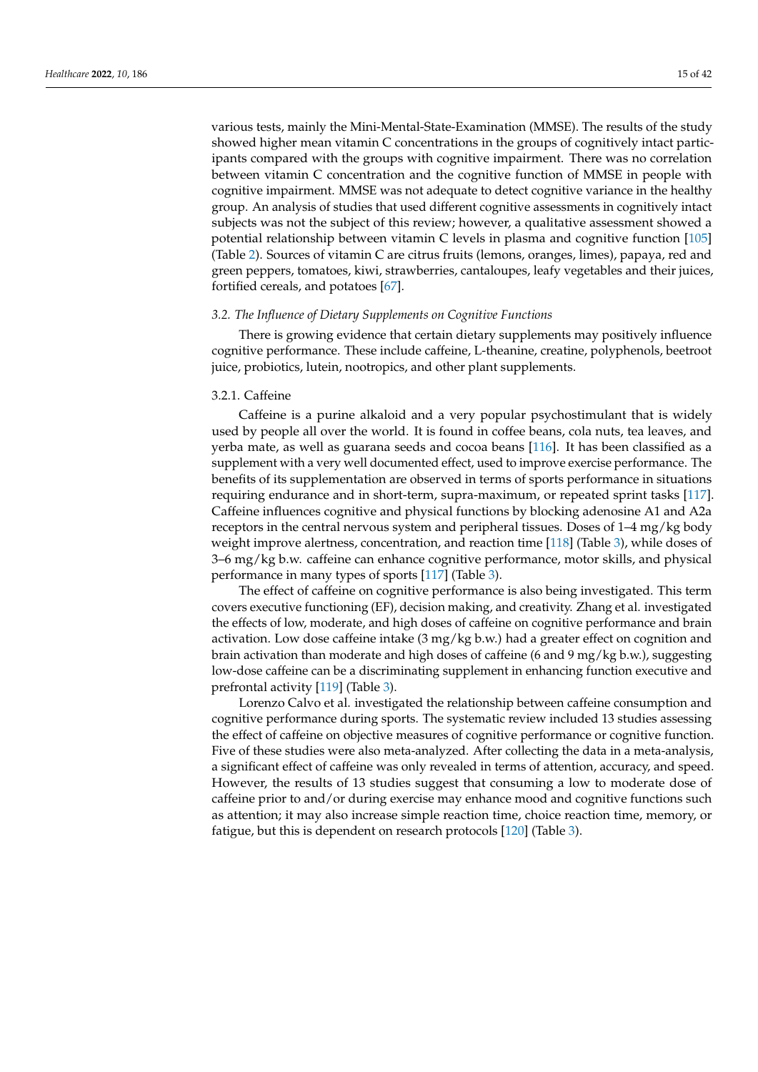various tests, mainly the Mini-Mental-State-Examination (MMSE). The results of the study showed higher mean vitamin C concentrations in the groups of cognitively intact participants compared with the groups with cognitive impairment. There was no correlation between vitamin C concentration and the cognitive function of MMSE in people with cognitive impairment. MMSE was not adequate to detect cognitive variance in the healthy group. An analysis of studies that used different cognitive assessments in cognitively intact subjects was not the subject of this review; however, a qualitative assessment showed a potential relationship between vitamin C levels in plasma and cognitive function [\[105\]](#page-36-19) (Table [2\)](#page-11-0). Sources of vitamin C are citrus fruits (lemons, oranges, limes), papaya, red and green peppers, tomatoes, kiwi, strawberries, cantaloupes, leafy vegetables and their juices, fortified cereals, and potatoes [\[67\]](#page-34-23).

# *3.2. The Influence of Dietary Supplements on Cognitive Functions*

There is growing evidence that certain dietary supplements may positively influence cognitive performance. These include caffeine, L-theanine, creatine, polyphenols, beetroot juice, probiotics, lutein, nootropics, and other plant supplements.

# 3.2.1. Caffeine

Caffeine is a purine alkaloid and a very popular psychostimulant that is widely used by people all over the world. It is found in coffee beans, cola nuts, tea leaves, and yerba mate, as well as guarana seeds and cocoa beans [\[116\]](#page-36-20). It has been classified as a supplement with a very well documented effect, used to improve exercise performance. The benefits of its supplementation are observed in terms of sports performance in situations requiring endurance and in short-term, supra-maximum, or repeated sprint tasks [\[117\]](#page-36-21). Caffeine influences cognitive and physical functions by blocking adenosine A1 and A2a receptors in the central nervous system and peripheral tissues. Doses of 1–4 mg/kg body weight improve alertness, concentration, and reaction time [\[118\]](#page-36-22) (Table [3\)](#page-20-0), while doses of 3–6 mg/kg b.w. caffeine can enhance cognitive performance, motor skills, and physical performance in many types of sports [\[117\]](#page-36-21) (Table [3\)](#page-20-0).

The effect of caffeine on cognitive performance is also being investigated. This term covers executive functioning (EF), decision making, and creativity. Zhang et al. investigated the effects of low, moderate, and high doses of caffeine on cognitive performance and brain activation. Low dose caffeine intake (3 mg/kg b.w.) had a greater effect on cognition and brain activation than moderate and high doses of caffeine (6 and 9 mg/kg b.w.), suggesting low-dose caffeine can be a discriminating supplement in enhancing function executive and prefrontal activity [\[119\]](#page-36-23) (Table [3\)](#page-20-0).

Lorenzo Calvo et al. investigated the relationship between caffeine consumption and cognitive performance during sports. The systematic review included 13 studies assessing the effect of caffeine on objective measures of cognitive performance or cognitive function. Five of these studies were also meta-analyzed. After collecting the data in a meta-analysis, a significant effect of caffeine was only revealed in terms of attention, accuracy, and speed. However, the results of 13 studies suggest that consuming a low to moderate dose of caffeine prior to and/or during exercise may enhance mood and cognitive functions such as attention; it may also increase simple reaction time, choice reaction time, memory, or fatigue, but this is dependent on research protocols [\[120\]](#page-36-24) (Table [3\)](#page-20-0).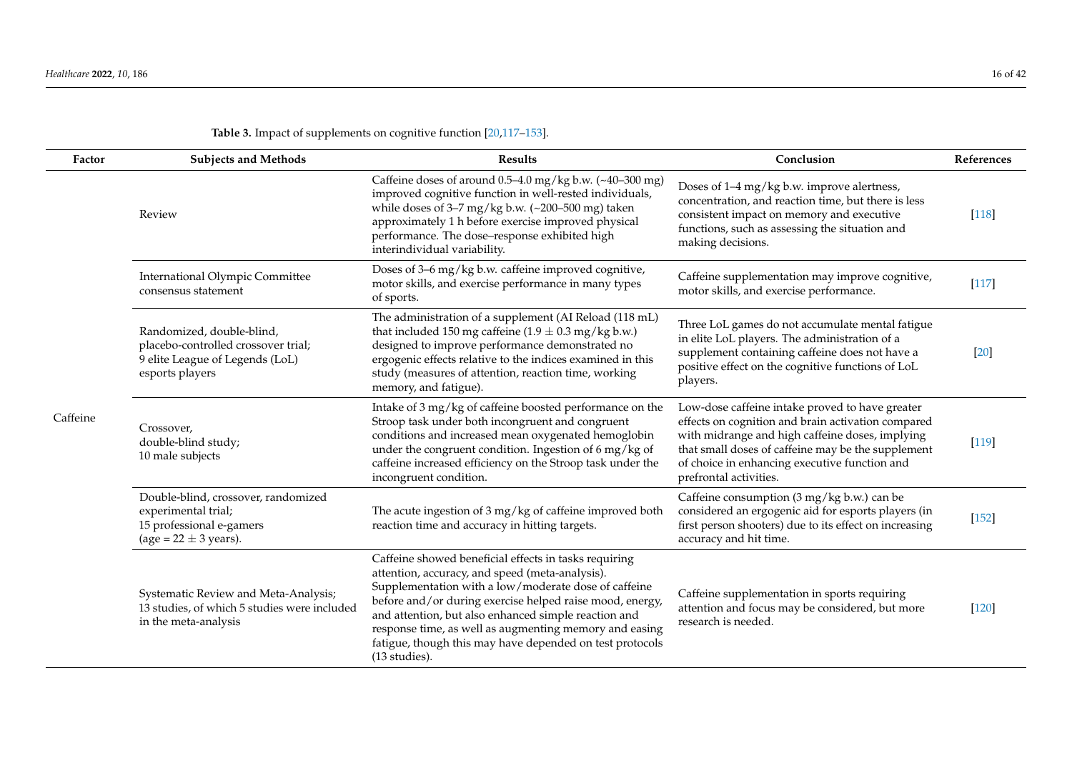| Factor   | <b>Subjects and Methods</b>                                                                                            | <b>Results</b>                                                                                                                                                                                                                                                                                                                                                                                                              | Conclusion                                                                                                                                                                                                                                                                                | References |
|----------|------------------------------------------------------------------------------------------------------------------------|-----------------------------------------------------------------------------------------------------------------------------------------------------------------------------------------------------------------------------------------------------------------------------------------------------------------------------------------------------------------------------------------------------------------------------|-------------------------------------------------------------------------------------------------------------------------------------------------------------------------------------------------------------------------------------------------------------------------------------------|------------|
|          | Review                                                                                                                 | Caffeine doses of around 0.5-4.0 mg/kg b.w. (~40-300 mg)<br>improved cognitive function in well-rested individuals,<br>while doses of $3-7$ mg/kg b.w. (~200-500 mg) taken<br>approximately 1 h before exercise improved physical<br>performance. The dose-response exhibited high<br>interindividual variability.                                                                                                          | Doses of 1-4 mg/kg b.w. improve alertness,<br>concentration, and reaction time, but there is less<br>consistent impact on memory and executive<br>functions, such as assessing the situation and<br>making decisions.                                                                     | $[118]$    |
|          | <b>International Olympic Committee</b><br>consensus statement                                                          | Doses of 3-6 mg/kg b.w. caffeine improved cognitive,<br>motor skills, and exercise performance in many types<br>of sports.                                                                                                                                                                                                                                                                                                  | Caffeine supplementation may improve cognitive,<br>motor skills, and exercise performance.                                                                                                                                                                                                | $[117]$    |
| Caffeine | Randomized, double-blind,<br>placebo-controlled crossover trial;<br>9 elite League of Legends (LoL)<br>esports players | The administration of a supplement (AI Reload (118 mL)<br>that included 150 mg caffeine (1.9 $\pm$ 0.3 mg/kg b.w.)<br>designed to improve performance demonstrated no<br>ergogenic effects relative to the indices examined in this<br>study (measures of attention, reaction time, working<br>memory, and fatigue).                                                                                                        | Three LoL games do not accumulate mental fatigue<br>in elite LoL players. The administration of a<br>supplement containing caffeine does not have a<br>positive effect on the cognitive functions of LoL<br>players.                                                                      | $[20]$     |
|          | Crossover,<br>double-blind study;<br>10 male subjects                                                                  | Intake of 3 mg/kg of caffeine boosted performance on the<br>Stroop task under both incongruent and congruent<br>conditions and increased mean oxygenated hemoglobin<br>under the congruent condition. Ingestion of 6 mg/kg of<br>caffeine increased efficiency on the Stroop task under the<br>incongruent condition.                                                                                                       | Low-dose caffeine intake proved to have greater<br>effects on cognition and brain activation compared<br>with midrange and high caffeine doses, implying<br>that small doses of caffeine may be the supplement<br>of choice in enhancing executive function and<br>prefrontal activities. | $[119]$    |
|          | Double-blind, crossover, randomized<br>experimental trial;<br>15 professional e-gamers<br>(age = $22 \pm 3$ years).    | The acute ingestion of 3 mg/kg of caffeine improved both<br>reaction time and accuracy in hitting targets.                                                                                                                                                                                                                                                                                                                  | Caffeine consumption (3 mg/kg b.w.) can be<br>considered an ergogenic aid for esports players (in<br>first person shooters) due to its effect on increasing<br>accuracy and hit time.                                                                                                     | $[152]$    |
|          | Systematic Review and Meta-Analysis;<br>13 studies, of which 5 studies were included<br>in the meta-analysis           | Caffeine showed beneficial effects in tasks requiring<br>attention, accuracy, and speed (meta-analysis).<br>Supplementation with a low/moderate dose of caffeine<br>before and/or during exercise helped raise mood, energy,<br>and attention, but also enhanced simple reaction and<br>response time, as well as augmenting memory and easing<br>fatigue, though this may have depended on test protocols<br>(13 studies). | Caffeine supplementation in sports requiring<br>attention and focus may be considered, but more<br>research is needed.                                                                                                                                                                    | $[120]$    |

# **Table 3.** Impact of supplements on cognitive function [\[20](#page-33-19)[,117](#page-36-25)[–153\]](#page-38-0).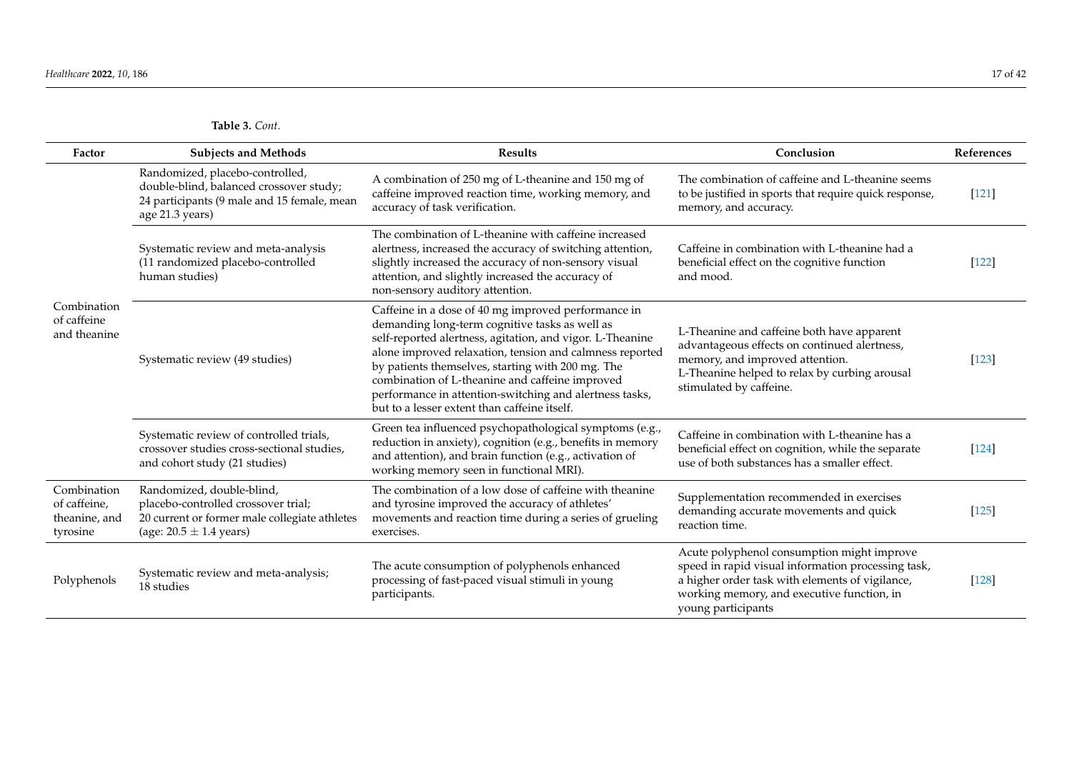| Factor                                                   | <b>Subjects and Methods</b>                                                                                                                      | <b>Results</b>                                                                                                                                                                                                                                                                                                                                                                                                                                    | Conclusion                                                                                                                                                                                                              | References |
|----------------------------------------------------------|--------------------------------------------------------------------------------------------------------------------------------------------------|---------------------------------------------------------------------------------------------------------------------------------------------------------------------------------------------------------------------------------------------------------------------------------------------------------------------------------------------------------------------------------------------------------------------------------------------------|-------------------------------------------------------------------------------------------------------------------------------------------------------------------------------------------------------------------------|------------|
| Combination<br>of caffeine<br>and theanine               | Randomized, placebo-controlled,<br>double-blind, balanced crossover study;<br>24 participants (9 male and 15 female, mean<br>age 21.3 years)     | A combination of 250 mg of L-theanine and 150 mg of<br>caffeine improved reaction time, working memory, and<br>accuracy of task verification.                                                                                                                                                                                                                                                                                                     | The combination of caffeine and L-theanine seems<br>to be justified in sports that require quick response,<br>memory, and accuracy.                                                                                     | $[121]$    |
|                                                          | Systematic review and meta-analysis<br>(11 randomized placebo-controlled<br>human studies)                                                       | The combination of L-theanine with caffeine increased<br>alertness, increased the accuracy of switching attention,<br>slightly increased the accuracy of non-sensory visual<br>attention, and slightly increased the accuracy of<br>non-sensory auditory attention.                                                                                                                                                                               | Caffeine in combination with L-theanine had a<br>beneficial effect on the cognitive function<br>and mood.                                                                                                               | $[122]$    |
|                                                          | Systematic review (49 studies)                                                                                                                   | Caffeine in a dose of 40 mg improved performance in<br>demanding long-term cognitive tasks as well as<br>self-reported alertness, agitation, and vigor. L-Theanine<br>alone improved relaxation, tension and calmness reported<br>by patients themselves, starting with 200 mg. The<br>combination of L-theanine and caffeine improved<br>performance in attention-switching and alertness tasks,<br>but to a lesser extent than caffeine itself. | L-Theanine and caffeine both have apparent<br>advantageous effects on continued alertness,<br>memory, and improved attention.<br>L-Theanine helped to relax by curbing arousal<br>stimulated by caffeine.               | $[123]$    |
|                                                          | Systematic review of controlled trials,<br>crossover studies cross-sectional studies,<br>and cohort study (21 studies)                           | Green tea influenced psychopathological symptoms (e.g.,<br>reduction in anxiety), cognition (e.g., benefits in memory<br>and attention), and brain function (e.g., activation of<br>working memory seen in functional MRI).                                                                                                                                                                                                                       | Caffeine in combination with L-theanine has a<br>beneficial effect on cognition, while the separate<br>use of both substances has a smaller effect.                                                                     | $[124]$    |
| Combination<br>of caffeine,<br>theanine, and<br>tyrosine | Randomized, double-blind,<br>placebo-controlled crossover trial;<br>20 current or former male collegiate athletes<br>(age: $20.5 \pm 1.4$ years) | The combination of a low dose of caffeine with theanine<br>and tyrosine improved the accuracy of athletes'<br>movements and reaction time during a series of grueling<br>exercises.                                                                                                                                                                                                                                                               | Supplementation recommended in exercises<br>demanding accurate movements and quick<br>reaction time.                                                                                                                    | $[125]$    |
| Polyphenols                                              | Systematic review and meta-analysis;<br>18 studies                                                                                               | The acute consumption of polyphenols enhanced<br>processing of fast-paced visual stimuli in young<br>participants.                                                                                                                                                                                                                                                                                                                                | Acute polyphenol consumption might improve<br>speed in rapid visual information processing task,<br>a higher order task with elements of vigilance,<br>working memory, and executive function, in<br>young participants | $[128]$    |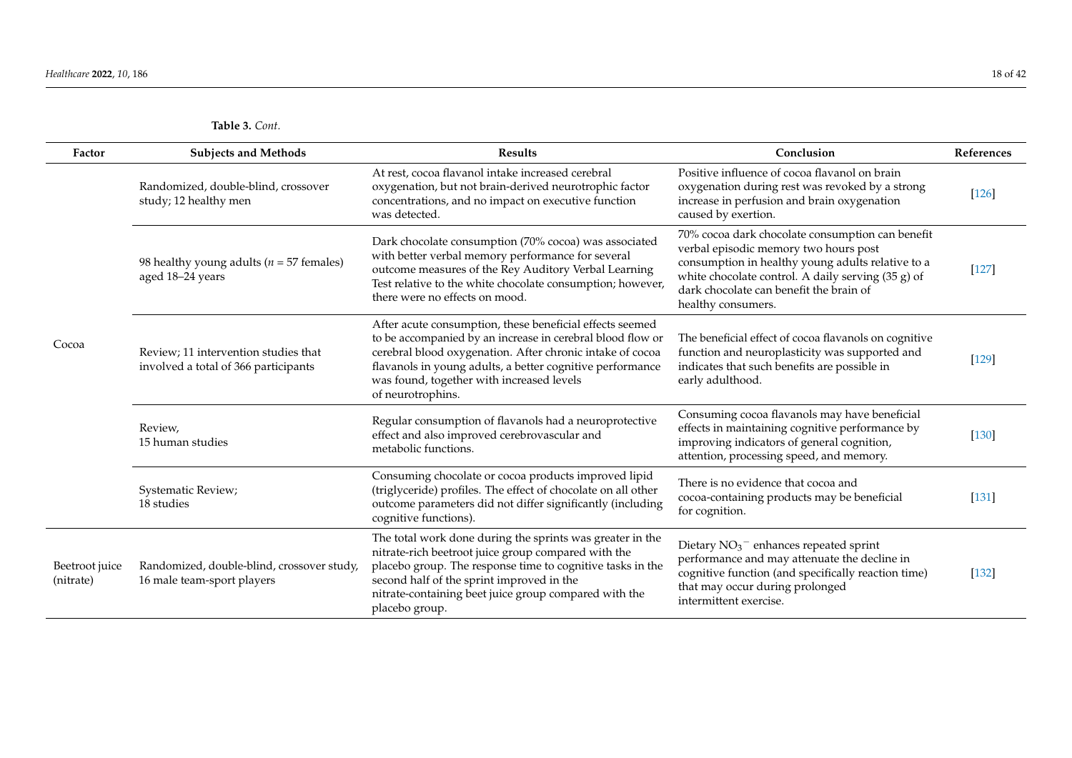| <b>Table 3.</b> Cont. |  |
|-----------------------|--|
|-----------------------|--|

| Factor                      | <b>Subjects and Methods</b>                                                  | <b>Results</b>                                                                                                                                                                                                                                                                                                     | Conclusion                                                                                                                                                                                                                                                            | References |
|-----------------------------|------------------------------------------------------------------------------|--------------------------------------------------------------------------------------------------------------------------------------------------------------------------------------------------------------------------------------------------------------------------------------------------------------------|-----------------------------------------------------------------------------------------------------------------------------------------------------------------------------------------------------------------------------------------------------------------------|------------|
| Cocoa                       | Randomized, double-blind, crossover<br>study; 12 healthy men                 | At rest, cocoa flavanol intake increased cerebral<br>oxygenation, but not brain-derived neurotrophic factor<br>concentrations, and no impact on executive function<br>was detected.                                                                                                                                | Positive influence of cocoa flavanol on brain<br>oxygenation during rest was revoked by a strong<br>increase in perfusion and brain oxygenation<br>caused by exertion.                                                                                                | [126]      |
|                             | 98 healthy young adults ( $n = 57$ females)<br>aged 18-24 years              | Dark chocolate consumption (70% cocoa) was associated<br>with better verbal memory performance for several<br>outcome measures of the Rey Auditory Verbal Learning<br>Test relative to the white chocolate consumption; however,<br>there were no effects on mood.                                                 | 70% cocoa dark chocolate consumption can benefit<br>verbal episodic memory two hours post<br>consumption in healthy young adults relative to a<br>white chocolate control. A daily serving (35 g) of<br>dark chocolate can benefit the brain of<br>healthy consumers. | $[127]$    |
|                             | Review; 11 intervention studies that<br>involved a total of 366 participants | After acute consumption, these beneficial effects seemed<br>to be accompanied by an increase in cerebral blood flow or<br>cerebral blood oxygenation. After chronic intake of cocoa<br>flavanols in young adults, a better cognitive performance<br>was found, together with increased levels<br>of neurotrophins. | The beneficial effect of cocoa flavanols on cognitive<br>function and neuroplasticity was supported and<br>indicates that such benefits are possible in<br>early adulthood.                                                                                           | $[129]$    |
|                             | Review,<br>15 human studies                                                  | Regular consumption of flavanols had a neuroprotective<br>effect and also improved cerebrovascular and<br>metabolic functions.                                                                                                                                                                                     | Consuming cocoa flavanols may have beneficial<br>effects in maintaining cognitive performance by<br>improving indicators of general cognition,<br>attention, processing speed, and memory.                                                                            | $[130]$    |
|                             | Systematic Review;<br>18 studies                                             | Consuming chocolate or cocoa products improved lipid<br>(triglyceride) profiles. The effect of chocolate on all other<br>outcome parameters did not differ significantly (including<br>cognitive functions).                                                                                                       | There is no evidence that cocoa and<br>cocoa-containing products may be beneficial<br>for cognition.                                                                                                                                                                  | $[131]$    |
| Beetroot juice<br>(nitrate) | Randomized, double-blind, crossover study,<br>16 male team-sport players     | The total work done during the sprints was greater in the<br>nitrate-rich beetroot juice group compared with the<br>placebo group. The response time to cognitive tasks in the<br>second half of the sprint improved in the<br>nitrate-containing beet juice group compared with the<br>placebo group.             | Dietary $NO3$ <sup>-</sup> enhances repeated sprint<br>performance and may attenuate the decline in<br>cognitive function (and specifically reaction time)<br>that may occur during prolonged<br>intermittent exercise.                                               | $[132]$    |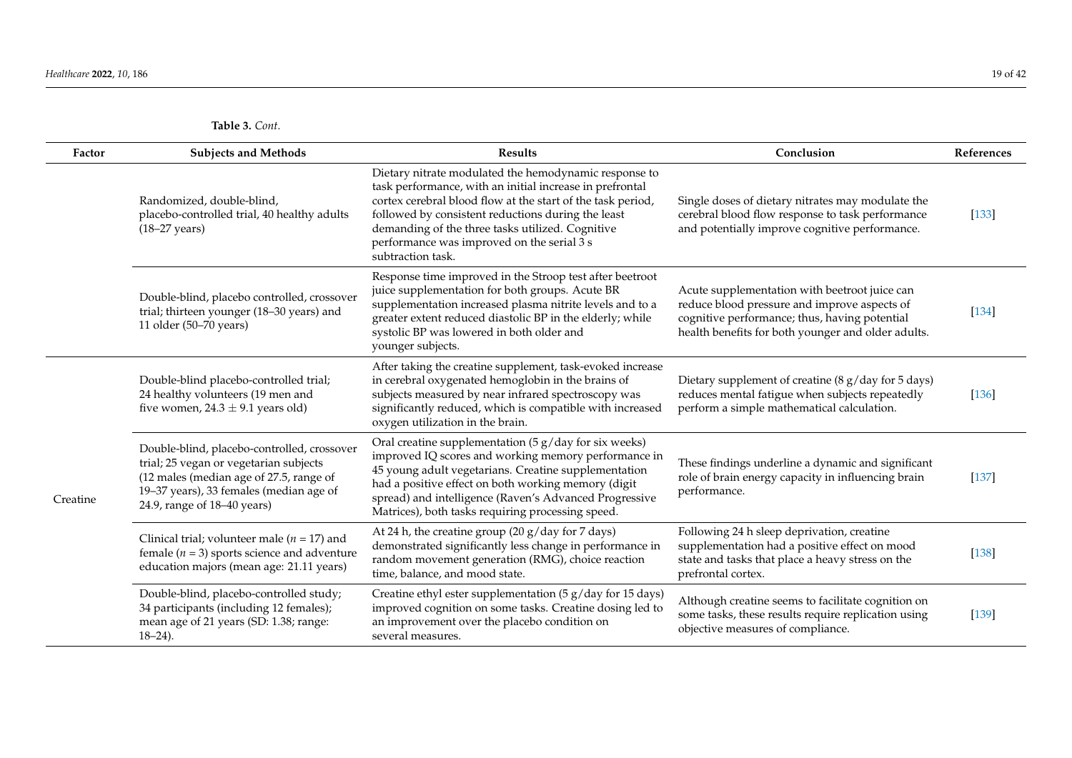| Factor   | <b>Subjects and Methods</b>                                                                                                                                                                                | <b>Results</b>                                                                                                                                                                                                                                                                                                                                                | Conclusion                                                                                                                                                                                           | References |
|----------|------------------------------------------------------------------------------------------------------------------------------------------------------------------------------------------------------------|---------------------------------------------------------------------------------------------------------------------------------------------------------------------------------------------------------------------------------------------------------------------------------------------------------------------------------------------------------------|------------------------------------------------------------------------------------------------------------------------------------------------------------------------------------------------------|------------|
|          | Randomized, double-blind,<br>placebo-controlled trial, 40 healthy adults<br>$(18-27 \text{ years})$                                                                                                        | Dietary nitrate modulated the hemodynamic response to<br>task performance, with an initial increase in prefrontal<br>cortex cerebral blood flow at the start of the task period,<br>followed by consistent reductions during the least<br>demanding of the three tasks utilized. Cognitive<br>performance was improved on the serial 3 s<br>subtraction task. | Single doses of dietary nitrates may modulate the<br>cerebral blood flow response to task performance<br>and potentially improve cognitive performance.                                              | [133]      |
|          | Double-blind, placebo controlled, crossover<br>trial; thirteen younger (18-30 years) and<br>11 older (50-70 years)                                                                                         | Response time improved in the Stroop test after beetroot<br>juice supplementation for both groups. Acute BR<br>supplementation increased plasma nitrite levels and to a<br>greater extent reduced diastolic BP in the elderly; while<br>systolic BP was lowered in both older and<br>younger subjects.                                                        | Acute supplementation with beetroot juice can<br>reduce blood pressure and improve aspects of<br>cognitive performance; thus, having potential<br>health benefits for both younger and older adults. | $[134]$    |
| Creatine | Double-blind placebo-controlled trial;<br>24 healthy volunteers (19 men and<br>five women, $24.3 \pm 9.1$ years old)                                                                                       | After taking the creatine supplement, task-evoked increase<br>in cerebral oxygenated hemoglobin in the brains of<br>subjects measured by near infrared spectroscopy was<br>significantly reduced, which is compatible with increased<br>oxygen utilization in the brain.                                                                                      | Dietary supplement of creatine (8 g/day for 5 days)<br>reduces mental fatigue when subjects repeatedly<br>perform a simple mathematical calculation.                                                 | $[136]$    |
|          | Double-blind, placebo-controlled, crossover<br>trial; 25 vegan or vegetarian subjects<br>(12 males (median age of 27.5, range of<br>19-37 years), 33 females (median age of<br>24.9, range of 18-40 years) | Oral creatine supplementation $(5 g/day)$ for six weeks)<br>improved IQ scores and working memory performance in<br>45 young adult vegetarians. Creatine supplementation<br>had a positive effect on both working memory (digit<br>spread) and intelligence (Raven's Advanced Progressive<br>Matrices), both tasks requiring processing speed.                | These findings underline a dynamic and significant<br>role of brain energy capacity in influencing brain<br>performance.                                                                             | $[137]$    |
|          | Clinical trial; volunteer male ( $n = 17$ ) and<br>female ( $n = 3$ ) sports science and adventure<br>education majors (mean age: 21.11 years)                                                             | At 24 h, the creatine group $(20 g/day for 7 days)$<br>demonstrated significantly less change in performance in<br>random movement generation (RMG), choice reaction<br>time, balance, and mood state.                                                                                                                                                        | Following 24 h sleep deprivation, creatine<br>supplementation had a positive effect on mood<br>state and tasks that place a heavy stress on the<br>prefrontal cortex.                                | $[138]$    |
|          | Double-blind, placebo-controlled study;<br>34 participants (including 12 females);<br>mean age of 21 years (SD: 1.38; range:<br>$18 - 24$ ).                                                               | Creatine ethyl ester supplementation (5 g/day for 15 days)<br>improved cognition on some tasks. Creatine dosing led to<br>an improvement over the placebo condition on<br>several measures.                                                                                                                                                                   | Although creatine seems to facilitate cognition on<br>some tasks, these results require replication using<br>objective measures of compliance.                                                       | [139]      |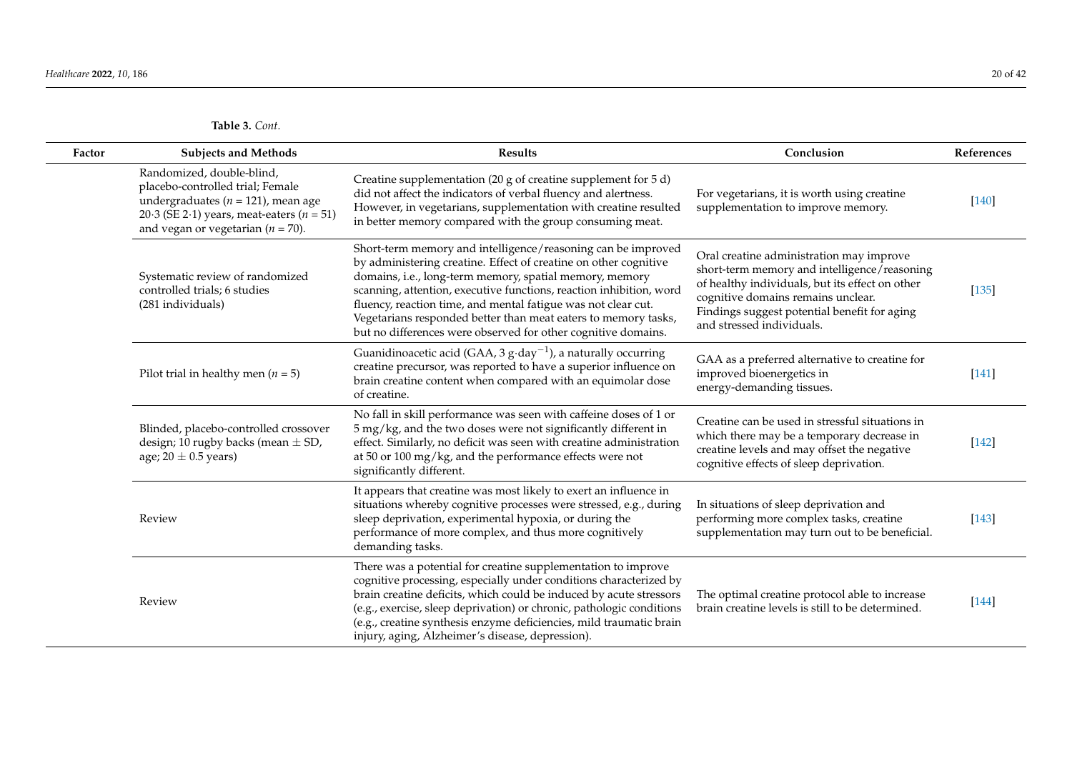| Factor | <b>Subjects and Methods</b>                                                                                                                                                                       | <b>Results</b>                                                                                                                                                                                                                                                                                                                                                                                                                                                         | Conclusion                                                                                                                                                                                                                                                     | References |
|--------|---------------------------------------------------------------------------------------------------------------------------------------------------------------------------------------------------|------------------------------------------------------------------------------------------------------------------------------------------------------------------------------------------------------------------------------------------------------------------------------------------------------------------------------------------------------------------------------------------------------------------------------------------------------------------------|----------------------------------------------------------------------------------------------------------------------------------------------------------------------------------------------------------------------------------------------------------------|------------|
|        | Randomized, double-blind,<br>placebo-controlled trial; Female<br>undergraduates ( $n = 121$ ), mean age<br>20.3 (SE 2.1) years, meat-eaters ( $n = 51$ )<br>and vegan or vegetarian ( $n = 70$ ). | Creatine supplementation (20 g of creatine supplement for 5 d)<br>did not affect the indicators of verbal fluency and alertness.<br>However, in vegetarians, supplementation with creatine resulted<br>in better memory compared with the group consuming meat.                                                                                                                                                                                                        | For vegetarians, it is worth using creatine<br>supplementation to improve memory.                                                                                                                                                                              | $[140]$    |
|        | Systematic review of randomized<br>controlled trials; 6 studies<br>(281 individuals)                                                                                                              | Short-term memory and intelligence/reasoning can be improved<br>by administering creatine. Effect of creatine on other cognitive<br>domains, i.e., long-term memory, spatial memory, memory<br>scanning, attention, executive functions, reaction inhibition, word<br>fluency, reaction time, and mental fatigue was not clear cut.<br>Vegetarians responded better than meat eaters to memory tasks,<br>but no differences were observed for other cognitive domains. | Oral creatine administration may improve<br>short-term memory and intelligence/reasoning<br>of healthy individuals, but its effect on other<br>cognitive domains remains unclear.<br>Findings suggest potential benefit for aging<br>and stressed individuals. | $[135]$    |
|        | Pilot trial in healthy men ( $n = 5$ )                                                                                                                                                            | Guanidinoacetic acid (GAA, 3 $g \cdot day^{-1}$ ), a naturally occurring<br>creatine precursor, was reported to have a superior influence on<br>brain creatine content when compared with an equimolar dose<br>of creatine.                                                                                                                                                                                                                                            | GAA as a preferred alternative to creatine for<br>improved bioenergetics in<br>energy-demanding tissues.                                                                                                                                                       | $[141]$    |
|        | Blinded, placebo-controlled crossover<br>design; 10 rugby backs (mean $\pm$ SD,<br>age; $20 \pm 0.5$ years)                                                                                       | No fall in skill performance was seen with caffeine doses of 1 or<br>5 mg/kg, and the two doses were not significantly different in<br>effect. Similarly, no deficit was seen with creatine administration<br>at 50 or 100 mg/kg, and the performance effects were not<br>significantly different.                                                                                                                                                                     | Creatine can be used in stressful situations in<br>which there may be a temporary decrease in<br>creatine levels and may offset the negative<br>cognitive effects of sleep deprivation.                                                                        | $[142]$    |
|        | Review                                                                                                                                                                                            | It appears that creatine was most likely to exert an influence in<br>situations whereby cognitive processes were stressed, e.g., during<br>sleep deprivation, experimental hypoxia, or during the<br>performance of more complex, and thus more cognitively<br>demanding tasks.                                                                                                                                                                                        | In situations of sleep deprivation and<br>performing more complex tasks, creatine<br>supplementation may turn out to be beneficial.                                                                                                                            | $[143]$    |
|        | Review                                                                                                                                                                                            | There was a potential for creatine supplementation to improve<br>cognitive processing, especially under conditions characterized by<br>brain creatine deficits, which could be induced by acute stressors<br>(e.g., exercise, sleep deprivation) or chronic, pathologic conditions<br>(e.g., creatine synthesis enzyme deficiencies, mild traumatic brain<br>injury, aging, Alzheimer's disease, depression).                                                          | The optimal creatine protocol able to increase<br>brain creatine levels is still to be determined.                                                                                                                                                             | $[144]$    |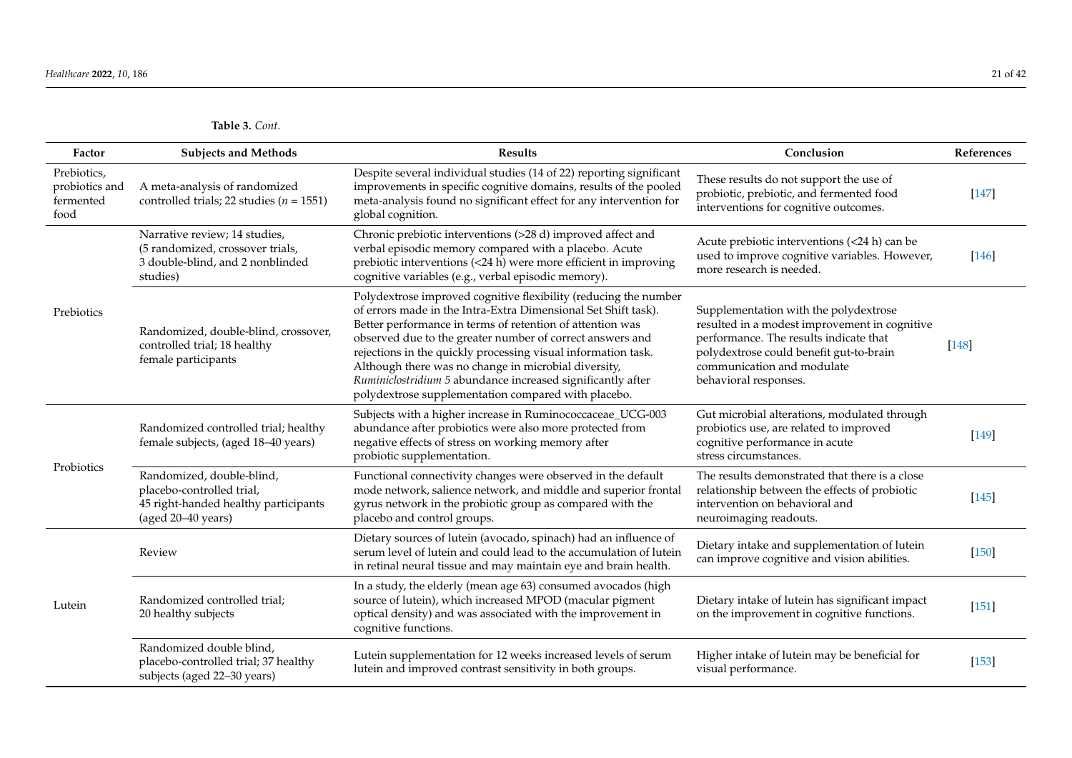<span id="page-20-0"></span>

| Factor                                             | <b>Subjects and Methods</b>                                                                                          | Results                                                                                                                                                                                                                                                                                                                                                                                                                                                                                                     | Conclusion                                                                                                                                                                                                                         | References |
|----------------------------------------------------|----------------------------------------------------------------------------------------------------------------------|-------------------------------------------------------------------------------------------------------------------------------------------------------------------------------------------------------------------------------------------------------------------------------------------------------------------------------------------------------------------------------------------------------------------------------------------------------------------------------------------------------------|------------------------------------------------------------------------------------------------------------------------------------------------------------------------------------------------------------------------------------|------------|
| Prebiotics,<br>probiotics and<br>fermented<br>food | A meta-analysis of randomized<br>controlled trials; 22 studies ( $n = 1551$ )                                        | Despite several individual studies (14 of 22) reporting significant<br>improvements in specific cognitive domains, results of the pooled<br>meta-analysis found no significant effect for any intervention for<br>global cognition.                                                                                                                                                                                                                                                                         | These results do not support the use of<br>probiotic, prebiotic, and fermented food<br>interventions for cognitive outcomes.                                                                                                       | $[147]$    |
| Prebiotics                                         | Narrative review; 14 studies,<br>(5 randomized, crossover trials,<br>3 double-blind, and 2 nonblinded<br>studies)    | Chronic prebiotic interventions (>28 d) improved affect and<br>verbal episodic memory compared with a placebo. Acute<br>prebiotic interventions (<24 h) were more efficient in improving<br>cognitive variables (e.g., verbal episodic memory).                                                                                                                                                                                                                                                             | Acute prebiotic interventions (<24 h) can be<br>used to improve cognitive variables. However,<br>more research is needed.                                                                                                          | $[146]$    |
|                                                    | Randomized, double-blind, crossover,<br>controlled trial; 18 healthy<br>female participants                          | Polydextrose improved cognitive flexibility (reducing the number<br>of errors made in the Intra-Extra Dimensional Set Shift task).<br>Better performance in terms of retention of attention was<br>observed due to the greater number of correct answers and<br>rejections in the quickly processing visual information task.<br>Although there was no change in microbial diversity,<br>Ruminiclostridium 5 abundance increased significantly after<br>polydextrose supplementation compared with placebo. | Supplementation with the polydextrose<br>resulted in a modest improvement in cognitive<br>performance. The results indicate that<br>polydextrose could benefit gut-to-brain<br>communication and modulate<br>behavioral responses. | $[148]$    |
| Probiotics                                         | Randomized controlled trial; healthy<br>female subjects, (aged 18-40 years)                                          | Subjects with a higher increase in Ruminococcaceae_UCG-003<br>abundance after probiotics were also more protected from<br>negative effects of stress on working memory after<br>probiotic supplementation.                                                                                                                                                                                                                                                                                                  | Gut microbial alterations, modulated through<br>probiotics use, are related to improved<br>cognitive performance in acute<br>stress circumstances.                                                                                 | $[149]$    |
|                                                    | Randomized, double-blind,<br>placebo-controlled trial,<br>45 right-handed healthy participants<br>(aged 20-40 years) | Functional connectivity changes were observed in the default<br>mode network, salience network, and middle and superior frontal<br>gyrus network in the probiotic group as compared with the<br>placebo and control groups.                                                                                                                                                                                                                                                                                 | The results demonstrated that there is a close<br>relationship between the effects of probiotic<br>intervention on behavioral and<br>neuroimaging readouts.                                                                        | $[145]$    |
| Lutein                                             | Review                                                                                                               | Dietary sources of lutein (avocado, spinach) had an influence of<br>serum level of lutein and could lead to the accumulation of lutein<br>in retinal neural tissue and may maintain eye and brain health.                                                                                                                                                                                                                                                                                                   | Dietary intake and supplementation of lutein<br>can improve cognitive and vision abilities.                                                                                                                                        | $[150]$    |
|                                                    | Randomized controlled trial;<br>20 healthy subjects                                                                  | In a study, the elderly (mean age 63) consumed avocados (high<br>source of lutein), which increased MPOD (macular pigment<br>optical density) and was associated with the improvement in<br>cognitive functions.                                                                                                                                                                                                                                                                                            | Dietary intake of lutein has significant impact<br>on the improvement in cognitive functions.                                                                                                                                      | $[151]$    |
|                                                    | Randomized double blind,<br>placebo-controlled trial; 37 healthy<br>subjects (aged 22-30 years)                      | Lutein supplementation for 12 weeks increased levels of serum<br>lutein and improved contrast sensitivity in both groups.                                                                                                                                                                                                                                                                                                                                                                                   | Higher intake of lutein may be beneficial for<br>visual performance.                                                                                                                                                               | $[153]$    |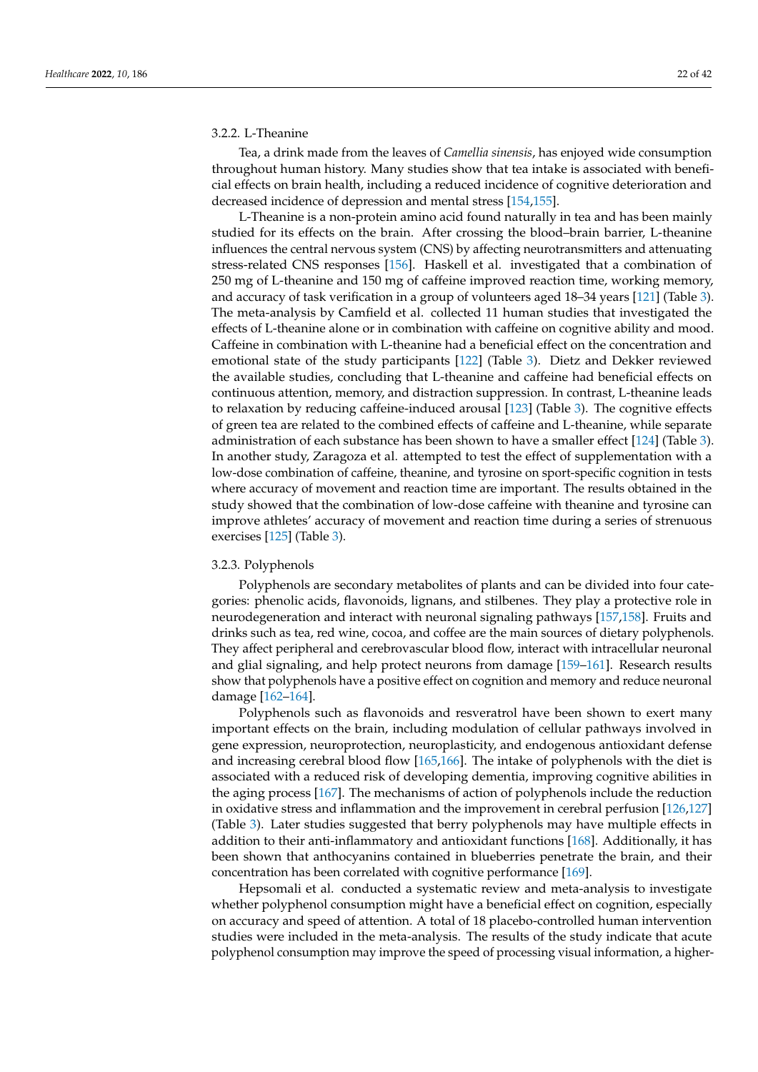# 3.2.2. L-Theanine

Tea, a drink made from the leaves of *Camellia sinensis*, has enjoyed wide consumption throughout human history. Many studies show that tea intake is associated with beneficial effects on brain health, including a reduced incidence of cognitive deterioration and decreased incidence of depression and mental stress [\[154](#page-38-2)[,155\]](#page-38-3).

L-Theanine is a non-protein amino acid found naturally in tea and has been mainly studied for its effects on the brain. After crossing the blood–brain barrier, L-theanine influences the central nervous system (CNS) by affecting neurotransmitters and attenuating stress-related CNS responses [\[156\]](#page-38-4). Haskell et al. investigated that a combination of 250 mg of L-theanine and 150 mg of caffeine improved reaction time, working memory, and accuracy of task verification in a group of volunteers aged 18–34 years [\[121\]](#page-36-35) (Table [3\)](#page-20-0). The meta-analysis by Camfield et al. collected 11 human studies that investigated the effects of L-theanine alone or in combination with caffeine on cognitive ability and mood. Caffeine in combination with L-theanine had a beneficial effect on the concentration and emotional state of the study participants [\[122\]](#page-36-36) (Table [3\)](#page-20-0). Dietz and Dekker reviewed the available studies, concluding that L-theanine and caffeine had beneficial effects on continuous attention, memory, and distraction suppression. In contrast, L-theanine leads to relaxation by reducing caffeine-induced arousal [\[123\]](#page-36-37) (Table [3\)](#page-20-0). The cognitive effects of green tea are related to the combined effects of caffeine and L-theanine, while separate administration of each substance has been shown to have a smaller effect [\[124\]](#page-36-38) (Table [3\)](#page-20-0). In another study, Zaragoza et al. attempted to test the effect of supplementation with a low-dose combination of caffeine, theanine, and tyrosine on sport-specific cognition in tests where accuracy of movement and reaction time are important. The results obtained in the study showed that the combination of low-dose caffeine with theanine and tyrosine can improve athletes' accuracy of movement and reaction time during a series of strenuous exercises [\[125\]](#page-36-39) (Table [3\)](#page-20-0).

#### 3.2.3. Polyphenols

Polyphenols are secondary metabolites of plants and can be divided into four categories: phenolic acids, flavonoids, lignans, and stilbenes. They play a protective role in neurodegeneration and interact with neuronal signaling pathways [\[157,](#page-38-5)[158\]](#page-38-6). Fruits and drinks such as tea, red wine, cocoa, and coffee are the main sources of dietary polyphenols. They affect peripheral and cerebrovascular blood flow, interact with intracellular neuronal and glial signaling, and help protect neurons from damage [\[159–](#page-38-7)[161\]](#page-38-8). Research results show that polyphenols have a positive effect on cognition and memory and reduce neuronal damage [\[162](#page-38-9)[–164\]](#page-38-10).

Polyphenols such as flavonoids and resveratrol have been shown to exert many important effects on the brain, including modulation of cellular pathways involved in gene expression, neuroprotection, neuroplasticity, and endogenous antioxidant defense and increasing cerebral blood flow [\[165,](#page-38-11)[166\]](#page-38-12). The intake of polyphenols with the diet is associated with a reduced risk of developing dementia, improving cognitive abilities in the aging process [\[167\]](#page-38-13). The mechanisms of action of polyphenols include the reduction in oxidative stress and inflammation and the improvement in cerebral perfusion [\[126,](#page-36-40)[127\]](#page-37-25) (Table [3\)](#page-20-0). Later studies suggested that berry polyphenols may have multiple effects in addition to their anti-inflammatory and antioxidant functions [\[168\]](#page-38-14). Additionally, it has been shown that anthocyanins contained in blueberries penetrate the brain, and their concentration has been correlated with cognitive performance [\[169\]](#page-38-15).

Hepsomali et al. conducted a systematic review and meta-analysis to investigate whether polyphenol consumption might have a beneficial effect on cognition, especially on accuracy and speed of attention. A total of 18 placebo-controlled human intervention studies were included in the meta-analysis. The results of the study indicate that acute polyphenol consumption may improve the speed of processing visual information, a higher-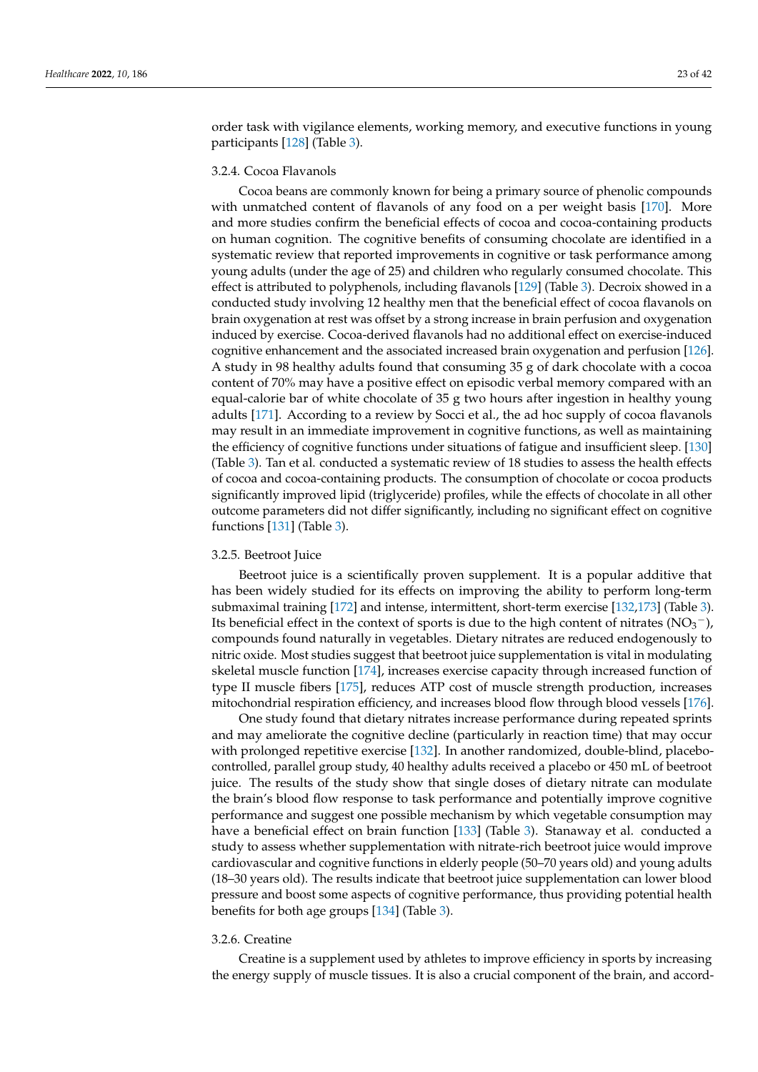order task with vigilance elements, working memory, and executive functions in young participants [\[128\]](#page-37-26) (Table [3\)](#page-20-0).

## 3.2.4. Cocoa Flavanols

Cocoa beans are commonly known for being a primary source of phenolic compounds with unmatched content of flavanols of any food on a per weight basis [\[170\]](#page-38-16). More and more studies confirm the beneficial effects of cocoa and cocoa-containing products on human cognition. The cognitive benefits of consuming chocolate are identified in a systematic review that reported improvements in cognitive or task performance among young adults (under the age of 25) and children who regularly consumed chocolate. This effect is attributed to polyphenols, including flavanols [\[129\]](#page-37-27) (Table [3\)](#page-20-0). Decroix showed in a conducted study involving 12 healthy men that the beneficial effect of cocoa flavanols on brain oxygenation at rest was offset by a strong increase in brain perfusion and oxygenation induced by exercise. Cocoa-derived flavanols had no additional effect on exercise-induced cognitive enhancement and the associated increased brain oxygenation and perfusion [\[126\]](#page-36-40). A study in 98 healthy adults found that consuming 35 g of dark chocolate with a cocoa content of 70% may have a positive effect on episodic verbal memory compared with an equal-calorie bar of white chocolate of 35 g two hours after ingestion in healthy young adults [\[171\]](#page-38-17). According to a review by Socci et al., the ad hoc supply of cocoa flavanols may result in an immediate improvement in cognitive functions, as well as maintaining the efficiency of cognitive functions under situations of fatigue and insufficient sleep. [\[130\]](#page-37-28) (Table [3\)](#page-20-0). Tan et al. conducted a systematic review of 18 studies to assess the health effects of cocoa and cocoa-containing products. The consumption of chocolate or cocoa products significantly improved lipid (triglyceride) profiles, while the effects of chocolate in all other outcome parameters did not differ significantly, including no significant effect on cognitive functions [\[131\]](#page-37-29) (Table [3\)](#page-20-0).

# 3.2.5. Beetroot Juice

Beetroot juice is a scientifically proven supplement. It is a popular additive that has been widely studied for its effects on improving the ability to perform long-term submaximal training [\[172\]](#page-38-18) and intense, intermittent, short-term exercise [\[132,](#page-37-30)[173\]](#page-38-19) (Table [3\)](#page-20-0). Its beneficial effect in the context of sports is due to the high content of nitrates ( $NO<sub>3</sub><sup>-</sup>$ ), compounds found naturally in vegetables. Dietary nitrates are reduced endogenously to nitric oxide. Most studies suggest that beetroot juice supplementation is vital in modulating skeletal muscle function [\[174\]](#page-38-20), increases exercise capacity through increased function of type II muscle fibers [\[175\]](#page-38-21), reduces ATP cost of muscle strength production, increases mitochondrial respiration efficiency, and increases blood flow through blood vessels [\[176\]](#page-38-22).

One study found that dietary nitrates increase performance during repeated sprints and may ameliorate the cognitive decline (particularly in reaction time) that may occur with prolonged repetitive exercise [\[132\]](#page-37-30). In another randomized, double-blind, placebocontrolled, parallel group study, 40 healthy adults received a placebo or 450 mL of beetroot juice. The results of the study show that single doses of dietary nitrate can modulate the brain's blood flow response to task performance and potentially improve cognitive performance and suggest one possible mechanism by which vegetable consumption may have a beneficial effect on brain function [\[133\]](#page-37-31) (Table [3\)](#page-20-0). Stanaway et al. conducted a study to assess whether supplementation with nitrate-rich beetroot juice would improve cardiovascular and cognitive functions in elderly people (50–70 years old) and young adults (18–30 years old). The results indicate that beetroot juice supplementation can lower blood pressure and boost some aspects of cognitive performance, thus providing potential health benefits for both age groups [\[134\]](#page-37-32) (Table [3\)](#page-20-0).

# 3.2.6. Creatine

Creatine is a supplement used by athletes to improve efficiency in sports by increasing the energy supply of muscle tissues. It is also a crucial component of the brain, and accord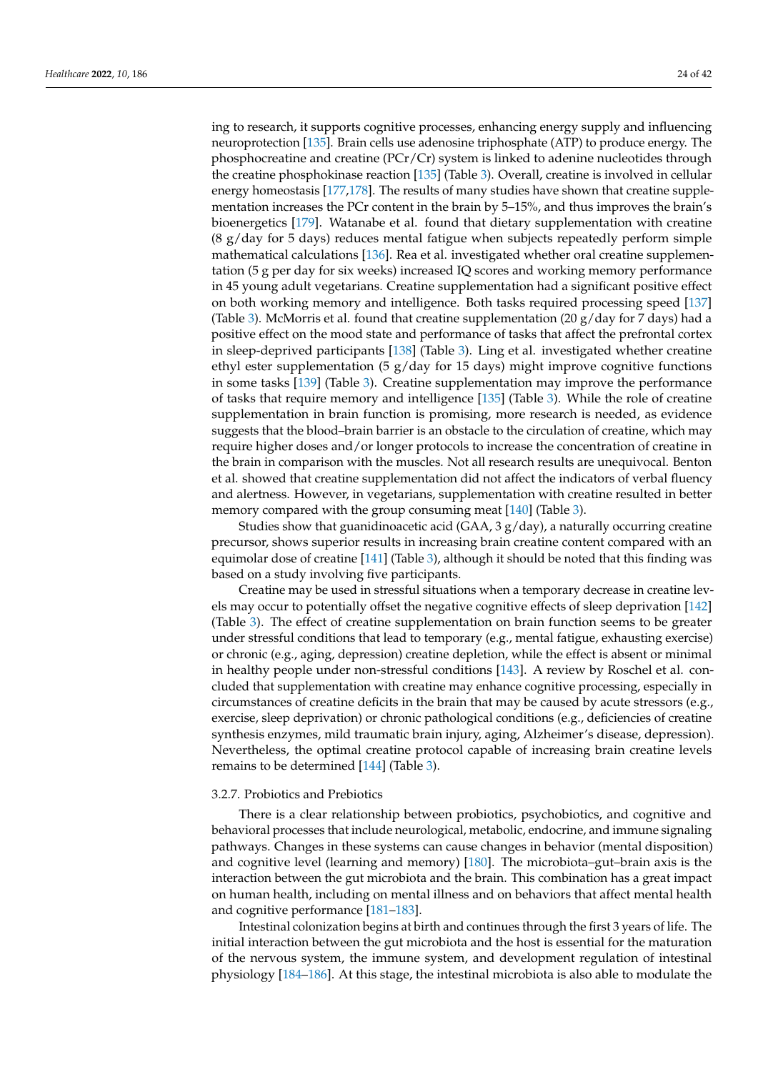ing to research, it supports cognitive processes, enhancing energy supply and influencing neuroprotection [\[135\]](#page-37-33). Brain cells use adenosine triphosphate (ATP) to produce energy. The phosphocreatine and creatine (PCr/Cr) system is linked to adenine nucleotides through the creatine phosphokinase reaction [\[135\]](#page-37-33) (Table [3\)](#page-20-0). Overall, creatine is involved in cellular energy homeostasis [\[177](#page-38-23)[,178\]](#page-38-24). The results of many studies have shown that creatine supplementation increases the PCr content in the brain by 5–15%, and thus improves the brain's bioenergetics [\[179\]](#page-39-0). Watanabe et al. found that dietary supplementation with creatine  $(8 \text{ g/day}$  for 5 days) reduces mental fatigue when subjects repeatedly perform simple mathematical calculations [\[136\]](#page-37-34). Rea et al. investigated whether oral creatine supplementation (5 g per day for six weeks) increased IQ scores and working memory performance in 45 young adult vegetarians. Creatine supplementation had a significant positive effect on both working memory and intelligence. Both tasks required processing speed [\[137\]](#page-37-35) (Table [3\)](#page-20-0). McMorris et al. found that creatine supplementation (20  $g$ /day for 7 days) had a positive effect on the mood state and performance of tasks that affect the prefrontal cortex in sleep-deprived participants [\[138\]](#page-37-36) (Table [3\)](#page-20-0). Ling et al. investigated whether creatine ethyl ester supplementation (5  $g/day$  for 15 days) might improve cognitive functions in some tasks [\[139\]](#page-37-37) (Table [3\)](#page-20-0). Creatine supplementation may improve the performance of tasks that require memory and intelligence [\[135\]](#page-37-33) (Table [3\)](#page-20-0). While the role of creatine supplementation in brain function is promising, more research is needed, as evidence suggests that the blood–brain barrier is an obstacle to the circulation of creatine, which may require higher doses and/or longer protocols to increase the concentration of creatine in the brain in comparison with the muscles. Not all research results are unequivocal. Benton et al. showed that creatine supplementation did not affect the indicators of verbal fluency and alertness. However, in vegetarians, supplementation with creatine resulted in better memory compared with the group consuming meat [\[140\]](#page-37-38) (Table [3\)](#page-20-0).

Studies show that guanidinoacetic acid (GAA,  $3 g/day$ ), a naturally occurring creatine precursor, shows superior results in increasing brain creatine content compared with an equimolar dose of creatine [\[141\]](#page-37-39) (Table [3\)](#page-20-0), although it should be noted that this finding was based on a study involving five participants.

Creatine may be used in stressful situations when a temporary decrease in creatine levels may occur to potentially offset the negative cognitive effects of sleep deprivation [\[142\]](#page-37-40) (Table [3\)](#page-20-0). The effect of creatine supplementation on brain function seems to be greater under stressful conditions that lead to temporary (e.g., mental fatigue, exhausting exercise) or chronic (e.g., aging, depression) creatine depletion, while the effect is absent or minimal in healthy people under non-stressful conditions [\[143\]](#page-37-41). A review by Roschel et al. concluded that supplementation with creatine may enhance cognitive processing, especially in circumstances of creatine deficits in the brain that may be caused by acute stressors (e.g., exercise, sleep deprivation) or chronic pathological conditions (e.g., deficiencies of creatine synthesis enzymes, mild traumatic brain injury, aging, Alzheimer's disease, depression). Nevertheless, the optimal creatine protocol capable of increasing brain creatine levels remains to be determined [\[144\]](#page-37-42) (Table [3\)](#page-20-0).

#### 3.2.7. Probiotics and Prebiotics

There is a clear relationship between probiotics, psychobiotics, and cognitive and behavioral processes that include neurological, metabolic, endocrine, and immune signaling pathways. Changes in these systems can cause changes in behavior (mental disposition) and cognitive level (learning and memory) [\[180\]](#page-39-1). The microbiota–gut–brain axis is the interaction between the gut microbiota and the brain. This combination has a great impact on human health, including on mental illness and on behaviors that affect mental health and cognitive performance [\[181–](#page-39-2)[183\]](#page-39-3).

Intestinal colonization begins at birth and continues through the first 3 years of life. The initial interaction between the gut microbiota and the host is essential for the maturation of the nervous system, the immune system, and development regulation of intestinal physiology [\[184–](#page-39-4)[186\]](#page-39-5). At this stage, the intestinal microbiota is also able to modulate the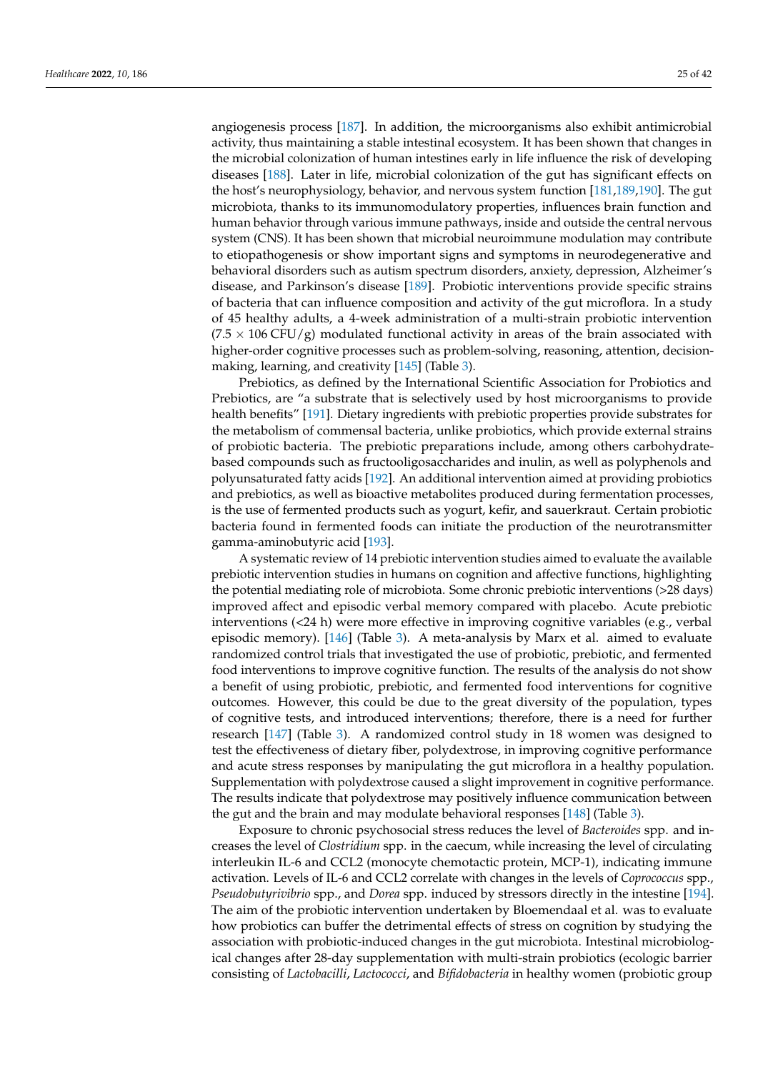angiogenesis process [\[187\]](#page-39-6). In addition, the microorganisms also exhibit antimicrobial activity, thus maintaining a stable intestinal ecosystem. It has been shown that changes in the microbial colonization of human intestines early in life influence the risk of developing diseases [\[188\]](#page-39-7). Later in life, microbial colonization of the gut has significant effects on the host's neurophysiology, behavior, and nervous system function [\[181,](#page-39-2)[189](#page-39-8)[,190\]](#page-39-9). The gut microbiota, thanks to its immunomodulatory properties, influences brain function and human behavior through various immune pathways, inside and outside the central nervous system (CNS). It has been shown that microbial neuroimmune modulation may contribute to etiopathogenesis or show important signs and symptoms in neurodegenerative and behavioral disorders such as autism spectrum disorders, anxiety, depression, Alzheimer's disease, and Parkinson's disease [\[189\]](#page-39-8). Probiotic interventions provide specific strains of bacteria that can influence composition and activity of the gut microflora. In a study of 45 healthy adults, a 4-week administration of a multi-strain probiotic intervention  $(7.5 \times 106 \text{ CFU/g})$  modulated functional activity in areas of the brain associated with higher-order cognitive processes such as problem-solving, reasoning, attention, decisionmaking, learning, and creativity [\[145\]](#page-37-43) (Table [3\)](#page-20-0).

Prebiotics, as defined by the International Scientific Association for Probiotics and Prebiotics, are "a substrate that is selectively used by host microorganisms to provide health benefits" [\[191\]](#page-39-10). Dietary ingredients with prebiotic properties provide substrates for the metabolism of commensal bacteria, unlike probiotics, which provide external strains of probiotic bacteria. The prebiotic preparations include, among others carbohydratebased compounds such as fructooligosaccharides and inulin, as well as polyphenols and polyunsaturated fatty acids [\[192\]](#page-39-11). An additional intervention aimed at providing probiotics and prebiotics, as well as bioactive metabolites produced during fermentation processes, is the use of fermented products such as yogurt, kefir, and sauerkraut. Certain probiotic bacteria found in fermented foods can initiate the production of the neurotransmitter gamma-aminobutyric acid [\[193\]](#page-39-12).

A systematic review of 14 prebiotic intervention studies aimed to evaluate the available prebiotic intervention studies in humans on cognition and affective functions, highlighting the potential mediating role of microbiota. Some chronic prebiotic interventions (>28 days) improved affect and episodic verbal memory compared with placebo. Acute prebiotic interventions (<24 h) were more effective in improving cognitive variables (e.g., verbal episodic memory). [\[146\]](#page-37-44) (Table [3\)](#page-20-0). A meta-analysis by Marx et al. aimed to evaluate randomized control trials that investigated the use of probiotic, prebiotic, and fermented food interventions to improve cognitive function. The results of the analysis do not show a benefit of using probiotic, prebiotic, and fermented food interventions for cognitive outcomes. However, this could be due to the great diversity of the population, types of cognitive tests, and introduced interventions; therefore, there is a need for further research [\[147\]](#page-37-45) (Table [3\)](#page-20-0). A randomized control study in 18 women was designed to test the effectiveness of dietary fiber, polydextrose, in improving cognitive performance and acute stress responses by manipulating the gut microflora in a healthy population. Supplementation with polydextrose caused a slight improvement in cognitive performance. The results indicate that polydextrose may positively influence communication between the gut and the brain and may modulate behavioral responses  $[148]$  (Table [3\)](#page-20-0).

Exposure to chronic psychosocial stress reduces the level of *Bacteroides* spp. and increases the level of *Clostridium* spp. in the caecum, while increasing the level of circulating interleukin IL-6 and CCL2 (monocyte chemotactic protein, MCP-1), indicating immune activation. Levels of IL-6 and CCL2 correlate with changes in the levels of *Coprococcus* spp., *Pseudobutyrivibrio* spp., and *Dorea* spp. induced by stressors directly in the intestine [\[194\]](#page-39-13). The aim of the probiotic intervention undertaken by Bloemendaal et al. was to evaluate how probiotics can buffer the detrimental effects of stress on cognition by studying the association with probiotic-induced changes in the gut microbiota. Intestinal microbiological changes after 28-day supplementation with multi-strain probiotics (ecologic barrier consisting of *Lactobacilli*, *Lactococci*, and *Bifidobacteria* in healthy women (probiotic group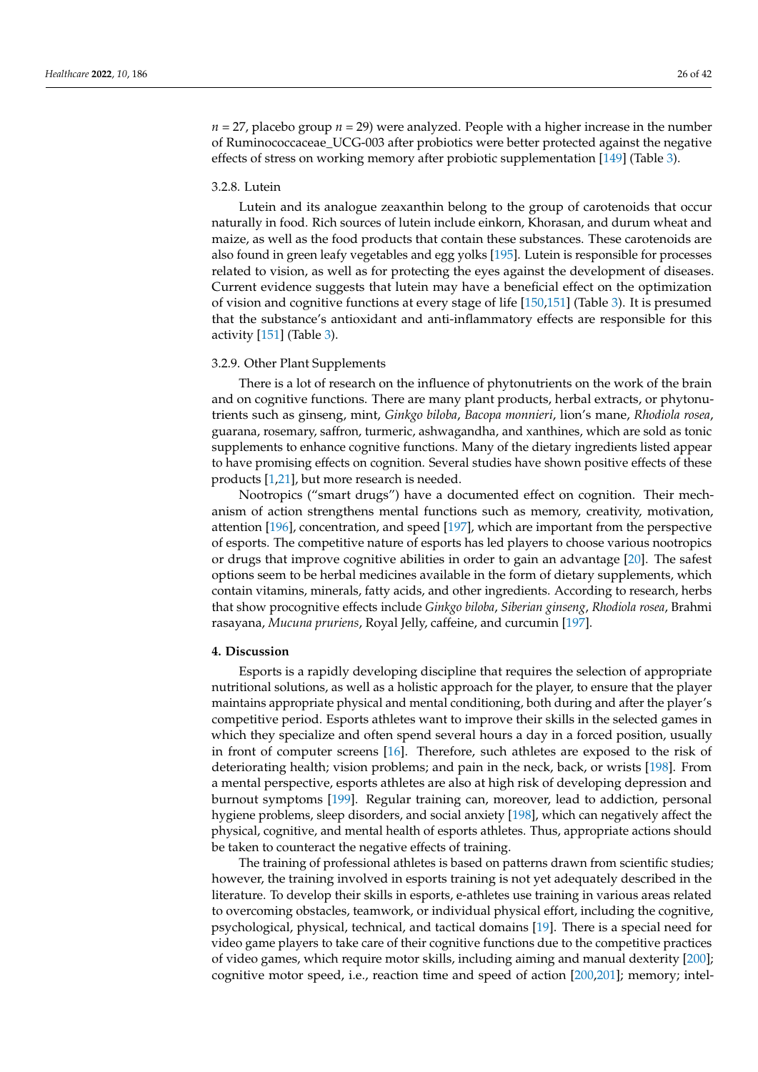$n = 27$ , placebo group  $n = 29$ ) were analyzed. People with a higher increase in the number of Ruminococcaceae\_UCG-003 after probiotics were better protected against the negative effects of stress on working memory after probiotic supplementation [\[149\]](#page-37-47) (Table [3\)](#page-20-0).

# 3.2.8. Lutein

Lutein and its analogue zeaxanthin belong to the group of carotenoids that occur naturally in food. Rich sources of lutein include einkorn, Khorasan, and durum wheat and maize, as well as the food products that contain these substances. These carotenoids are also found in green leafy vegetables and egg yolks [\[195\]](#page-39-14). Lutein is responsible for processes related to vision, as well as for protecting the eyes against the development of diseases. Current evidence suggests that lutein may have a beneficial effect on the optimization of vision and cognitive functions at every stage of life [\[150](#page-37-48)[,151\]](#page-37-49) (Table [3\)](#page-20-0). It is presumed that the substance's antioxidant and anti-inflammatory effects are responsible for this activity [\[151\]](#page-37-49) (Table [3\)](#page-20-0).

# 3.2.9. Other Plant Supplements

There is a lot of research on the influence of phytonutrients on the work of the brain and on cognitive functions. There are many plant products, herbal extracts, or phytonutrients such as ginseng, mint, *Ginkgo biloba*, *Bacopa monnieri*, lion's mane, *Rhodiola rosea*, guarana, rosemary, saffron, turmeric, ashwagandha, and xanthines, which are sold as tonic supplements to enhance cognitive functions. Many of the dietary ingredients listed appear to have promising effects on cognition. Several studies have shown positive effects of these products [\[1,](#page-32-0)[21\]](#page-33-3), but more research is needed.

Nootropics ("smart drugs") have a documented effect on cognition. Their mechanism of action strengthens mental functions such as memory, creativity, motivation, attention [\[196\]](#page-39-15), concentration, and speed [\[197\]](#page-39-16), which are important from the perspective of esports. The competitive nature of esports has led players to choose various nootropics or drugs that improve cognitive abilities in order to gain an advantage [\[20\]](#page-33-2). The safest options seem to be herbal medicines available in the form of dietary supplements, which contain vitamins, minerals, fatty acids, and other ingredients. According to research, herbs that show procognitive effects include *Ginkgo biloba*, *Siberian ginseng*, *Rhodiola rosea*, Brahmi rasayana, *Mucuna pruriens*, Royal Jelly, caffeine, and curcumin [\[197\]](#page-39-16).

## **4. Discussion**

Esports is a rapidly developing discipline that requires the selection of appropriate nutritional solutions, as well as a holistic approach for the player, to ensure that the player maintains appropriate physical and mental conditioning, both during and after the player's competitive period. Esports athletes want to improve their skills in the selected games in which they specialize and often spend several hours a day in a forced position, usually in front of computer screens [\[16\]](#page-32-15). Therefore, such athletes are exposed to the risk of deteriorating health; vision problems; and pain in the neck, back, or wrists [\[198\]](#page-39-17). From a mental perspective, esports athletes are also at high risk of developing depression and burnout symptoms [\[199\]](#page-39-18). Regular training can, moreover, lead to addiction, personal hygiene problems, sleep disorders, and social anxiety [\[198\]](#page-39-17), which can negatively affect the physical, cognitive, and mental health of esports athletes. Thus, appropriate actions should be taken to counteract the negative effects of training.

The training of professional athletes is based on patterns drawn from scientific studies; however, the training involved in esports training is not yet adequately described in the literature. To develop their skills in esports, e-athletes use training in various areas related to overcoming obstacles, teamwork, or individual physical effort, including the cognitive, psychological, physical, technical, and tactical domains [\[19\]](#page-33-1). There is a special need for video game players to take care of their cognitive functions due to the competitive practices of video games, which require motor skills, including aiming and manual dexterity [\[200\]](#page-39-19); cognitive motor speed, i.e., reaction time and speed of action [\[200](#page-39-19)[,201\]](#page-39-20); memory; intel-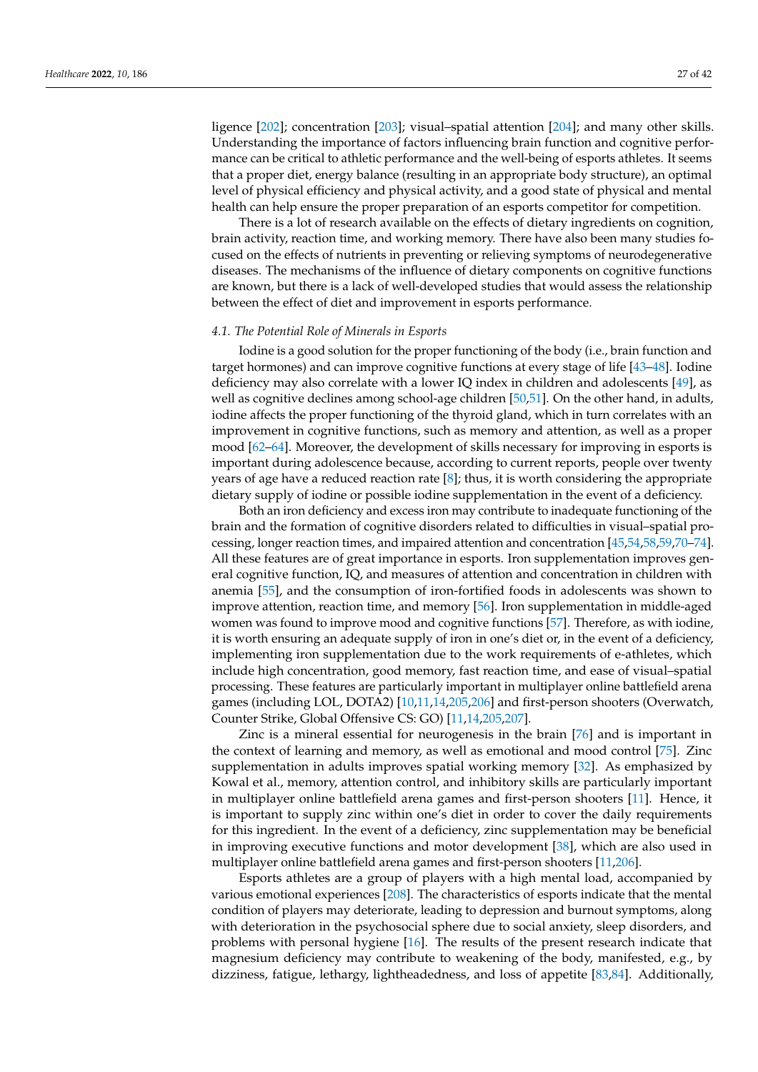ligence [\[202\]](#page-39-21); concentration [\[203\]](#page-39-22); visual–spatial attention [\[204\]](#page-39-23); and many other skills. Understanding the importance of factors influencing brain function and cognitive performance can be critical to athletic performance and the well-being of esports athletes. It seems that a proper diet, energy balance (resulting in an appropriate body structure), an optimal level of physical efficiency and physical activity, and a good state of physical and mental health can help ensure the proper preparation of an esports competitor for competition.

There is a lot of research available on the effects of dietary ingredients on cognition, brain activity, reaction time, and working memory. There have also been many studies focused on the effects of nutrients in preventing or relieving symptoms of neurodegenerative diseases. The mechanisms of the influence of dietary components on cognitive functions are known, but there is a lack of well-developed studies that would assess the relationship between the effect of diet and improvement in esports performance.

#### *4.1. The Potential Role of Minerals in Esports*

Iodine is a good solution for the proper functioning of the body (i.e., brain function and target hormones) and can improve cognitive functions at every stage of life [\[43–](#page-33-15)[48\]](#page-34-2). Iodine deficiency may also correlate with a lower IQ index in children and adolescents [\[49\]](#page-34-3), as well as cognitive declines among school-age children [\[50](#page-34-4)[,51\]](#page-34-5). On the other hand, in adults, iodine affects the proper functioning of the thyroid gland, which in turn correlates with an improvement in cognitive functions, such as memory and attention, as well as a proper mood [\[62](#page-34-19)[–64\]](#page-34-21). Moreover, the development of skills necessary for improving in esports is important during adolescence because, according to current reports, people over twenty years of age have a reduced reaction rate [\[8\]](#page-32-7); thus, it is worth considering the appropriate dietary supply of iodine or possible iodine supplementation in the event of a deficiency.

Both an iron deficiency and excess iron may contribute to inadequate functioning of the brain and the formation of cognitive disorders related to difficulties in visual–spatial processing, longer reaction times, and impaired attention and concentration [\[45,](#page-34-38)[54](#page-34-30)[,58](#page-34-34)[,59](#page-34-35)[,70](#page-34-28)[–74\]](#page-35-2). All these features are of great importance in esports. Iron supplementation improves general cognitive function, IQ, and measures of attention and concentration in children with anemia [\[55\]](#page-34-31), and the consumption of iron-fortified foods in adolescents was shown to improve attention, reaction time, and memory [\[56\]](#page-34-32). Iron supplementation in middle-aged women was found to improve mood and cognitive functions [\[57\]](#page-34-33). Therefore, as with iodine, it is worth ensuring an adequate supply of iron in one's diet or, in the event of a deficiency, implementing iron supplementation due to the work requirements of e-athletes, which include high concentration, good memory, fast reaction time, and ease of visual–spatial processing. These features are particularly important in multiplayer online battlefield arena games (including LOL, DOTA2) [\[10,](#page-32-9)[11,](#page-32-10)[14,](#page-32-13)[205,](#page-39-24)[206\]](#page-39-25) and first-person shooters (Overwatch, Counter Strike, Global Offensive CS: GO) [\[11,](#page-32-10)[14,](#page-32-13)[205,](#page-39-24)[207\]](#page-39-26).

Zinc is a mineral essential for neurogenesis in the brain [\[76\]](#page-35-4) and is important in the context of learning and memory, as well as emotional and mood control [\[75\]](#page-35-3). Zinc supplementation in adults improves spatial working memory [\[32\]](#page-33-8). As emphasized by Kowal et al., memory, attention control, and inhibitory skills are particularly important in multiplayer online battlefield arena games and first-person shooters [\[11\]](#page-32-10). Hence, it is important to supply zinc within one's diet in order to cover the daily requirements for this ingredient. In the event of a deficiency, zinc supplementation may be beneficial in improving executive functions and motor development [\[38\]](#page-33-10), which are also used in multiplayer online battlefield arena games and first-person shooters [\[11,](#page-32-10)[206\]](#page-39-25).

Esports athletes are a group of players with a high mental load, accompanied by various emotional experiences [\[208\]](#page-40-0). The characteristics of esports indicate that the mental condition of players may deteriorate, leading to depression and burnout symptoms, along with deterioration in the psychosocial sphere due to social anxiety, sleep disorders, and problems with personal hygiene [\[16\]](#page-32-15). The results of the present research indicate that magnesium deficiency may contribute to weakening of the body, manifested, e.g., by dizziness, fatigue, lethargy, lightheadedness, and loss of appetite [\[83,](#page-35-11)[84\]](#page-35-12). Additionally,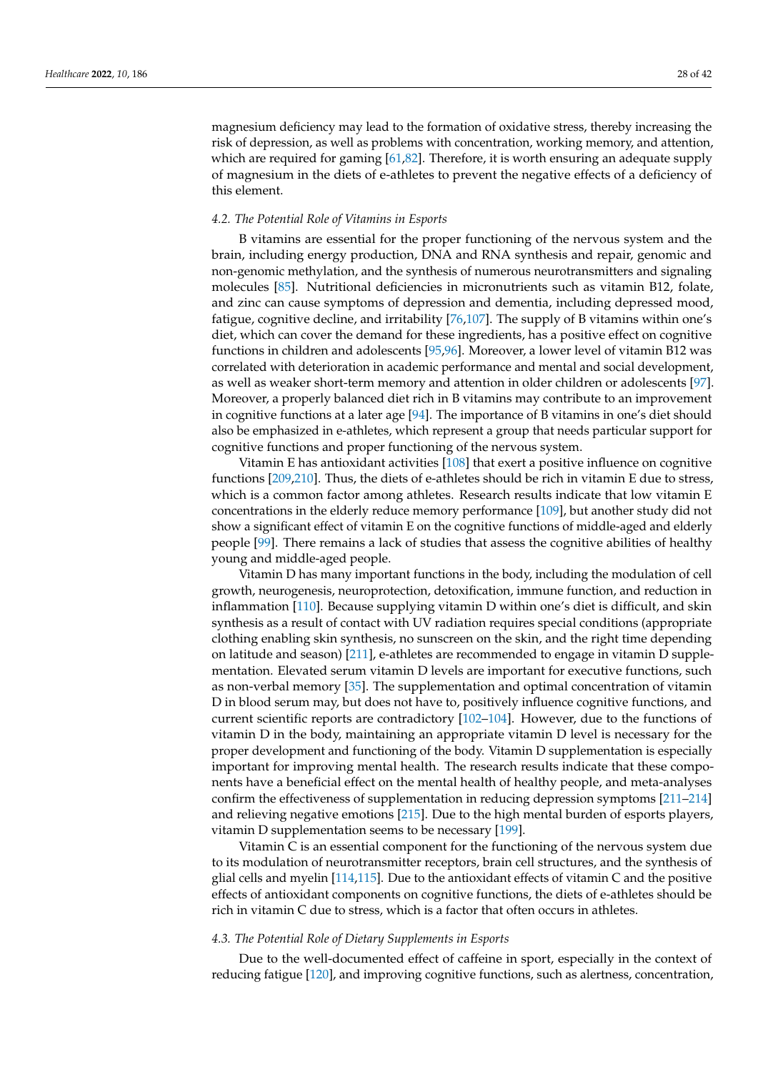magnesium deficiency may lead to the formation of oxidative stress, thereby increasing the risk of depression, as well as problems with concentration, working memory, and attention, which are required for gaming [\[61](#page-34-37)[,82\]](#page-35-10). Therefore, it is worth ensuring an adequate supply of magnesium in the diets of e-athletes to prevent the negative effects of a deficiency of this element.

# *4.2. The Potential Role of Vitamins in Esports*

B vitamins are essential for the proper functioning of the nervous system and the brain, including energy production, DNA and RNA synthesis and repair, genomic and non-genomic methylation, and the synthesis of numerous neurotransmitters and signaling molecules [\[85\]](#page-35-13). Nutritional deficiencies in micronutrients such as vitamin B12, folate, and zinc can cause symptoms of depression and dementia, including depressed mood, fatigue, cognitive decline, and irritability [\[76,](#page-35-4)[107\]](#page-36-6). The supply of B vitamins within one's diet, which can cover the demand for these ingredients, has a positive effect on cognitive functions in children and adolescents [\[95](#page-35-32)[,96\]](#page-35-33). Moreover, a lower level of vitamin B12 was correlated with deterioration in academic performance and mental and social development, as well as weaker short-term memory and attention in older children or adolescents [\[97\]](#page-35-34). Moreover, a properly balanced diet rich in B vitamins may contribute to an improvement in cognitive functions at a later age [\[94\]](#page-35-31). The importance of B vitamins in one's diet should also be emphasized in e-athletes, which represent a group that needs particular support for cognitive functions and proper functioning of the nervous system.

Vitamin E has antioxidant activities [\[108\]](#page-36-7) that exert a positive influence on cognitive functions [\[209](#page-40-1)[,210\]](#page-40-2). Thus, the diets of e-athletes should be rich in vitamin E due to stress, which is a common factor among athletes. Research results indicate that low vitamin E concentrations in the elderly reduce memory performance [\[109\]](#page-36-8), but another study did not show a significant effect of vitamin E on the cognitive functions of middle-aged and elderly people [\[99\]](#page-35-36). There remains a lack of studies that assess the cognitive abilities of healthy young and middle-aged people.

Vitamin D has many important functions in the body, including the modulation of cell growth, neurogenesis, neuroprotection, detoxification, immune function, and reduction in inflammation [\[110\]](#page-36-9). Because supplying vitamin D within one's diet is difficult, and skin synthesis as a result of contact with UV radiation requires special conditions (appropriate clothing enabling skin synthesis, no sunscreen on the skin, and the right time depending on latitude and season) [\[211\]](#page-40-3), e-athletes are recommended to engage in vitamin D supplementation. Elevated serum vitamin D levels are important for executive functions, such as non-verbal memory [\[35\]](#page-33-18). The supplementation and optimal concentration of vitamin D in blood serum may, but does not have to, positively influence cognitive functions, and current scientific reports are contradictory [\[102](#page-36-14)[–104\]](#page-36-16). However, due to the functions of vitamin D in the body, maintaining an appropriate vitamin D level is necessary for the proper development and functioning of the body. Vitamin D supplementation is especially important for improving mental health. The research results indicate that these components have a beneficial effect on the mental health of healthy people, and meta-analyses confirm the effectiveness of supplementation in reducing depression symptoms [\[211](#page-40-3)[–214\]](#page-40-4) and relieving negative emotions [\[215\]](#page-40-5). Due to the high mental burden of esports players, vitamin D supplementation seems to be necessary [\[199\]](#page-39-18).

Vitamin C is an essential component for the functioning of the nervous system due to its modulation of neurotransmitter receptors, brain cell structures, and the synthesis of glial cells and myelin [\[114,](#page-36-17)[115\]](#page-36-18). Due to the antioxidant effects of vitamin C and the positive effects of antioxidant components on cognitive functions, the diets of e-athletes should be rich in vitamin C due to stress, which is a factor that often occurs in athletes.

# *4.3. The Potential Role of Dietary Supplements in Esports*

Due to the well-documented effect of caffeine in sport, especially in the context of reducing fatigue [\[120\]](#page-36-24), and improving cognitive functions, such as alertness, concentration,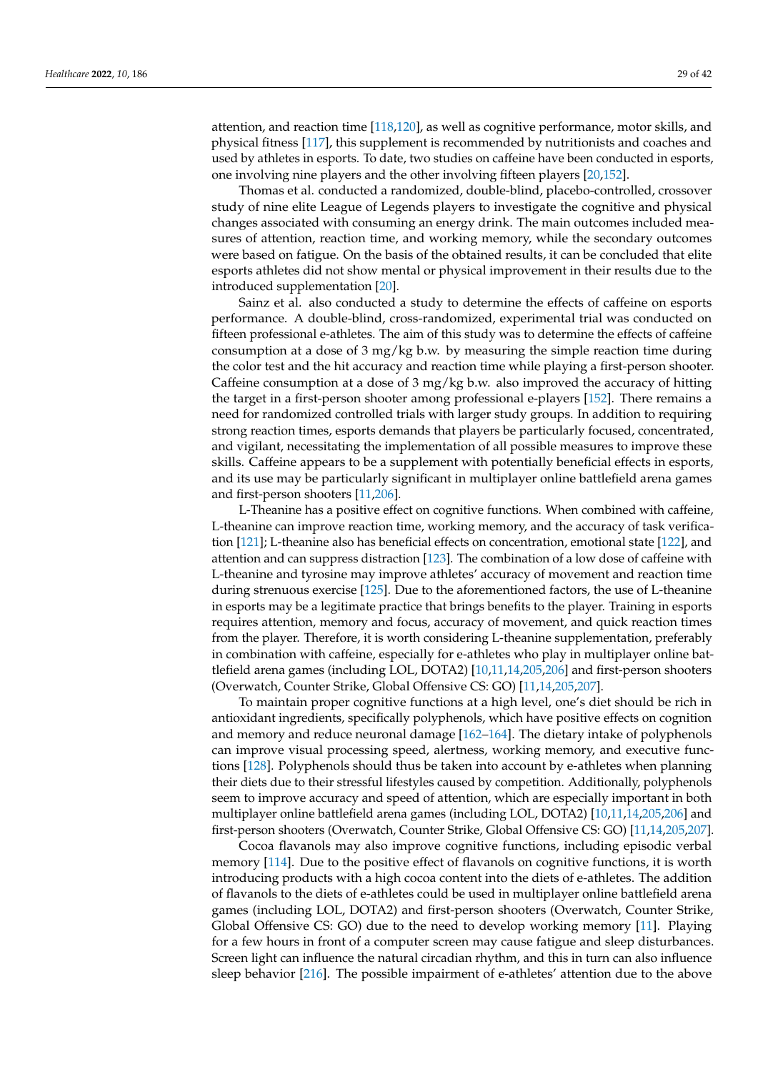attention, and reaction time [\[118,](#page-36-22)[120\]](#page-36-24), as well as cognitive performance, motor skills, and physical fitness [\[117\]](#page-36-21), this supplement is recommended by nutritionists and coaches and used by athletes in esports. To date, two studies on caffeine have been conducted in esports, one involving nine players and the other involving fifteen players [\[20](#page-33-2)[,152\]](#page-38-25).

Thomas et al. conducted a randomized, double-blind, placebo-controlled, crossover study of nine elite League of Legends players to investigate the cognitive and physical changes associated with consuming an energy drink. The main outcomes included measures of attention, reaction time, and working memory, while the secondary outcomes were based on fatigue. On the basis of the obtained results, it can be concluded that elite esports athletes did not show mental or physical improvement in their results due to the introduced supplementation [\[20\]](#page-33-2).

Sainz et al. also conducted a study to determine the effects of caffeine on esports performance. A double-blind, cross-randomized, experimental trial was conducted on fifteen professional e-athletes. The aim of this study was to determine the effects of caffeine consumption at a dose of 3 mg/kg b.w. by measuring the simple reaction time during the color test and the hit accuracy and reaction time while playing a first-person shooter. Caffeine consumption at a dose of  $3 \text{ mg/kg}$  b.w. also improved the accuracy of hitting the target in a first-person shooter among professional e-players [\[152\]](#page-38-25). There remains a need for randomized controlled trials with larger study groups. In addition to requiring strong reaction times, esports demands that players be particularly focused, concentrated, and vigilant, necessitating the implementation of all possible measures to improve these skills. Caffeine appears to be a supplement with potentially beneficial effects in esports, and its use may be particularly significant in multiplayer online battlefield arena games and first-person shooters [\[11](#page-32-10)[,206\]](#page-39-25).

L-Theanine has a positive effect on cognitive functions. When combined with caffeine, L-theanine can improve reaction time, working memory, and the accuracy of task verification [\[121\]](#page-36-35); L-theanine also has beneficial effects on concentration, emotional state [\[122\]](#page-36-36), and attention and can suppress distraction [\[123\]](#page-36-37). The combination of a low dose of caffeine with L-theanine and tyrosine may improve athletes' accuracy of movement and reaction time during strenuous exercise [\[125\]](#page-36-39). Due to the aforementioned factors, the use of L-theanine in esports may be a legitimate practice that brings benefits to the player. Training in esports requires attention, memory and focus, accuracy of movement, and quick reaction times from the player. Therefore, it is worth considering L-theanine supplementation, preferably in combination with caffeine, especially for e-athletes who play in multiplayer online battlefield arena games (including LOL, DOTA2) [\[10,](#page-32-9)[11,](#page-32-10)[14](#page-32-13)[,205](#page-39-24)[,206\]](#page-39-25) and first-person shooters (Overwatch, Counter Strike, Global Offensive CS: GO) [\[11,](#page-32-10)[14,](#page-32-13)[205,](#page-39-24)[207\]](#page-39-26).

To maintain proper cognitive functions at a high level, one's diet should be rich in antioxidant ingredients, specifically polyphenols, which have positive effects on cognition and memory and reduce neuronal damage [\[162–](#page-38-9)[164\]](#page-38-10). The dietary intake of polyphenols can improve visual processing speed, alertness, working memory, and executive functions [\[128\]](#page-37-26). Polyphenols should thus be taken into account by e-athletes when planning their diets due to their stressful lifestyles caused by competition. Additionally, polyphenols seem to improve accuracy and speed of attention, which are especially important in both multiplayer online battlefield arena games (including LOL, DOTA2) [\[10,](#page-32-9)[11,](#page-32-10)[14,](#page-32-13)[205](#page-39-24)[,206\]](#page-39-25) and first-person shooters (Overwatch, Counter Strike, Global Offensive CS: GO) [\[11,](#page-32-10)[14,](#page-32-13)[205](#page-39-24)[,207\]](#page-39-26).

Cocoa flavanols may also improve cognitive functions, including episodic verbal memory [\[114\]](#page-36-17). Due to the positive effect of flavanols on cognitive functions, it is worth introducing products with a high cocoa content into the diets of e-athletes. The addition of flavanols to the diets of e-athletes could be used in multiplayer online battlefield arena games (including LOL, DOTA2) and first-person shooters (Overwatch, Counter Strike, Global Offensive CS: GO) due to the need to develop working memory [\[11\]](#page-32-10). Playing for a few hours in front of a computer screen may cause fatigue and sleep disturbances. Screen light can influence the natural circadian rhythm, and this in turn can also influence sleep behavior [\[216\]](#page-40-6). The possible impairment of e-athletes' attention due to the above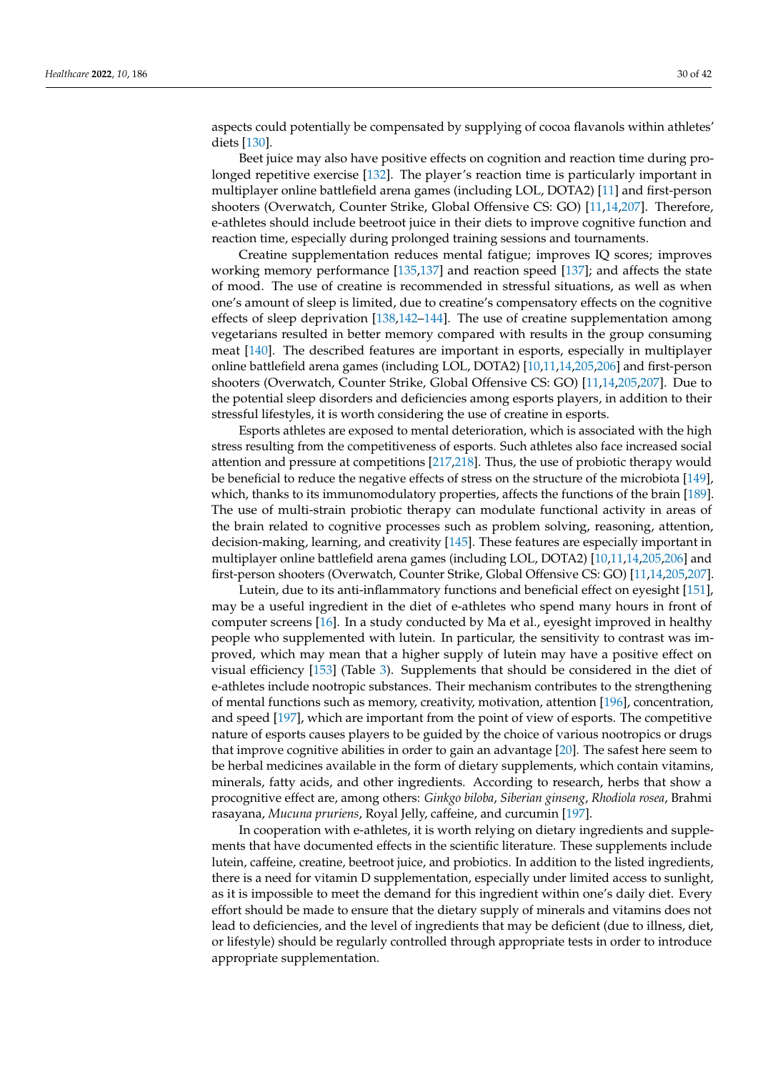aspects could potentially be compensated by supplying of cocoa flavanols within athletes' diets [\[130\]](#page-37-28).

Beet juice may also have positive effects on cognition and reaction time during prolonged repetitive exercise [\[132\]](#page-37-30). The player's reaction time is particularly important in multiplayer online battlefield arena games (including LOL, DOTA2) [\[11\]](#page-32-10) and first-person shooters (Overwatch, Counter Strike, Global Offensive CS: GO) [\[11,](#page-32-10)[14,](#page-32-13)[207\]](#page-39-26). Therefore, e-athletes should include beetroot juice in their diets to improve cognitive function and reaction time, especially during prolonged training sessions and tournaments.

Creatine supplementation reduces mental fatigue; improves IQ scores; improves working memory performance [\[135,](#page-37-33)[137\]](#page-37-35) and reaction speed [\[137\]](#page-37-35); and affects the state of mood. The use of creatine is recommended in stressful situations, as well as when one's amount of sleep is limited, due to creatine's compensatory effects on the cognitive effects of sleep deprivation [\[138,](#page-37-36)[142](#page-37-40)[–144\]](#page-37-42). The use of creatine supplementation among vegetarians resulted in better memory compared with results in the group consuming meat [\[140\]](#page-37-38). The described features are important in esports, especially in multiplayer online battlefield arena games (including LOL, DOTA2) [\[10](#page-32-9)[,11,](#page-32-10)[14,](#page-32-13)[205,](#page-39-24)[206\]](#page-39-25) and first-person shooters (Overwatch, Counter Strike, Global Offensive CS: GO) [\[11,](#page-32-10)[14,](#page-32-13)[205,](#page-39-24)[207\]](#page-39-26). Due to the potential sleep disorders and deficiencies among esports players, in addition to their stressful lifestyles, it is worth considering the use of creatine in esports.

Esports athletes are exposed to mental deterioration, which is associated with the high stress resulting from the competitiveness of esports. Such athletes also face increased social attention and pressure at competitions [\[217](#page-40-7)[,218\]](#page-40-8). Thus, the use of probiotic therapy would be beneficial to reduce the negative effects of stress on the structure of the microbiota [\[149\]](#page-37-47), which, thanks to its immunomodulatory properties, affects the functions of the brain [\[189\]](#page-39-8). The use of multi-strain probiotic therapy can modulate functional activity in areas of the brain related to cognitive processes such as problem solving, reasoning, attention, decision-making, learning, and creativity [\[145\]](#page-37-43). These features are especially important in multiplayer online battlefield arena games (including LOL, DOTA2) [\[10,](#page-32-9)[11,](#page-32-10)[14,](#page-32-13)[205](#page-39-24)[,206\]](#page-39-25) and first-person shooters (Overwatch, Counter Strike, Global Offensive CS: GO) [\[11,](#page-32-10)[14,](#page-32-13)[205](#page-39-24)[,207\]](#page-39-26).

Lutein, due to its anti-inflammatory functions and beneficial effect on eyesight [\[151\]](#page-37-49), may be a useful ingredient in the diet of e-athletes who spend many hours in front of computer screens [\[16\]](#page-32-15). In a study conducted by Ma et al., eyesight improved in healthy people who supplemented with lutein. In particular, the sensitivity to contrast was improved, which may mean that a higher supply of lutein may have a positive effect on visual efficiency [\[153\]](#page-38-26) (Table [3\)](#page-20-0). Supplements that should be considered in the diet of e-athletes include nootropic substances. Their mechanism contributes to the strengthening of mental functions such as memory, creativity, motivation, attention [\[196\]](#page-39-15), concentration, and speed [\[197\]](#page-39-16), which are important from the point of view of esports. The competitive nature of esports causes players to be guided by the choice of various nootropics or drugs that improve cognitive abilities in order to gain an advantage [\[20\]](#page-33-2). The safest here seem to be herbal medicines available in the form of dietary supplements, which contain vitamins, minerals, fatty acids, and other ingredients. According to research, herbs that show a procognitive effect are, among others: *Ginkgo biloba*, *Siberian ginseng*, *Rhodiola rosea*, Brahmi rasayana, *Mucuna pruriens*, Royal Jelly, caffeine, and curcumin [\[197\]](#page-39-16).

In cooperation with e-athletes, it is worth relying on dietary ingredients and supplements that have documented effects in the scientific literature. These supplements include lutein, caffeine, creatine, beetroot juice, and probiotics. In addition to the listed ingredients, there is a need for vitamin D supplementation, especially under limited access to sunlight, as it is impossible to meet the demand for this ingredient within one's daily diet. Every effort should be made to ensure that the dietary supply of minerals and vitamins does not lead to deficiencies, and the level of ingredients that may be deficient (due to illness, diet, or lifestyle) should be regularly controlled through appropriate tests in order to introduce appropriate supplementation.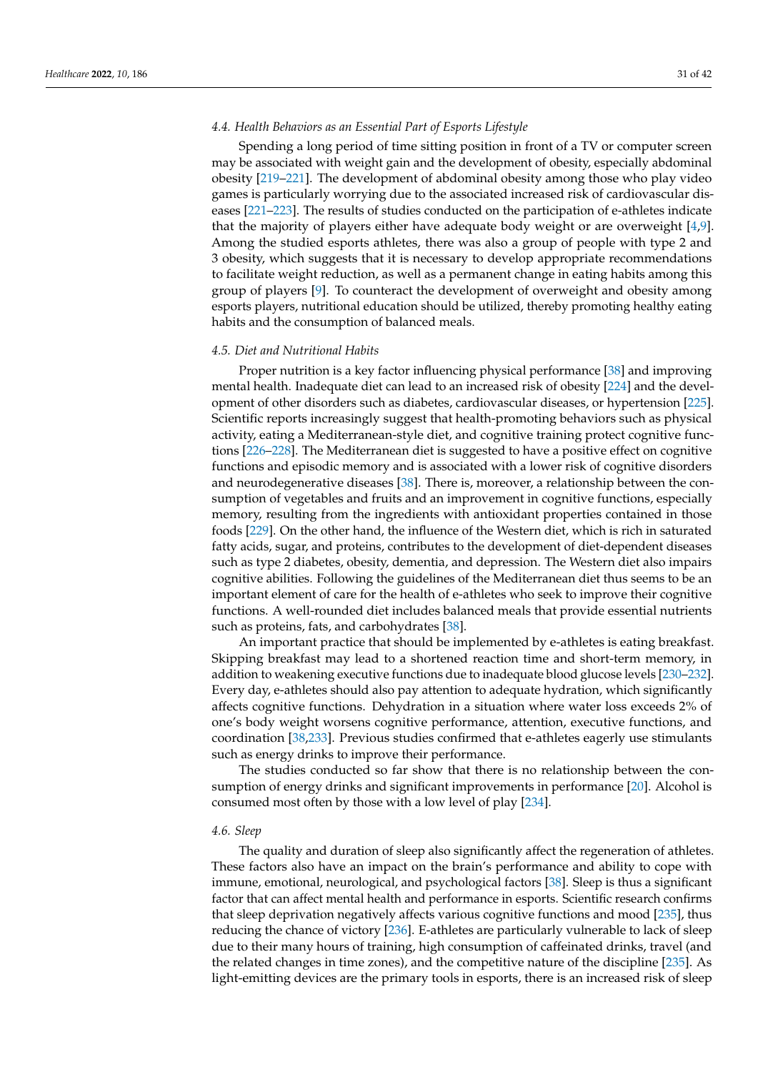# *4.4. Health Behaviors as an Essential Part of Esports Lifestyle*

Spending a long period of time sitting position in front of a TV or computer screen may be associated with weight gain and the development of obesity, especially abdominal obesity [\[219–](#page-40-9)[221\]](#page-40-10). The development of abdominal obesity among those who play video games is particularly worrying due to the associated increased risk of cardiovascular diseases [\[221–](#page-40-10)[223\]](#page-40-11). The results of studies conducted on the participation of e-athletes indicate that the majority of players either have adequate body weight or are overweight [\[4,](#page-32-3)[9\]](#page-32-8). Among the studied esports athletes, there was also a group of people with type 2 and 3 obesity, which suggests that it is necessary to develop appropriate recommendations to facilitate weight reduction, as well as a permanent change in eating habits among this group of players [\[9\]](#page-32-8). To counteract the development of overweight and obesity among esports players, nutritional education should be utilized, thereby promoting healthy eating habits and the consumption of balanced meals.

# *4.5. Diet and Nutritional Habits*

Proper nutrition is a key factor influencing physical performance [\[38\]](#page-33-10) and improving mental health. Inadequate diet can lead to an increased risk of obesity [\[224\]](#page-40-12) and the development of other disorders such as diabetes, cardiovascular diseases, or hypertension [\[225\]](#page-40-13). Scientific reports increasingly suggest that health-promoting behaviors such as physical activity, eating a Mediterranean-style diet, and cognitive training protect cognitive functions [\[226–](#page-40-14)[228\]](#page-40-15). The Mediterranean diet is suggested to have a positive effect on cognitive functions and episodic memory and is associated with a lower risk of cognitive disorders and neurodegenerative diseases [\[38\]](#page-33-10). There is, moreover, a relationship between the consumption of vegetables and fruits and an improvement in cognitive functions, especially memory, resulting from the ingredients with antioxidant properties contained in those foods [\[229\]](#page-40-16). On the other hand, the influence of the Western diet, which is rich in saturated fatty acids, sugar, and proteins, contributes to the development of diet-dependent diseases such as type 2 diabetes, obesity, dementia, and depression. The Western diet also impairs cognitive abilities. Following the guidelines of the Mediterranean diet thus seems to be an important element of care for the health of e-athletes who seek to improve their cognitive functions. A well-rounded diet includes balanced meals that provide essential nutrients such as proteins, fats, and carbohydrates [\[38\]](#page-33-10).

An important practice that should be implemented by e-athletes is eating breakfast. Skipping breakfast may lead to a shortened reaction time and short-term memory, in addition to weakening executive functions due to inadequate blood glucose levels [\[230](#page-40-17)[–232\]](#page-40-18). Every day, e-athletes should also pay attention to adequate hydration, which significantly affects cognitive functions. Dehydration in a situation where water loss exceeds 2% of one's body weight worsens cognitive performance, attention, executive functions, and coordination [\[38](#page-33-10)[,233\]](#page-40-19). Previous studies confirmed that e-athletes eagerly use stimulants such as energy drinks to improve their performance.

The studies conducted so far show that there is no relationship between the consumption of energy drinks and significant improvements in performance [\[20\]](#page-33-2). Alcohol is consumed most often by those with a low level of play [\[234\]](#page-40-20).

## *4.6. Sleep*

The quality and duration of sleep also significantly affect the regeneration of athletes. These factors also have an impact on the brain's performance and ability to cope with immune, emotional, neurological, and psychological factors [\[38\]](#page-33-10). Sleep is thus a significant factor that can affect mental health and performance in esports. Scientific research confirms that sleep deprivation negatively affects various cognitive functions and mood [\[235\]](#page-41-0), thus reducing the chance of victory [\[236\]](#page-41-1). E-athletes are particularly vulnerable to lack of sleep due to their many hours of training, high consumption of caffeinated drinks, travel (and the related changes in time zones), and the competitive nature of the discipline [\[235\]](#page-41-0). As light-emitting devices are the primary tools in esports, there is an increased risk of sleep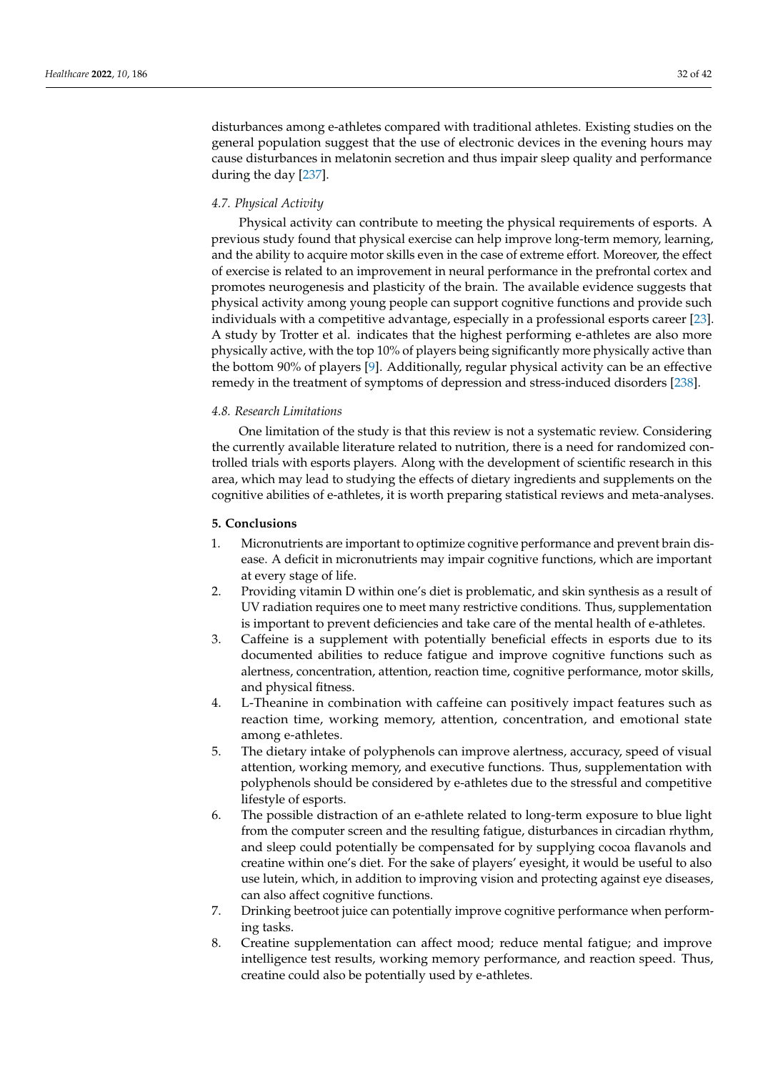disturbances among e-athletes compared with traditional athletes. Existing studies on the general population suggest that the use of electronic devices in the evening hours may cause disturbances in melatonin secretion and thus impair sleep quality and performance during the day [\[237\]](#page-41-2).

# *4.7. Physical Activity*

Physical activity can contribute to meeting the physical requirements of esports. A previous study found that physical exercise can help improve long-term memory, learning, and the ability to acquire motor skills even in the case of extreme effort. Moreover, the effect of exercise is related to an improvement in neural performance in the prefrontal cortex and promotes neurogenesis and plasticity of the brain. The available evidence suggests that physical activity among young people can support cognitive functions and provide such individuals with a competitive advantage, especially in a professional esports career [\[23\]](#page-33-5). A study by Trotter et al. indicates that the highest performing e-athletes are also more physically active, with the top 10% of players being significantly more physically active than the bottom 90% of players [\[9\]](#page-32-8). Additionally, regular physical activity can be an effective remedy in the treatment of symptoms of depression and stress-induced disorders [\[238\]](#page-41-3).

# *4.8. Research Limitations*

One limitation of the study is that this review is not a systematic review. Considering the currently available literature related to nutrition, there is a need for randomized controlled trials with esports players. Along with the development of scientific research in this area, which may lead to studying the effects of dietary ingredients and supplements on the cognitive abilities of e-athletes, it is worth preparing statistical reviews and meta-analyses.

# **5. Conclusions**

- 1. Micronutrients are important to optimize cognitive performance and prevent brain disease. A deficit in micronutrients may impair cognitive functions, which are important at every stage of life.
- 2. Providing vitamin D within one's diet is problematic, and skin synthesis as a result of UV radiation requires one to meet many restrictive conditions. Thus, supplementation is important to prevent deficiencies and take care of the mental health of e-athletes.
- 3. Caffeine is a supplement with potentially beneficial effects in esports due to its documented abilities to reduce fatigue and improve cognitive functions such as alertness, concentration, attention, reaction time, cognitive performance, motor skills, and physical fitness.
- 4. L-Theanine in combination with caffeine can positively impact features such as reaction time, working memory, attention, concentration, and emotional state among e-athletes.
- 5. The dietary intake of polyphenols can improve alertness, accuracy, speed of visual attention, working memory, and executive functions. Thus, supplementation with polyphenols should be considered by e-athletes due to the stressful and competitive lifestyle of esports.
- 6. The possible distraction of an e-athlete related to long-term exposure to blue light from the computer screen and the resulting fatigue, disturbances in circadian rhythm, and sleep could potentially be compensated for by supplying cocoa flavanols and creatine within one's diet. For the sake of players' eyesight, it would be useful to also use lutein, which, in addition to improving vision and protecting against eye diseases, can also affect cognitive functions.
- 7. Drinking beetroot juice can potentially improve cognitive performance when performing tasks.
- 8. Creatine supplementation can affect mood; reduce mental fatigue; and improve intelligence test results, working memory performance, and reaction speed. Thus, creatine could also be potentially used by e-athletes.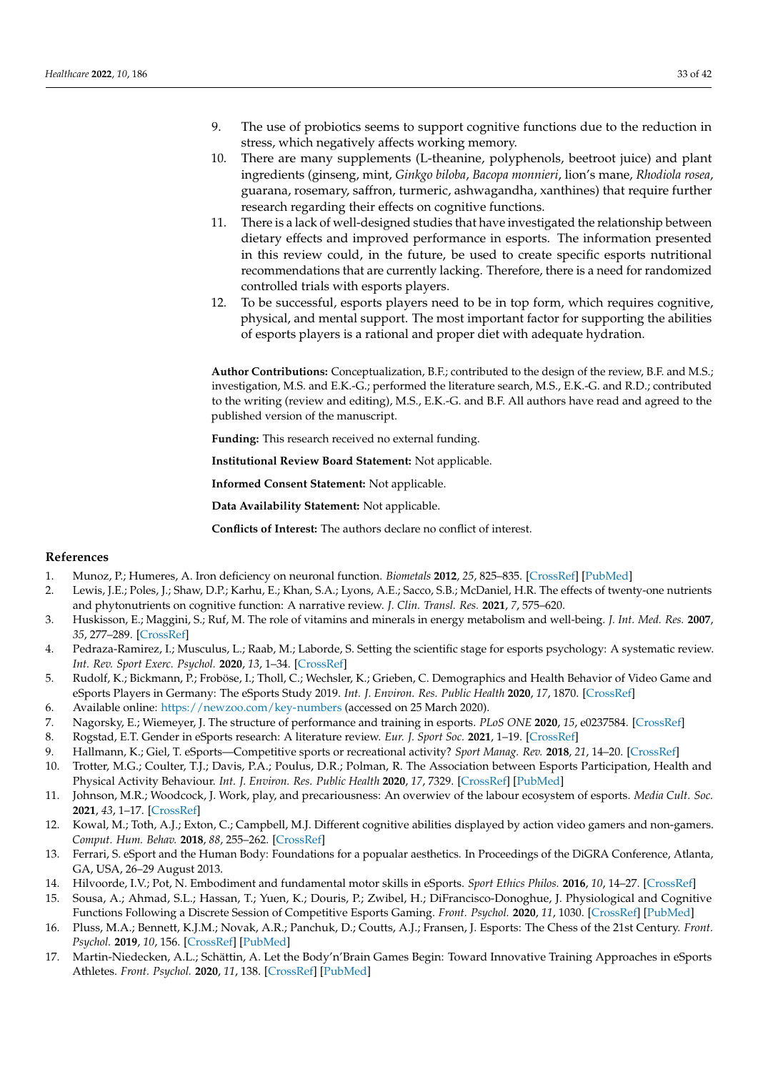- 9. The use of probiotics seems to support cognitive functions due to the reduction in stress, which negatively affects working memory.
- 10. There are many supplements (L-theanine, polyphenols, beetroot juice) and plant ingredients (ginseng, mint, *Ginkgo biloba*, *Bacopa monnieri*, lion's mane, *Rhodiola rosea*, guarana, rosemary, saffron, turmeric, ashwagandha, xanthines) that require further research regarding their effects on cognitive functions.
- 11. There is a lack of well-designed studies that have investigated the relationship between dietary effects and improved performance in esports. The information presented in this review could, in the future, be used to create specific esports nutritional recommendations that are currently lacking. Therefore, there is a need for randomized controlled trials with esports players.
- 12. To be successful, esports players need to be in top form, which requires cognitive, physical, and mental support. The most important factor for supporting the abilities of esports players is a rational and proper diet with adequate hydration.

**Author Contributions:** Conceptualization, B.F.; contributed to the design of the review, B.F. and M.S.; investigation, M.S. and E.K.-G.; performed the literature search, M.S., E.K.-G. and R.D.; contributed to the writing (review and editing), M.S., E.K.-G. and B.F. All authors have read and agreed to the published version of the manuscript.

**Funding:** This research received no external funding.

**Institutional Review Board Statement:** Not applicable.

**Informed Consent Statement:** Not applicable.

**Data Availability Statement:** Not applicable.

**Conflicts of Interest:** The authors declare no conflict of interest.

# **References**

- <span id="page-32-0"></span>1. Munoz, P.; Humeres, A. Iron deficiency on neuronal function. *Biometals* **2012**, *25*, 825–835. [\[CrossRef\]](http://doi.org/10.1007/s10534-012-9550-x) [\[PubMed\]](http://www.ncbi.nlm.nih.gov/pubmed/22639188)
- <span id="page-32-1"></span>2. Lewis, J.E.; Poles, J.; Shaw, D.P.; Karhu, E.; Khan, S.A.; Lyons, A.E.; Sacco, S.B.; McDaniel, H.R. The effects of twenty-one nutrients and phytonutrients on cognitive function: A narrative review. *J. Clin. Transl. Res.* **2021**, *7*, 575–620.
- <span id="page-32-2"></span>3. Huskisson, E.; Maggini, S.; Ruf, M. The role of vitamins and minerals in energy metabolism and well-being. *J. Int. Med. Res.* **2007**, *35*, 277–289. [\[CrossRef\]](http://doi.org/10.1177/147323000703500301)
- <span id="page-32-3"></span>4. Pedraza-Ramirez, I.; Musculus, L.; Raab, M.; Laborde, S. Setting the scientific stage for esports psychology: A systematic review. *Int. Rev. Sport Exerc. Psychol.* **2020**, *13*, 1–34. [\[CrossRef\]](http://doi.org/10.1080/1750984X.2020.1723122)
- <span id="page-32-4"></span>5. Rudolf, K.; Bickmann, P.; Froböse, I.; Tholl, C.; Wechsler, K.; Grieben, C. Demographics and Health Behavior of Video Game and eSports Players in Germany: The eSports Study 2019. *Int. J. Environ. Res. Public Health* **2020**, *17*, 1870. [\[CrossRef\]](http://doi.org/10.3390/ijerph17061870)
- <span id="page-32-5"></span>6. Available online: <https://newzoo.com/key-numbers> (accessed on 25 March 2020).
- <span id="page-32-6"></span>7. Nagorsky, E.; Wiemeyer, J. The structure of performance and training in esports. *PLoS ONE* **2020**, *15*, e0237584. [\[CrossRef\]](http://doi.org/10.1371/journal.pone.0237584)
- <span id="page-32-7"></span>8. Rogstad, E.T. Gender in eSports research: A literature review. *Eur. J. Sport Soc.* **2021**, 1–19. [\[CrossRef\]](http://doi.org/10.1080/16138171.2021.1930941)
- <span id="page-32-8"></span>9. Hallmann, K.; Giel, T. eSports—Competitive sports or recreational activity? *Sport Manag. Rev.* **2018**, *21*, 14–20. [\[CrossRef\]](http://doi.org/10.1016/j.smr.2017.07.011)
- <span id="page-32-9"></span>10. Trotter, M.G.; Coulter, T.J.; Davis, P.A.; Poulus, D.R.; Polman, R. The Association between Esports Participation, Health and Physical Activity Behaviour. *Int. J. Environ. Res. Public Health* **2020**, *17*, 7329. [\[CrossRef\]](http://doi.org/10.3390/ijerph17197329) [\[PubMed\]](http://www.ncbi.nlm.nih.gov/pubmed/33049914)
- <span id="page-32-10"></span>11. Johnson, M.R.; Woodcock, J. Work, play, and precariousness: An overwiev of the labour ecosystem of esports. *Media Cult. Soc.* **2021**, *43*, 1–17. [\[CrossRef\]](http://doi.org/10.1177/01634437211011555)
- <span id="page-32-11"></span>12. Kowal, M.; Toth, A.J.; Exton, C.; Campbell, M.J. Different cognitive abilities displayed by action video gamers and non-gamers. *Comput. Hum. Behav.* **2018**, *88*, 255–262. [\[CrossRef\]](http://doi.org/10.1016/j.chb.2018.07.010)
- <span id="page-32-12"></span>13. Ferrari, S. eSport and the Human Body: Foundations for a popualar aesthetics. In Proceedings of the DiGRA Conference, Atlanta, GA, USA, 26–29 August 2013.
- <span id="page-32-13"></span>14. Hilvoorde, I.V.; Pot, N. Embodiment and fundamental motor skills in eSports. *Sport Ethics Philos.* **2016**, *10*, 14–27. [\[CrossRef\]](http://doi.org/10.1080/17511321.2016.1159246)
- <span id="page-32-14"></span>15. Sousa, A.; Ahmad, S.L.; Hassan, T.; Yuen, K.; Douris, P.; Zwibel, H.; DiFrancisco-Donoghue, J. Physiological and Cognitive Functions Following a Discrete Session of Competitive Esports Gaming. *Front. Psychol.* **2020**, *11*, 1030. [\[CrossRef\]](http://doi.org/10.3389/fpsyg.2020.01030) [\[PubMed\]](http://www.ncbi.nlm.nih.gov/pubmed/32547452)
- <span id="page-32-15"></span>16. Pluss, M.A.; Bennett, K.J.M.; Novak, A.R.; Panchuk, D.; Coutts, A.J.; Fransen, J. Esports: The Chess of the 21st Century. *Front. Psychol.* **2019**, *10*, 156. [\[CrossRef\]](http://doi.org/10.3389/fpsyg.2019.00156) [\[PubMed\]](http://www.ncbi.nlm.nih.gov/pubmed/30761055)
- <span id="page-32-16"></span>17. Martin-Niedecken, A.L.; Schättin, A. Let the Body'n'Brain Games Begin: Toward Innovative Training Approaches in eSports Athletes. *Front. Psychol.* **2020**, *11*, 138. [\[CrossRef\]](http://doi.org/10.3389/fpsyg.2020.00138) [\[PubMed\]](http://www.ncbi.nlm.nih.gov/pubmed/32140125)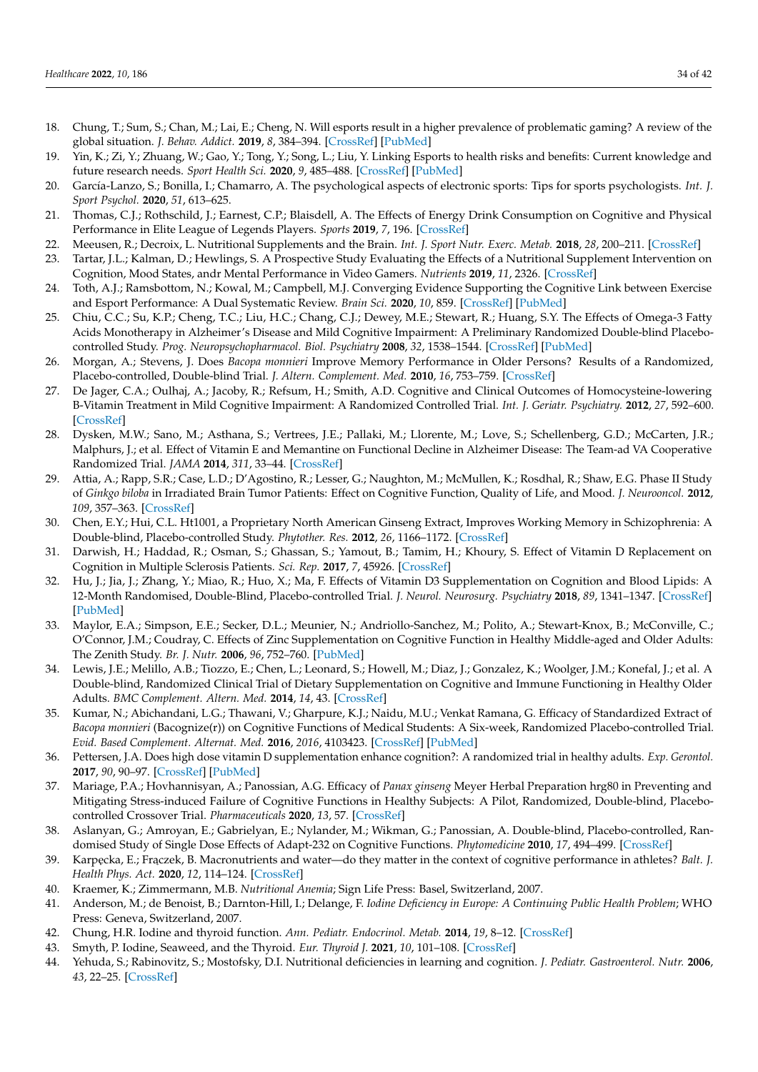- <span id="page-33-19"></span><span id="page-33-0"></span>18. Chung, T.; Sum, S.; Chan, M.; Lai, E.; Cheng, N. Will esports result in a higher prevalence of problematic gaming? A review of the global situation. *J. Behav. Addict.* **2019**, *8*, 384–394. [\[CrossRef\]](http://doi.org/10.1556/2006.8.2019.46) [\[PubMed\]](http://www.ncbi.nlm.nih.gov/pubmed/31553236)
- <span id="page-33-1"></span>19. Yin, K.; Zi, Y.; Zhuang, W.; Gao, Y.; Tong, Y.; Song, L.; Liu, Y. Linking Esports to health risks and benefits: Current knowledge and future research needs. *Sport Health Sci.* **2020**, *9*, 485–488. [\[CrossRef\]](http://doi.org/10.1016/j.jshs.2020.04.006) [\[PubMed\]](http://www.ncbi.nlm.nih.gov/pubmed/32417192)
- <span id="page-33-2"></span>20. García-Lanzo, S.; Bonilla, I.; Chamarro, A. The psychological aspects of electronic sports: Tips for sports psychologists. *Int. J. Sport Psychol.* **2020**, *51*, 613–625.
- <span id="page-33-3"></span>21. Thomas, C.J.; Rothschild, J.; Earnest, C.P.; Blaisdell, A. The Effects of Energy Drink Consumption on Cognitive and Physical Performance in Elite League of Legends Players. *Sports* **2019**, *7*, 196. [\[CrossRef\]](http://doi.org/10.3390/sports7090196)
- <span id="page-33-4"></span>22. Meeusen, R.; Decroix, L. Nutritional Supplements and the Brain. *Int. J. Sport Nutr. Exerc. Metab.* **2018**, *28*, 200–211. [\[CrossRef\]](http://doi.org/10.1123/ijsnem.2017-0314)
- <span id="page-33-16"></span><span id="page-33-5"></span>23. Tartar, J.L.; Kalman, D.; Hewlings, S. A Prospective Study Evaluating the Effects of a Nutritional Supplement Intervention on Cognition, Mood States, andr Mental Performance in Video Gamers. *Nutrients* **2019**, *11*, 2326. [\[CrossRef\]](http://doi.org/10.3390/nu11102326)
- <span id="page-33-6"></span>24. Toth, A.J.; Ramsbottom, N.; Kowal, M.; Campbell, M.J. Converging Evidence Supporting the Cognitive Link between Exercise and Esport Performance: A Dual Systematic Review. *Brain Sci.* **2020**, *10*, 859. [\[CrossRef\]](http://doi.org/10.3390/brainsci10110859) [\[PubMed\]](http://www.ncbi.nlm.nih.gov/pubmed/33203067)
- 25. Chiu, C.C.; Su, K.P.; Cheng, T.C.; Liu, H.C.; Chang, C.J.; Dewey, M.E.; Stewart, R.; Huang, S.Y. The Effects of Omega-3 Fatty Acids Monotherapy in Alzheimer's Disease and Mild Cognitive Impairment: A Preliminary Randomized Double-blind Placebocontrolled Study. *Prog. Neuropsychopharmacol. Biol. Psychiatry* **2008**, *32*, 1538–1544. [\[CrossRef\]](http://doi.org/10.1016/j.pnpbp.2008.05.015) [\[PubMed\]](http://www.ncbi.nlm.nih.gov/pubmed/18573585)
- 26. Morgan, A.; Stevens, J. Does *Bacopa monnieri* Improve Memory Performance in Older Persons? Results of a Randomized, Placebo-controlled, Double-blind Trial. *J. Altern. Complement. Med.* **2010**, *16*, 753–759. [\[CrossRef\]](http://doi.org/10.1089/acm.2009.0342)
- <span id="page-33-17"></span>27. De Jager, C.A.; Oulhaj, A.; Jacoby, R.; Refsum, H.; Smith, A.D. Cognitive and Clinical Outcomes of Homocysteine-lowering B-Vitamin Treatment in Mild Cognitive Impairment: A Randomized Controlled Trial. *Int. J. Geriatr. Psychiatry.* **2012**, *27*, 592–600. [\[CrossRef\]](http://doi.org/10.1002/gps.2758)
- 28. Dysken, M.W.; Sano, M.; Asthana, S.; Vertrees, J.E.; Pallaki, M.; Llorente, M.; Love, S.; Schellenberg, G.D.; McCarten, J.R.; Malphurs, J.; et al. Effect of Vitamin E and Memantine on Functional Decline in Alzheimer Disease: The Team-ad VA Cooperative Randomized Trial. *JAMA* **2014**, *311*, 33–44. [\[CrossRef\]](http://doi.org/10.1001/jama.2013.282834)
- 29. Attia, A.; Rapp, S.R.; Case, L.D.; D'Agostino, R.; Lesser, G.; Naughton, M.; McMullen, K.; Rosdhal, R.; Shaw, E.G. Phase II Study of *Ginkgo biloba* in Irradiated Brain Tumor Patients: Effect on Cognitive Function, Quality of Life, and Mood. *J. Neurooncol.* **2012**, *109*, 357–363. [\[CrossRef\]](http://doi.org/10.1007/s11060-012-0901-9)
- 30. Chen, E.Y.; Hui, C.L. Ht1001, a Proprietary North American Ginseng Extract, Improves Working Memory in Schizophrenia: A Double-blind, Placebo-controlled Study. *Phytother. Res.* **2012**, *26*, 1166–1172. [\[CrossRef\]](http://doi.org/10.1002/ptr.3700)
- <span id="page-33-7"></span>31. Darwish, H.; Haddad, R.; Osman, S.; Ghassan, S.; Yamout, B.; Tamim, H.; Khoury, S. Effect of Vitamin D Replacement on Cognition in Multiple Sclerosis Patients. *Sci. Rep.* **2017**, *7*, 45926. [\[CrossRef\]](http://doi.org/10.1038/srep45926)
- <span id="page-33-8"></span>32. Hu, J.; Jia, J.; Zhang, Y.; Miao, R.; Huo, X.; Ma, F. Effects of Vitamin D3 Supplementation on Cognition and Blood Lipids: A 12-Month Randomised, Double-Blind, Placebo-controlled Trial. *J. Neurol. Neurosurg. Psychiatry* **2018**, *89*, 1341–1347. [\[CrossRef\]](http://doi.org/10.1136/jnnp-2018-318594) [\[PubMed\]](http://www.ncbi.nlm.nih.gov/pubmed/30279212)
- 33. Maylor, E.A.; Simpson, E.E.; Secker, D.L.; Meunier, N.; Andriollo-Sanchez, M.; Polito, A.; Stewart-Knox, B.; McConville, C.; O'Connor, J.M.; Coudray, C. Effects of Zinc Supplementation on Cognitive Function in Healthy Middle-aged and Older Adults: The Zenith Study. *Br. J. Nutr.* **2006**, *96*, 752–760. [\[PubMed\]](http://www.ncbi.nlm.nih.gov/pubmed/17010236)
- 34. Lewis, J.E.; Melillo, A.B.; Tiozzo, E.; Chen, L.; Leonard, S.; Howell, M.; Diaz, J.; Gonzalez, K.; Woolger, J.M.; Konefal, J.; et al. A Double-blind, Randomized Clinical Trial of Dietary Supplementation on Cognitive and Immune Functioning in Healthy Older Adults. *BMC Complement. Altern. Med.* **2014**, *14*, 43. [\[CrossRef\]](http://doi.org/10.1186/1472-6882-14-43)
- <span id="page-33-18"></span>35. Kumar, N.; Abichandani, L.G.; Thawani, V.; Gharpure, K.J.; Naidu, M.U.; Venkat Ramana, G. Efficacy of Standardized Extract of *Bacopa monnieri* (Bacognize(r)) on Cognitive Functions of Medical Students: A Six-week, Randomized Placebo-controlled Trial. *Evid. Based Complement. Alternat. Med.* **2016**, *2016*, 4103423. [\[CrossRef\]](http://doi.org/10.1155/2016/4103423) [\[PubMed\]](http://www.ncbi.nlm.nih.gov/pubmed/27803728)
- 36. Pettersen, J.A. Does high dose vitamin D supplementation enhance cognition?: A randomized trial in healthy adults. *Exp. Gerontol.* **2017**, *90*, 90–97. [\[CrossRef\]](http://doi.org/10.1016/j.exger.2017.01.019) [\[PubMed\]](http://www.ncbi.nlm.nih.gov/pubmed/28167237)
- <span id="page-33-9"></span>37. Mariage, P.A.; Hovhannisyan, A.; Panossian, A.G. Efficacy of *Panax ginseng* Meyer Herbal Preparation hrg80 in Preventing and Mitigating Stress-induced Failure of Cognitive Functions in Healthy Subjects: A Pilot, Randomized, Double-blind, Placebocontrolled Crossover Trial. *Pharmaceuticals* **2020**, *13*, 57. [\[CrossRef\]](http://doi.org/10.3390/ph13040057)
- <span id="page-33-10"></span>38. Aslanyan, G.; Amroyan, E.; Gabrielyan, E.; Nylander, M.; Wikman, G.; Panossian, A. Double-blind, Placebo-controlled, Randomised Study of Single Dose Effects of Adapt-232 on Cognitive Functions. *Phytomedicine* **2010**, *17*, 494–499. [\[CrossRef\]](http://doi.org/10.1016/j.phymed.2010.02.005)
- <span id="page-33-11"></span>39. Karpęcka, E.; Frączek, B. Macronutrients and water—do they matter in the context of cognitive performance in athletes? *Balt.* J. *Health Phys. Act.* **2020**, *12*, 114–124. [\[CrossRef\]](http://doi.org/10.29359/BJHPA.12.3.11)
- <span id="page-33-12"></span>40. Kraemer, K.; Zimmermann, M.B. *Nutritional Anemia*; Sign Life Press: Basel, Switzerland, 2007.
- <span id="page-33-13"></span>41. Anderson, M.; de Benoist, B.; Darnton-Hill, I.; Delange, F. *Iodine Deficiency in Europe: A Continuing Public Health Problem*; WHO Press: Geneva, Switzerland, 2007.
- <span id="page-33-14"></span>42. Chung, H.R. Iodine and thyroid function. *Ann. Pediatr. Endocrinol. Metab.* **2014**, *19*, 8–12. [\[CrossRef\]](http://doi.org/10.6065/apem.2014.19.1.8)
- <span id="page-33-15"></span>43. Smyth, P. Iodine, Seaweed, and the Thyroid. *Eur. Thyroid J.* **2021**, *10*, 101–108. [\[CrossRef\]](http://doi.org/10.1159/000512971)
- 44. Yehuda, S.; Rabinovitz, S.; Mostofsky, D.I. Nutritional deficiencies in learning and cognition. *J. Pediatr. Gastroenterol. Nutr.* **2006**, *43*, 22–25. [\[CrossRef\]](http://doi.org/10.1097/01.mpg.0000255847.77034.a4)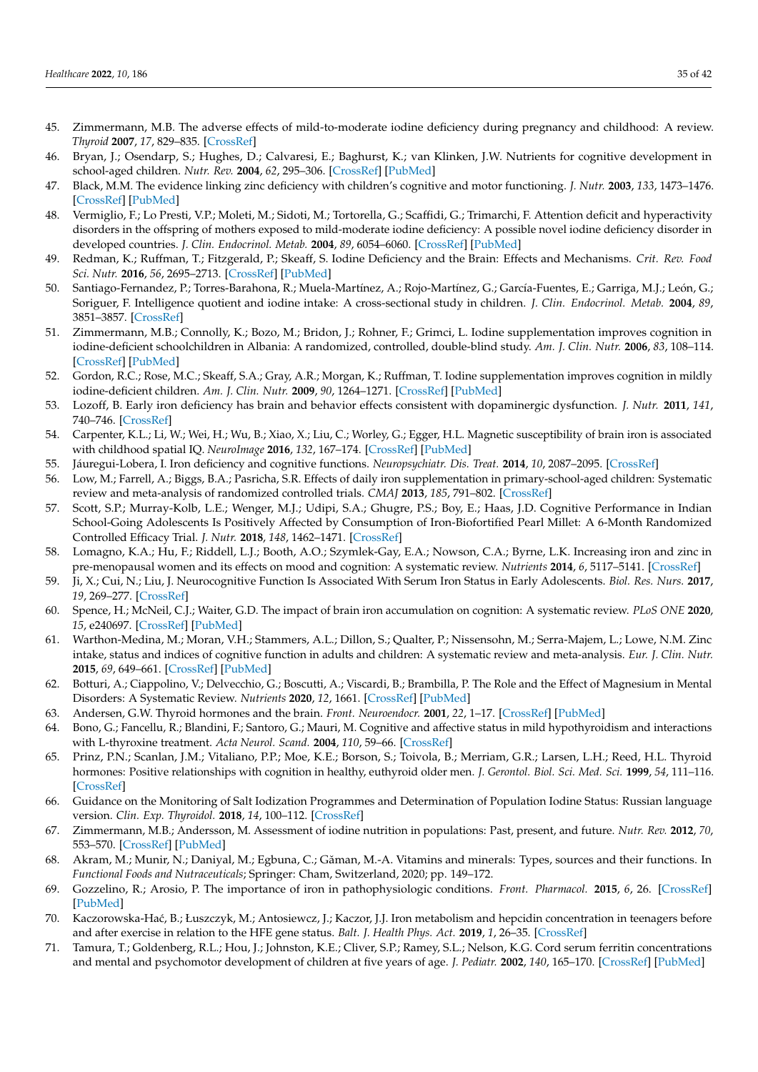- <span id="page-34-38"></span><span id="page-34-14"></span><span id="page-34-13"></span><span id="page-34-10"></span><span id="page-34-9"></span><span id="page-34-8"></span><span id="page-34-6"></span>45. Zimmermann, M.B. The adverse effects of mild-to-moderate iodine deficiency during pregnancy and childhood: A review. *Thyroid* **2007**, *17*, 829–835. [\[CrossRef\]](http://doi.org/10.1089/thy.2007.0108)
- <span id="page-34-15"></span><span id="page-34-11"></span><span id="page-34-0"></span>46. Bryan, J.; Osendarp, S.; Hughes, D.; Calvaresi, E.; Baghurst, K.; van Klinken, J.W. Nutrients for cognitive development in school-aged children. *Nutr. Rev.* **2004**, *62*, 295–306. [\[CrossRef\]](http://doi.org/10.1111/j.1753-4887.2004.tb00055.x) [\[PubMed\]](http://www.ncbi.nlm.nih.gov/pubmed/15478684)
- <span id="page-34-12"></span><span id="page-34-1"></span>47. Black, M.M. The evidence linking zinc deficiency with children's cognitive and motor functioning. *J. Nutr.* **2003**, *133*, 1473–1476. [\[CrossRef\]](http://doi.org/10.1093/jn/133.5.1473S) [\[PubMed\]](http://www.ncbi.nlm.nih.gov/pubmed/12730446)
- <span id="page-34-16"></span><span id="page-34-2"></span>48. Vermiglio, F.; Lo Presti, V.P.; Moleti, M.; Sidoti, M.; Tortorella, G.; Scaffidi, G.; Trimarchi, F. Attention deficit and hyperactivity disorders in the offspring of mothers exposed to mild-moderate iodine deficiency: A possible novel iodine deficiency disorder in developed countries. *J. Clin. Endocrinol. Metab.* **2004**, *89*, 6054–6060. [\[CrossRef\]](http://doi.org/10.1210/jc.2004-0571) [\[PubMed\]](http://www.ncbi.nlm.nih.gov/pubmed/15579758)
- <span id="page-34-17"></span><span id="page-34-3"></span>49. Redman, K.; Ruffman, T.; Fitzgerald, P.; Skeaff, S. Iodine Deficiency and the Brain: Effects and Mechanisms. *Crit. Rev. Food Sci. Nutr.* **2016**, *56*, 2695–2713. [\[CrossRef\]](http://doi.org/10.1080/10408398.2014.922042) [\[PubMed\]](http://www.ncbi.nlm.nih.gov/pubmed/25880137)
- <span id="page-34-18"></span><span id="page-34-4"></span>50. Santiago-Fernandez, P.; Torres-Barahona, R.; Muela-Martínez, A.; Rojo-Martínez, G.; García-Fuentes, E.; Garriga, M.J.; León, G.; Soriguer, F. Intelligence quotient and iodine intake: A cross-sectional study in children. *J. Clin. Endocrinol. Metab.* **2004**, *89*, 3851–3857. [\[CrossRef\]](http://doi.org/10.1210/jc.2003-031652)
- <span id="page-34-7"></span><span id="page-34-5"></span>51. Zimmermann, M.B.; Connolly, K.; Bozo, M.; Bridon, J.; Rohner, F.; Grimci, L. Iodine supplementation improves cognition in iodine-deficient schoolchildren in Albania: A randomized, controlled, double-blind study. *Am. J. Clin. Nutr.* **2006**, *83*, 108–114. [\[CrossRef\]](http://doi.org/10.1093/ajcn/83.1.108) [\[PubMed\]](http://www.ncbi.nlm.nih.gov/pubmed/16400058)
- <span id="page-34-26"></span>52. Gordon, R.C.; Rose, M.C.; Skeaff, S.A.; Gray, A.R.; Morgan, K.; Ruffman, T. Iodine supplementation improves cognition in mildly iodine-deficient children. *Am. J. Clin. Nutr.* **2009**, *90*, 1264–1271. [\[CrossRef\]](http://doi.org/10.3945/ajcn.2009.28145) [\[PubMed\]](http://www.ncbi.nlm.nih.gov/pubmed/19726593)
- <span id="page-34-27"></span>53. Lozoff, B. Early iron deficiency has brain and behavior effects consistent with dopaminergic dysfunction. *J. Nutr.* **2011**, *141*, 740–746. [\[CrossRef\]](http://doi.org/10.3945/jn.110.131169)
- <span id="page-34-30"></span>54. Carpenter, K.L.; Li, W.; Wei, H.; Wu, B.; Xiao, X.; Liu, C.; Worley, G.; Egger, H.L. Magnetic susceptibility of brain iron is associated with childhood spatial IQ. *NeuroImage* **2016**, *132*, 167–174. [\[CrossRef\]](http://doi.org/10.1016/j.neuroimage.2016.02.028) [\[PubMed\]](http://www.ncbi.nlm.nih.gov/pubmed/26899787)
- <span id="page-34-31"></span>55. Jáuregui-Lobera, I. Iron deficiency and cognitive functions. *Neuropsychiatr. Dis. Treat.* **2014**, *10*, 2087–2095. [\[CrossRef\]](http://doi.org/10.2147/NDT.S72491)
- <span id="page-34-32"></span>56. Low, M.; Farrell, A.; Biggs, B.A.; Pasricha, S.R. Effects of daily iron supplementation in primary-school-aged children: Systematic review and meta-analysis of randomized controlled trials. *CMAJ* **2013**, *185*, 791–802. [\[CrossRef\]](http://doi.org/10.1503/cmaj.130628)
- <span id="page-34-33"></span>57. Scott, S.P.; Murray-Kolb, L.E.; Wenger, M.J.; Udipi, S.A.; Ghugre, P.S.; Boy, E.; Haas, J.D. Cognitive Performance in Indian School-Going Adolescents Is Positively Affected by Consumption of Iron-Biofortified Pearl Millet: A 6-Month Randomized Controlled Efficacy Trial. *J. Nutr.* **2018**, *148*, 1462–1471. [\[CrossRef\]](http://doi.org/10.1093/jn/nxy113)
- <span id="page-34-34"></span>58. Lomagno, K.A.; Hu, F.; Riddell, L.J.; Booth, A.O.; Szymlek-Gay, E.A.; Nowson, C.A.; Byrne, L.K. Increasing iron and zinc in pre-menopausal women and its effects on mood and cognition: A systematic review. *Nutrients* **2014**, *6*, 5117–5141. [\[CrossRef\]](http://doi.org/10.3390/nu6115117)
- <span id="page-34-35"></span>59. Ji, X.; Cui, N.; Liu, J. Neurocognitive Function Is Associated With Serum Iron Status in Early Adolescents. *Biol. Res. Nurs.* **2017**, *19*, 269–277. [\[CrossRef\]](http://doi.org/10.1177/1099800417690828)
- <span id="page-34-36"></span>60. Spence, H.; McNeil, C.J.; Waiter, G.D. The impact of brain iron accumulation on cognition: A systematic review. *PLoS ONE* **2020**, *15*, e240697. [\[CrossRef\]](http://doi.org/10.1371/journal.pone.0240697) [\[PubMed\]](http://www.ncbi.nlm.nih.gov/pubmed/33057378)
- <span id="page-34-37"></span>61. Warthon-Medina, M.; Moran, V.H.; Stammers, A.L.; Dillon, S.; Qualter, P.; Nissensohn, M.; Serra-Majem, L.; Lowe, N.M. Zinc intake, status and indices of cognitive function in adults and children: A systematic review and meta-analysis. *Eur. J. Clin. Nutr.* **2015**, *69*, 649–661. [\[CrossRef\]](http://doi.org/10.1038/ejcn.2015.60) [\[PubMed\]](http://www.ncbi.nlm.nih.gov/pubmed/25920424)
- <span id="page-34-19"></span>62. Botturi, A.; Ciappolino, V.; Delvecchio, G.; Boscutti, A.; Viscardi, B.; Brambilla, P. The Role and the Effect of Magnesium in Mental Disorders: A Systematic Review. *Nutrients* **2020**, *12*, 1661. [\[CrossRef\]](http://doi.org/10.3390/nu12061661) [\[PubMed\]](http://www.ncbi.nlm.nih.gov/pubmed/32503201)
- <span id="page-34-20"></span>63. Andersen, G.W. Thyroid hormones and the brain. *Front. Neuroendocr.* **2001**, *22*, 1–17. [\[CrossRef\]](http://doi.org/10.1006/frne.2000.0208) [\[PubMed\]](http://www.ncbi.nlm.nih.gov/pubmed/11141316)
- <span id="page-34-21"></span>64. Bono, G.; Fancellu, R.; Blandini, F.; Santoro, G.; Mauri, M. Cognitive and affective status in mild hypothyroidism and interactions with L-thyroxine treatment. *Acta Neurol. Scand.* **2004**, *110*, 59–66. [\[CrossRef\]](http://doi.org/10.1111/j.1600-0404.2004.00262.x)
- <span id="page-34-22"></span>65. Prinz, P.N.; Scanlan, J.M.; Vitaliano, P.P.; Moe, K.E.; Borson, S.; Toivola, B.; Merriam, G.R.; Larsen, L.H.; Reed, H.L. Thyroid hormones: Positive relationships with cognition in healthy, euthyroid older men. *J. Gerontol. Biol. Sci. Med. Sci.* **1999**, *54*, 111–116. [\[CrossRef\]](http://doi.org/10.1093/gerona/54.3.M111)
- 66. Guidance on the Monitoring of Salt Iodization Programmes and Determination of Population Iodine Status: Russian language version. *Clin. Exp. Thyroidol.* **2018**, *14*, 100–112. [\[CrossRef\]](http://doi.org/10.14341/ket9734)
- <span id="page-34-23"></span>67. Zimmermann, M.B.; Andersson, M. Assessment of iodine nutrition in populations: Past, present, and future. *Nutr. Rev.* **2012**, *70*, 553–570. [\[CrossRef\]](http://doi.org/10.1111/j.1753-4887.2012.00528.x) [\[PubMed\]](http://www.ncbi.nlm.nih.gov/pubmed/23035804)
- <span id="page-34-24"></span>68. Akram, M.; Munir, N.; Daniyal, M.; Egbuna, C.; Găman, M.-A. Vitamins and minerals: Types, sources and their functions. In *Functional Foods and Nutraceuticals*; Springer: Cham, Switzerland, 2020; pp. 149–172.
- <span id="page-34-25"></span>69. Gozzelino, R.; Arosio, P. The importance of iron in pathophysiologic conditions. *Front. Pharmacol.* **2015**, *6*, 26. [\[CrossRef\]](http://doi.org/10.3389/fphar.2015.00026) [\[PubMed\]](http://www.ncbi.nlm.nih.gov/pubmed/25759669)
- <span id="page-34-28"></span>70. Kaczorowska-Ha´c, B.; Łuszczyk, M.; Antosiewcz, J.; Kaczor, J.J. Iron metabolism and hepcidin concentration in teenagers before and after exercise in relation to the HFE gene status. *Balt. J. Health Phys. Act.* **2019**, *1*, 26–35. [\[CrossRef\]](http://doi.org/10.29359/BJHPA.11.2.03)
- <span id="page-34-29"></span>71. Tamura, T.; Goldenberg, R.L.; Hou, J.; Johnston, K.E.; Cliver, S.P.; Ramey, S.L.; Nelson, K.G. Cord serum ferritin concentrations and mental and psychomotor development of children at five years of age. *J. Pediatr.* **2002**, *140*, 165–170. [\[CrossRef\]](http://doi.org/10.1067/mpd.2002.120688) [\[PubMed\]](http://www.ncbi.nlm.nih.gov/pubmed/11865266)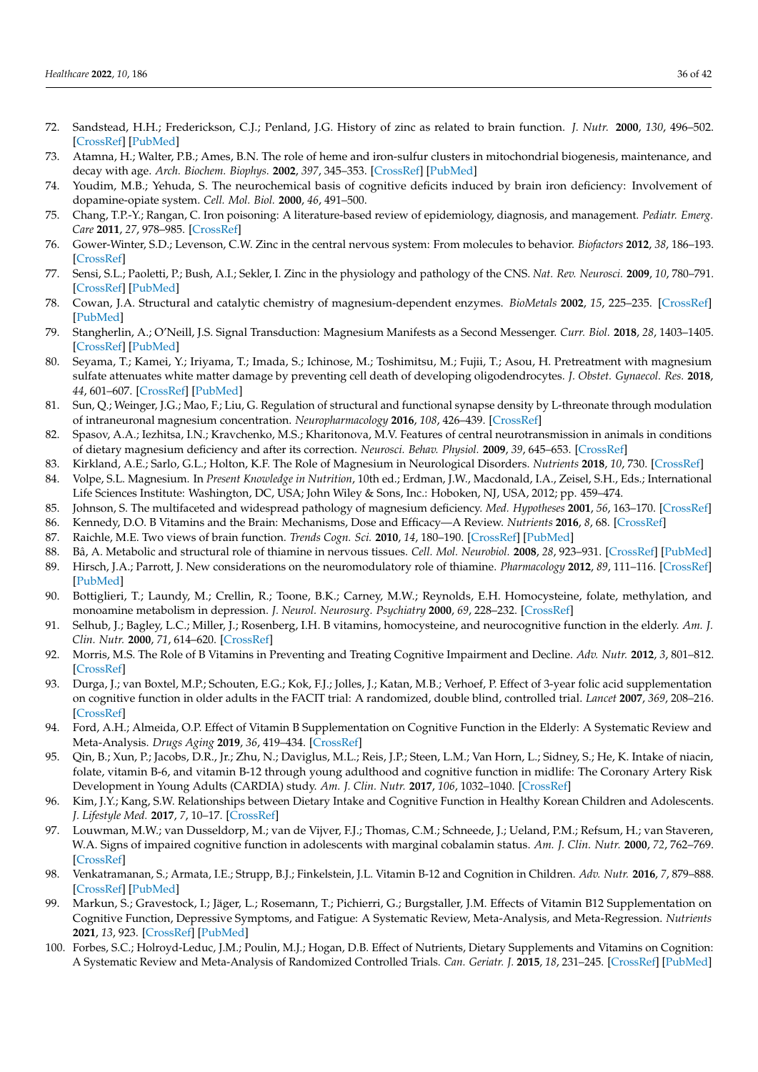- <span id="page-35-0"></span>72. Sandstead, H.H.; Frederickson, C.J.; Penland, J.G. History of zinc as related to brain function. *J. Nutr.* **2000**, *130*, 496–502. [\[CrossRef\]](http://doi.org/10.1093/jn/130.2.496S) [\[PubMed\]](http://www.ncbi.nlm.nih.gov/pubmed/10721938)
- <span id="page-35-1"></span>73. Atamna, H.; Walter, P.B.; Ames, B.N. The role of heme and iron-sulfur clusters in mitochondrial biogenesis, maintenance, and decay with age. *Arch. Biochem. Biophys.* **2002**, *397*, 345–353. [\[CrossRef\]](http://doi.org/10.1006/abbi.2001.2671) [\[PubMed\]](http://www.ncbi.nlm.nih.gov/pubmed/11795893)
- <span id="page-35-2"></span>74. Youdim, M.B.; Yehuda, S. The neurochemical basis of cognitive deficits induced by brain iron deficiency: Involvement of dopamine-opiate system. *Cell. Mol. Biol.* **2000**, *46*, 491–500.
- <span id="page-35-3"></span>75. Chang, T.P.-Y.; Rangan, C. Iron poisoning: A literature-based review of epidemiology, diagnosis, and management. *Pediatr. Emerg. Care* **2011**, *27*, 978–985. [\[CrossRef\]](http://doi.org/10.1097/PEC.0b013e3182302604)
- <span id="page-35-4"></span>76. Gower-Winter, S.D.; Levenson, C.W. Zinc in the central nervous system: From molecules to behavior. *Biofactors* **2012**, *38*, 186–193. [\[CrossRef\]](http://doi.org/10.1002/biof.1012)
- <span id="page-35-5"></span>77. Sensi, S.L.; Paoletti, P.; Bush, A.I.; Sekler, I. Zinc in the physiology and pathology of the CNS. *Nat. Rev. Neurosci.* **2009**, *10*, 780–791. [\[CrossRef\]](http://doi.org/10.1038/nrn2734) [\[PubMed\]](http://www.ncbi.nlm.nih.gov/pubmed/19826435)
- <span id="page-35-6"></span>78. Cowan, J.A. Structural and catalytic chemistry of magnesium-dependent enzymes. *BioMetals* **2002**, *15*, 225–235. [\[CrossRef\]](http://doi.org/10.1023/A:1016022730880) [\[PubMed\]](http://www.ncbi.nlm.nih.gov/pubmed/12206389)
- <span id="page-35-21"></span><span id="page-35-7"></span>79. Stangherlin, A.; O'Neill, J.S. Signal Transduction: Magnesium Manifests as a Second Messenger. *Curr. Biol.* **2018**, *28*, 1403–1405. [\[CrossRef\]](http://doi.org/10.1016/j.cub.2018.11.003) [\[PubMed\]](http://www.ncbi.nlm.nih.gov/pubmed/30562536)
- <span id="page-35-22"></span><span id="page-35-8"></span>80. Seyama, T.; Kamei, Y.; Iriyama, T.; Imada, S.; Ichinose, M.; Toshimitsu, M.; Fujii, T.; Asou, H. Pretreatment with magnesium sulfate attenuates white matter damage by preventing cell death of developing oligodendrocytes. *J. Obstet. Gynaecol. Res.* **2018**, *44*, 601–607. [\[CrossRef\]](http://doi.org/10.1111/jog.13568) [\[PubMed\]](http://www.ncbi.nlm.nih.gov/pubmed/29363221)
- <span id="page-35-23"></span><span id="page-35-9"></span>81. Sun, Q.; Weinger, J.G.; Mao, F.; Liu, G. Regulation of structural and functional synapse density by L-threonate through modulation of intraneuronal magnesium concentration. *Neuropharmacology* **2016**, *108*, 426–439. [\[CrossRef\]](http://doi.org/10.1016/j.neuropharm.2016.05.006)
- <span id="page-35-24"></span><span id="page-35-10"></span>82. Spasov, A.A.; Iezhitsa, I.N.; Kravchenko, M.S.; Kharitonova, M.V. Features of central neurotransmission in animals in conditions of dietary magnesium deficiency and after its correction. *Neurosci. Behav. Physiol.* **2009**, *39*, 645–653. [\[CrossRef\]](http://doi.org/10.1007/s11055-009-9182-y)
- <span id="page-35-11"></span>83. Kirkland, A.E.; Sarlo, G.L.; Holton, K.F. The Role of Magnesium in Neurological Disorders. *Nutrients* **2018**, *10*, 730. [\[CrossRef\]](http://doi.org/10.3390/nu10060730)
- <span id="page-35-25"></span><span id="page-35-12"></span>84. Volpe, S.L. Magnesium. In *Present Knowledge in Nutrition*, 10th ed.; Erdman, J.W., Macdonald, I.A., Zeisel, S.H., Eds.; International Life Sciences Institute: Washington, DC, USA; John Wiley & Sons, Inc.: Hoboken, NJ, USA, 2012; pp. 459–474.
- <span id="page-35-26"></span><span id="page-35-13"></span>85. Johnson, S. The multifaceted and widespread pathology of magnesium deficiency. *Med. Hypotheses* **2001**, *56*, 163–170. [\[CrossRef\]](http://doi.org/10.1054/mehy.2000.1133)
- <span id="page-35-14"></span>86. Kennedy, D.O. B Vitamins and the Brain: Mechanisms, Dose and Efficacy—A Review. *Nutrients* **2016**, *8*, 68. [\[CrossRef\]](http://doi.org/10.3390/nu8020068)
- <span id="page-35-15"></span>87. Raichle, M.E. Two views of brain function. *Trends Cogn. Sci.* **2010**, *14*, 180–190. [\[CrossRef\]](http://doi.org/10.1016/j.tics.2010.01.008) [\[PubMed\]](http://www.ncbi.nlm.nih.gov/pubmed/20206576)
- <span id="page-35-27"></span><span id="page-35-16"></span>88. Bâ, A. Metabolic and structural role of thiamine in nervous tissues. *Cell. Mol. Neurobiol.* **2008**, *28*, 923–931. [\[CrossRef\]](http://doi.org/10.1007/s10571-008-9297-7) [\[PubMed\]](http://www.ncbi.nlm.nih.gov/pubmed/18642074)
- <span id="page-35-17"></span>89. Hirsch, J.A.; Parrott, J. New considerations on the neuromodulatory role of thiamine. *Pharmacology* **2012**, *89*, 111–116. [\[CrossRef\]](http://doi.org/10.1159/000336339) [\[PubMed\]](http://www.ncbi.nlm.nih.gov/pubmed/22398704)
- <span id="page-35-28"></span><span id="page-35-18"></span>90. Bottiglieri, T.; Laundy, M.; Crellin, R.; Toone, B.K.; Carney, M.W.; Reynolds, E.H. Homocysteine, folate, methylation, and monoamine metabolism in depression. *J. Neurol. Neurosurg. Psychiatry* **2000**, *69*, 228–232. [\[CrossRef\]](http://doi.org/10.1136/jnnp.69.2.228)
- <span id="page-35-29"></span><span id="page-35-19"></span>91. Selhub, J.; Bagley, L.C.; Miller, J.; Rosenberg, I.H. B vitamins, homocysteine, and neurocognitive function in the elderly. *Am. J. Clin. Nutr.* **2000**, *71*, 614–620. [\[CrossRef\]](http://doi.org/10.1093/ajcn/71.2.614s)
- <span id="page-35-20"></span>92. Morris, M.S. The Role of B Vitamins in Preventing and Treating Cognitive Impairment and Decline. *Adv. Nutr.* **2012**, *3*, 801–812. [\[CrossRef\]](http://doi.org/10.3945/an.112.002535)
- <span id="page-35-30"></span>93. Durga, J.; van Boxtel, M.P.; Schouten, E.G.; Kok, F.J.; Jolles, J.; Katan, M.B.; Verhoef, P. Effect of 3-year folic acid supplementation on cognitive function in older adults in the FACIT trial: A randomized, double blind, controlled trial. *Lancet* **2007**, *369*, 208–216. [\[CrossRef\]](http://doi.org/10.1016/S0140-6736(07)60109-3)
- <span id="page-35-31"></span>94. Ford, A.H.; Almeida, O.P. Effect of Vitamin B Supplementation on Cognitive Function in the Elderly: A Systematic Review and Meta-Analysis. *Drugs Aging* **2019**, *36*, 419–434. [\[CrossRef\]](http://doi.org/10.1007/s40266-019-00649-w)
- <span id="page-35-32"></span>95. Qin, B.; Xun, P.; Jacobs, D.R., Jr.; Zhu, N.; Daviglus, M.L.; Reis, J.P.; Steen, L.M.; Van Horn, L.; Sidney, S.; He, K. Intake of niacin, folate, vitamin B-6, and vitamin B-12 through young adulthood and cognitive function in midlife: The Coronary Artery Risk Development in Young Adults (CARDIA) study. *Am. J. Clin. Nutr.* **2017**, *106*, 1032–1040. [\[CrossRef\]](http://doi.org/10.3945/ajcn.117.157834)
- <span id="page-35-33"></span>96. Kim, J.Y.; Kang, S.W. Relationships between Dietary Intake and Cognitive Function in Healthy Korean Children and Adolescents. *J. Lifestyle Med.* **2017**, *7*, 10–17. [\[CrossRef\]](http://doi.org/10.15280/jlm.2017.7.1.10)
- <span id="page-35-34"></span>97. Louwman, M.W.; van Dusseldorp, M.; van de Vijver, F.J.; Thomas, C.M.; Schneede, J.; Ueland, P.M.; Refsum, H.; van Staveren, W.A. Signs of impaired cognitive function in adolescents with marginal cobalamin status. *Am. J. Clin. Nutr.* **2000**, *72*, 762–769. [\[CrossRef\]](http://doi.org/10.1093/ajcn/72.3.762)
- <span id="page-35-35"></span>98. Venkatramanan, S.; Armata, I.E.; Strupp, B.J.; Finkelstein, J.L. Vitamin B-12 and Cognition in Children. *Adv. Nutr.* **2016**, *7*, 879–888. [\[CrossRef\]](http://doi.org/10.3945/an.115.012021) [\[PubMed\]](http://www.ncbi.nlm.nih.gov/pubmed/27633104)
- <span id="page-35-36"></span>99. Markun, S.; Gravestock, I.; Jäger, L.; Rosemann, T.; Pichierri, G.; Burgstaller, J.M. Effects of Vitamin B12 Supplementation on Cognitive Function, Depressive Symptoms, and Fatigue: A Systematic Review, Meta-Analysis, and Meta-Regression. *Nutrients* **2021**, *13*, 923. [\[CrossRef\]](http://doi.org/10.3390/nu13030923) [\[PubMed\]](http://www.ncbi.nlm.nih.gov/pubmed/33809274)
- <span id="page-35-37"></span>100. Forbes, S.C.; Holroyd-Leduc, J.M.; Poulin, M.J.; Hogan, D.B. Effect of Nutrients, Dietary Supplements and Vitamins on Cognition: A Systematic Review and Meta-Analysis of Randomized Controlled Trials. *Can. Geriatr. J.* **2015**, *18*, 231–245. [\[CrossRef\]](http://doi.org/10.5770/cgj.18.189) [\[PubMed\]](http://www.ncbi.nlm.nih.gov/pubmed/26740832)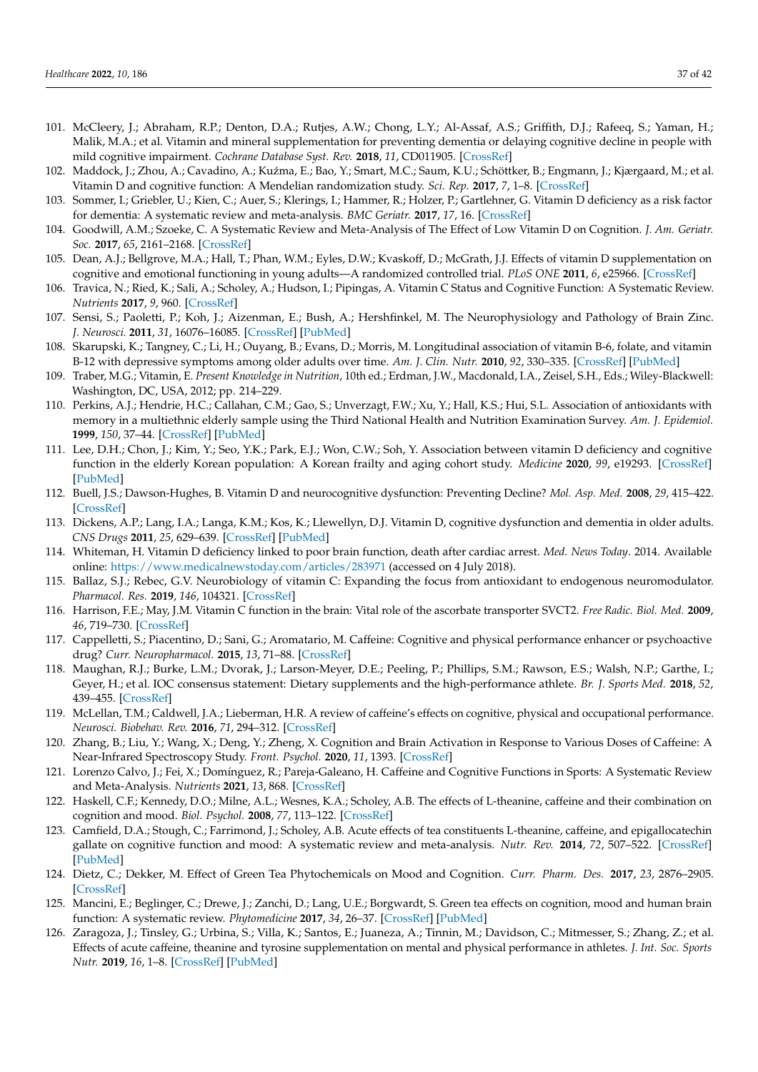- <span id="page-36-13"></span><span id="page-36-4"></span><span id="page-36-3"></span><span id="page-36-2"></span><span id="page-36-1"></span><span id="page-36-0"></span>101. McCleery, J.; Abraham, R.P.; Denton, D.A.; Rutjes, A.W.; Chong, L.Y.; Al-Assaf, A.S.; Griffith, D.J.; Rafeeq, S.; Yaman, H.; Malik, M.A.; et al. Vitamin and mineral supplementation for preventing dementia or delaying cognitive decline in people with mild cognitive impairment. *Cochrane Database Syst. Rev.* **2018**, *11*, CD011905. [\[CrossRef\]](http://doi.org/10.1002/14651858.CD011905.pub2)
- <span id="page-36-14"></span>102. Maddock, J.; Zhou, A.; Cavadino, A.; Kuźma, E.; Bao, Y.; Smart, M.C.; Saum, K.U.; Schöttker, B.; Engmann, J.; Kjærgaard, M.; et al. Vitamin D and cognitive function: A Mendelian randomization study. *Sci. Rep.* **2017**, *7*, 1–8. [\[CrossRef\]](http://doi.org/10.1038/s41598-017-13189-3)
- <span id="page-36-15"></span>103. Sommer, I.; Griebler, U.; Kien, C.; Auer, S.; Klerings, I.; Hammer, R.; Holzer, P.; Gartlehner, G. Vitamin D deficiency as a risk factor for dementia: A systematic review and meta-analysis. *BMC Geriatr.* **2017**, *17*, 16. [\[CrossRef\]](http://doi.org/10.1186/s12877-016-0405-0)
- <span id="page-36-16"></span>104. Goodwill, A.M.; Szoeke, C. A Systematic Review and Meta-Analysis of The Effect of Low Vitamin D on Cognition. *J. Am. Geriatr. Soc.* **2017**, *65*, 2161–2168. [\[CrossRef\]](http://doi.org/10.1111/jgs.15012)
- <span id="page-36-19"></span>105. Dean, A.J.; Bellgrove, M.A.; Hall, T.; Phan, W.M.; Eyles, D.W.; Kvaskoff, D.; McGrath, J.J. Effects of vitamin D supplementation on cognitive and emotional functioning in young adults—A randomized controlled trial. *PLoS ONE* **2011**, *6*, e25966. [\[CrossRef\]](http://doi.org/10.1371/journal.pone.0025966)
- <span id="page-36-5"></span>106. Travica, N.; Ried, K.; Sali, A.; Scholey, A.; Hudson, I.; Pipingas, A. Vitamin C Status and Cognitive Function: A Systematic Review. *Nutrients* **2017**, *9*, 960. [\[CrossRef\]](http://doi.org/10.3390/nu9090960)
- <span id="page-36-25"></span><span id="page-36-6"></span>107. Sensi, S.; Paoletti, P.; Koh, J.; Aizenman, E.; Bush, A.; Hershfinkel, M. The Neurophysiology and Pathology of Brain Zinc. *J. Neurosci.* **2011**, *31*, 16076–16085. [\[CrossRef\]](http://doi.org/10.1523/JNEUROSCI.3454-11.2011) [\[PubMed\]](http://www.ncbi.nlm.nih.gov/pubmed/22072659)
- <span id="page-36-26"></span><span id="page-36-7"></span>108. Skarupski, K.; Tangney, C.; Li, H.; Ouyang, B.; Evans, D.; Morris, M. Longitudinal association of vitamin B-6, folate, and vitamin B-12 with depressive symptoms among older adults over time. *Am. J. Clin. Nutr.* **2010**, *92*, 330–335. [\[CrossRef\]](http://doi.org/10.3945/ajcn.2010.29413) [\[PubMed\]](http://www.ncbi.nlm.nih.gov/pubmed/20519557)
- <span id="page-36-8"></span>109. Traber, M.G.; Vitamin, E. *Present Knowledge in Nutrition*, 10th ed.; Erdman, J.W., Macdonald, I.A., Zeisel, S.H., Eds.; Wiley-Blackwell: Washington, DC, USA, 2012; pp. 214–229.
- <span id="page-36-28"></span><span id="page-36-27"></span><span id="page-36-9"></span>110. Perkins, A.J.; Hendrie, H.C.; Callahan, C.M.; Gao, S.; Unverzagt, F.W.; Xu, Y.; Hall, K.S.; Hui, S.L. Association of antioxidants with memory in a multiethnic elderly sample using the Third National Health and Nutrition Examination Survey. *Am. J. Epidemiol.* **1999**, *150*, 37–44. [\[CrossRef\]](http://doi.org/10.1093/oxfordjournals.aje.a009915) [\[PubMed\]](http://www.ncbi.nlm.nih.gov/pubmed/10400551)
- <span id="page-36-29"></span><span id="page-36-10"></span>111. Lee, D.H.; Chon, J.; Kim, Y.; Seo, Y.K.; Park, E.J.; Won, C.W.; Soh, Y. Association between vitamin D deficiency and cognitive function in the elderly Korean population: A Korean frailty and aging cohort study. *Medicine* **2020**, *99*, e19293. [\[CrossRef\]](http://doi.org/10.1097/MD.0000000000019293) [\[PubMed\]](http://www.ncbi.nlm.nih.gov/pubmed/32080146)
- <span id="page-36-30"></span><span id="page-36-11"></span>112. Buell, J.S.; Dawson-Hughes, B. Vitamin D and neurocognitive dysfunction: Preventing Decline? *Mol. Asp. Med.* **2008**, *29*, 415–422. [\[CrossRef\]](http://doi.org/10.1016/j.mam.2008.05.001)
- <span id="page-36-31"></span><span id="page-36-12"></span>113. Dickens, A.P.; Lang, I.A.; Langa, K.M.; Kos, K.; Llewellyn, D.J. Vitamin D, cognitive dysfunction and dementia in older adults. *CNS Drugs* **2011**, *25*, 629–639. [\[CrossRef\]](http://doi.org/10.2165/11593080-000000000-00000) [\[PubMed\]](http://www.ncbi.nlm.nih.gov/pubmed/21790207)
- <span id="page-36-32"></span><span id="page-36-17"></span>114. Whiteman, H. Vitamin D deficiency linked to poor brain function, death after cardiac arrest. *Med. News Today*. 2014. Available online: <https://www.medicalnewstoday.com/articles/283971> (accessed on 4 July 2018).
- <span id="page-36-33"></span><span id="page-36-18"></span>115. Ballaz, S.J.; Rebec, G.V. Neurobiology of vitamin C: Expanding the focus from antioxidant to endogenous neuromodulator. *Pharmacol. Res.* **2019**, *146*, 104321. [\[CrossRef\]](http://doi.org/10.1016/j.phrs.2019.104321)
- <span id="page-36-34"></span><span id="page-36-20"></span>116. Harrison, F.E.; May, J.M. Vitamin C function in the brain: Vital role of the ascorbate transporter SVCT2. *Free Radic. Biol. Med.* **2009**, *46*, 719–730. [\[CrossRef\]](http://doi.org/10.1016/j.freeradbiomed.2008.12.018)
- <span id="page-36-21"></span>117. Cappelletti, S.; Piacentino, D.; Sani, G.; Aromatario, M. Caffeine: Cognitive and physical performance enhancer or psychoactive drug? *Curr. Neuropharmacol.* **2015**, *13*, 71–88. [\[CrossRef\]](http://doi.org/10.2174/1570159X13666141210215655)
- <span id="page-36-22"></span>118. Maughan, R.J.; Burke, L.M.; Dvorak, J.; Larson-Meyer, D.E.; Peeling, P.; Phillips, S.M.; Rawson, E.S.; Walsh, N.P.; Garthe, I.; Geyer, H.; et al. IOC consensus statement: Dietary supplements and the high-performance athlete. *Br. J. Sports Med.* **2018**, *52*, 439–455. [\[CrossRef\]](http://doi.org/10.1136/bjsports-2018-099027)
- <span id="page-36-23"></span>119. McLellan, T.M.; Caldwell, J.A.; Lieberman, H.R. A review of caffeine's effects on cognitive, physical and occupational performance. *Neurosci. Biobehav. Rev.* **2016**, *71*, 294–312. [\[CrossRef\]](http://doi.org/10.1016/j.neubiorev.2016.09.001)
- <span id="page-36-24"></span>120. Zhang, B.; Liu, Y.; Wang, X.; Deng, Y.; Zheng, X. Cognition and Brain Activation in Response to Various Doses of Caffeine: A Near-Infrared Spectroscopy Study. *Front. Psychol.* **2020**, *11*, 1393. [\[CrossRef\]](http://doi.org/10.3389/fpsyg.2020.01393)
- <span id="page-36-35"></span>121. Lorenzo Calvo, J.; Fei, X.; Domínguez, R.; Pareja-Galeano, H. Caffeine and Cognitive Functions in Sports: A Systematic Review and Meta-Analysis. *Nutrients* **2021**, *13*, 868. [\[CrossRef\]](http://doi.org/10.3390/nu13030868)
- <span id="page-36-36"></span>122. Haskell, C.F.; Kennedy, D.O.; Milne, A.L.; Wesnes, K.A.; Scholey, A.B. The effects of L-theanine, caffeine and their combination on cognition and mood. *Biol. Psychol.* **2008**, *77*, 113–122. [\[CrossRef\]](http://doi.org/10.1016/j.biopsycho.2007.09.008)
- <span id="page-36-37"></span>123. Camfield, D.A.; Stough, C.; Farrimond, J.; Scholey, A.B. Acute effects of tea constituents L-theanine, caffeine, and epigallocatechin gallate on cognitive function and mood: A systematic review and meta-analysis. *Nutr. Rev.* **2014**, *72*, 507–522. [\[CrossRef\]](http://doi.org/10.1111/nure.12120) [\[PubMed\]](http://www.ncbi.nlm.nih.gov/pubmed/24946991)
- <span id="page-36-38"></span>124. Dietz, C.; Dekker, M. Effect of Green Tea Phytochemicals on Mood and Cognition. *Curr. Pharm. Des.* **2017**, *23*, 2876–2905. [\[CrossRef\]](http://doi.org/10.2174/1381612823666170105151800)
- <span id="page-36-39"></span>125. Mancini, E.; Beglinger, C.; Drewe, J.; Zanchi, D.; Lang, U.E.; Borgwardt, S. Green tea effects on cognition, mood and human brain function: A systematic review. *Phytomedicine* **2017**, *34*, 26–37. [\[CrossRef\]](http://doi.org/10.1016/j.phymed.2017.07.008) [\[PubMed\]](http://www.ncbi.nlm.nih.gov/pubmed/28899506)
- <span id="page-36-40"></span>126. Zaragoza, J.; Tinsley, G.; Urbina, S.; Villa, K.; Santos, E.; Juaneza, A.; Tinnin, M.; Davidson, C.; Mitmesser, S.; Zhang, Z.; et al. Effects of acute caffeine, theanine and tyrosine supplementation on mental and physical performance in athletes. *J. Int. Soc. Sports Nutr.* **2019**, *16*, 1–8. [\[CrossRef\]](http://doi.org/10.1186/s12970-019-0326-3) [\[PubMed\]](http://www.ncbi.nlm.nih.gov/pubmed/31771598)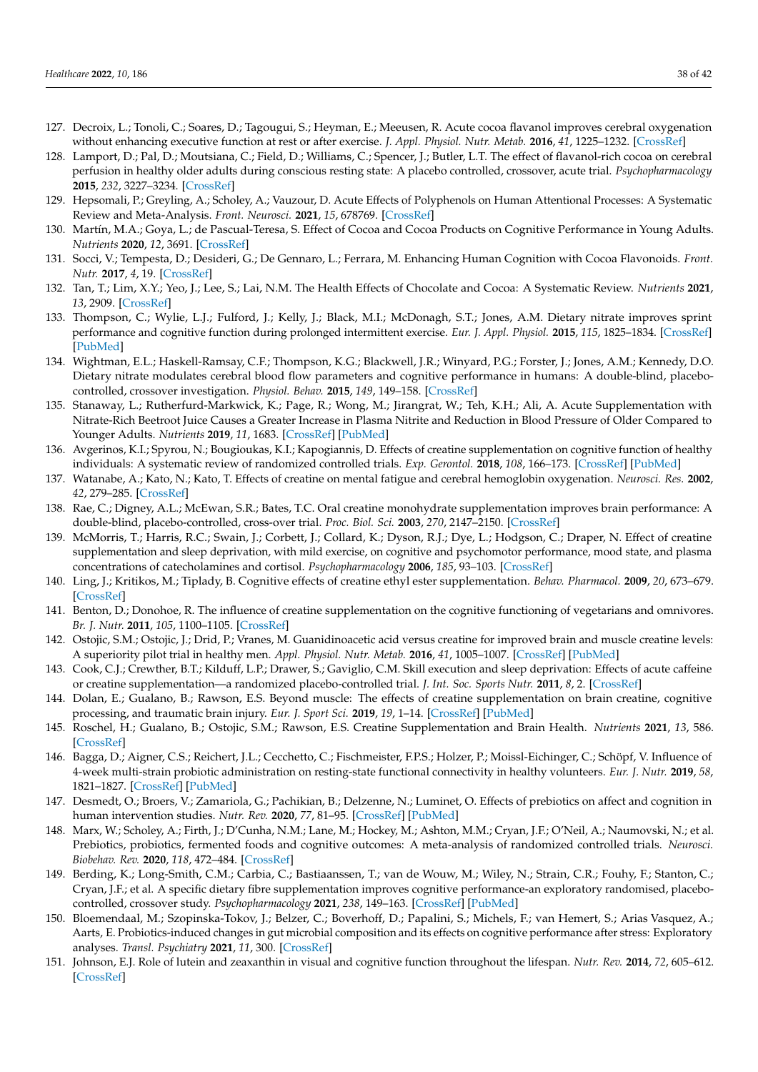- <span id="page-37-25"></span><span id="page-37-13"></span><span id="page-37-8"></span><span id="page-37-7"></span><span id="page-37-6"></span><span id="page-37-5"></span><span id="page-37-4"></span><span id="page-37-3"></span><span id="page-37-2"></span><span id="page-37-1"></span><span id="page-37-0"></span>127. Decroix, L.; Tonoli, C.; Soares, D.; Tagougui, S.; Heyman, E.; Meeusen, R. Acute cocoa flavanol improves cerebral oxygenation without enhancing executive function at rest or after exercise. *J. Appl. Physiol. Nutr. Metab.* **2016**, *41*, 1225–1232. [\[CrossRef\]](http://doi.org/10.1139/apnm-2016-0245)
- <span id="page-37-26"></span><span id="page-37-9"></span>128. Lamport, D.; Pal, D.; Moutsiana, C.; Field, D.; Williams, C.; Spencer, J.; Butler, L.T. The effect of flavanol-rich cocoa on cerebral perfusion in healthy older adults during conscious resting state: A placebo controlled, crossover, acute trial. *Psychopharmacology* **2015**, *232*, 3227–3234. [\[CrossRef\]](http://doi.org/10.1007/s00213-015-3972-4)
- <span id="page-37-27"></span><span id="page-37-10"></span>129. Hepsomali, P.; Greyling, A.; Scholey, A.; Vauzour, D. Acute Effects of Polyphenols on Human Attentional Processes: A Systematic Review and Meta-Analysis. *Front. Neurosci.* **2021**, *15*, 678769. [\[CrossRef\]](http://doi.org/10.3389/fnins.2021.678769)
- <span id="page-37-28"></span><span id="page-37-11"></span>130. Martín, M.A.; Goya, L.; de Pascual-Teresa, S. Effect of Cocoa and Cocoa Products on Cognitive Performance in Young Adults. *Nutrients* **2020**, *12*, 3691. [\[CrossRef\]](http://doi.org/10.3390/nu12123691)
- <span id="page-37-29"></span><span id="page-37-12"></span>131. Socci, V.; Tempesta, D.; Desideri, G.; De Gennaro, L.; Ferrara, M. Enhancing Human Cognition with Cocoa Flavonoids. *Front. Nutr.* **2017**, *4*, 19. [\[CrossRef\]](http://doi.org/10.3389/fnut.2017.00019)
- <span id="page-37-30"></span><span id="page-37-14"></span>132. Tan, T.; Lim, X.Y.; Yeo, J.; Lee, S.; Lai, N.M. The Health Effects of Chocolate and Cocoa: A Systematic Review. *Nutrients* **2021**, *13*, 2909. [\[CrossRef\]](http://doi.org/10.3390/nu13092909)
- <span id="page-37-31"></span><span id="page-37-15"></span>133. Thompson, C.; Wylie, L.J.; Fulford, J.; Kelly, J.; Black, M.I.; McDonagh, S.T.; Jones, A.M. Dietary nitrate improves sprint performance and cognitive function during prolonged intermittent exercise. *Eur. J. Appl. Physiol.* **2015**, *115*, 1825–1834. [\[CrossRef\]](http://doi.org/10.1007/s00421-015-3166-0) [\[PubMed\]](http://www.ncbi.nlm.nih.gov/pubmed/25846114)
- <span id="page-37-32"></span><span id="page-37-17"></span><span id="page-37-16"></span>134. Wightman, E.L.; Haskell-Ramsay, C.F.; Thompson, K.G.; Blackwell, J.R.; Winyard, P.G.; Forster, J.; Jones, A.M.; Kennedy, D.O. Dietary nitrate modulates cerebral blood flow parameters and cognitive performance in humans: A double-blind, placebocontrolled, crossover investigation. *Physiol. Behav.* **2015**, *149*, 149–158. [\[CrossRef\]](http://doi.org/10.1016/j.physbeh.2015.05.035)
- <span id="page-37-33"></span><span id="page-37-22"></span>135. Stanaway, L.; Rutherfurd-Markwick, K.; Page, R.; Wong, M.; Jirangrat, W.; Teh, K.H.; Ali, A. Acute Supplementation with Nitrate-Rich Beetroot Juice Causes a Greater Increase in Plasma Nitrite and Reduction in Blood Pressure of Older Compared to Younger Adults. *Nutrients* **2019**, *11*, 1683. [\[CrossRef\]](http://doi.org/10.3390/nu11071683) [\[PubMed\]](http://www.ncbi.nlm.nih.gov/pubmed/31336633)
- <span id="page-37-34"></span><span id="page-37-19"></span>136. Avgerinos, K.I.; Spyrou, N.; Bougioukas, K.I.; Kapogiannis, D. Effects of creatine supplementation on cognitive function of healthy individuals: A systematic review of randomized controlled trials. *Exp. Gerontol.* **2018**, *108*, 166–173. [\[CrossRef\]](http://doi.org/10.1016/j.exger.2018.04.013) [\[PubMed\]](http://www.ncbi.nlm.nih.gov/pubmed/29704637)
- <span id="page-37-35"></span><span id="page-37-18"></span>137. Watanabe, A.; Kato, N.; Kato, T. Effects of creatine on mental fatigue and cerebral hemoglobin oxygenation. *Neurosci. Res.* **2002**, *42*, 279–285. [\[CrossRef\]](http://doi.org/10.1016/S0168-0102(02)00007-X)
- <span id="page-37-36"></span><span id="page-37-20"></span>138. Rae, C.; Digney, A.L.; McEwan, S.R.; Bates, T.C. Oral creatine monohydrate supplementation improves brain performance: A double-blind, placebo-controlled, cross-over trial. *Proc. Biol. Sci.* **2003**, *270*, 2147–2150. [\[CrossRef\]](http://doi.org/10.1098/rspb.2003.2492)
- <span id="page-37-37"></span><span id="page-37-21"></span>139. McMorris, T.; Harris, R.C.; Swain, J.; Corbett, J.; Collard, K.; Dyson, R.J.; Dye, L.; Hodgson, C.; Draper, N. Effect of creatine supplementation and sleep deprivation, with mild exercise, on cognitive and psychomotor performance, mood state, and plasma concentrations of catecholamines and cortisol. *Psychopharmacology* **2006**, *185*, 93–103. [\[CrossRef\]](http://doi.org/10.1007/s00213-005-0269-z)
- <span id="page-37-38"></span>140. Ling, J.; Kritikos, M.; Tiplady, B. Cognitive effects of creatine ethyl ester supplementation. *Behav. Pharmacol.* **2009**, *20*, 673–679. [\[CrossRef\]](http://doi.org/10.1097/FBP.0b013e3283323c2a)
- <span id="page-37-39"></span><span id="page-37-23"></span>141. Benton, D.; Donohoe, R. The influence of creatine supplementation on the cognitive functioning of vegetarians and omnivores. *Br. J. Nutr.* **2011**, *105*, 1100–1105. [\[CrossRef\]](http://doi.org/10.1017/S0007114510004733)
- <span id="page-37-40"></span><span id="page-37-24"></span>142. Ostojic, S.M.; Ostojic, J.; Drid, P.; Vranes, M. Guanidinoacetic acid versus creatine for improved brain and muscle creatine levels: A superiority pilot trial in healthy men. *Appl. Physiol. Nutr. Metab.* **2016**, *41*, 1005–1007. [\[CrossRef\]](http://doi.org/10.1139/apnm-2016-0178) [\[PubMed\]](http://www.ncbi.nlm.nih.gov/pubmed/27560540)
- <span id="page-37-41"></span>143. Cook, C.J.; Crewther, B.T.; Kilduff, L.P.; Drawer, S.; Gaviglio, C.M. Skill execution and sleep deprivation: Effects of acute caffeine or creatine supplementation—a randomized placebo-controlled trial. *J. Int. Soc. Sports Nutr.* **2011**, *8*, 2. [\[CrossRef\]](http://doi.org/10.1186/1550-2783-8-2)
- <span id="page-37-42"></span>144. Dolan, E.; Gualano, B.; Rawson, E.S. Beyond muscle: The effects of creatine supplementation on brain creatine, cognitive processing, and traumatic brain injury. *Eur. J. Sport Sci.* **2019**, *19*, 1–14. [\[CrossRef\]](http://doi.org/10.1080/17461391.2018.1500644) [\[PubMed\]](http://www.ncbi.nlm.nih.gov/pubmed/30086660)
- <span id="page-37-43"></span>145. Roschel, H.; Gualano, B.; Ostojic, S.M.; Rawson, E.S. Creatine Supplementation and Brain Health. *Nutrients* **2021**, *13*, 586. [\[CrossRef\]](http://doi.org/10.3390/nu13020586)
- <span id="page-37-44"></span>146. Bagga, D.; Aigner, C.S.; Reichert, J.L.; Cecchetto, C.; Fischmeister, F.P.S.; Holzer, P.; Moissl-Eichinger, C.; Schöpf, V. Influence of 4-week multi-strain probiotic administration on resting-state functional connectivity in healthy volunteers. *Eur. J. Nutr.* **2019**, *58*, 1821–1827. [\[CrossRef\]](http://doi.org/10.1007/s00394-018-1732-z) [\[PubMed\]](http://www.ncbi.nlm.nih.gov/pubmed/29850990)
- <span id="page-37-45"></span>147. Desmedt, O.; Broers, V.; Zamariola, G.; Pachikian, B.; Delzenne, N.; Luminet, O. Effects of prebiotics on affect and cognition in human intervention studies. *Nutr. Rev.* **2020**, *77*, 81–95. [\[CrossRef\]](http://doi.org/10.1093/nutrit/nuy052) [\[PubMed\]](http://www.ncbi.nlm.nih.gov/pubmed/30535275)
- <span id="page-37-46"></span>148. Marx, W.; Scholey, A.; Firth, J.; D'Cunha, N.M.; Lane, M.; Hockey, M.; Ashton, M.M.; Cryan, J.F.; O'Neil, A.; Naumovski, N.; et al. Prebiotics, probiotics, fermented foods and cognitive outcomes: A meta-analysis of randomized controlled trials. *Neurosci. Biobehav. Rev.* **2020**, *118*, 472–484. [\[CrossRef\]](http://doi.org/10.1016/j.neubiorev.2020.07.036)
- <span id="page-37-47"></span>149. Berding, K.; Long-Smith, C.M.; Carbia, C.; Bastiaanssen, T.; van de Wouw, M.; Wiley, N.; Strain, C.R.; Fouhy, F.; Stanton, C.; Cryan, J.F.; et al. A specific dietary fibre supplementation improves cognitive performance-an exploratory randomised, placebocontrolled, crossover study. *Psychopharmacology* **2021**, *238*, 149–163. [\[CrossRef\]](http://doi.org/10.1007/s00213-020-05665-y) [\[PubMed\]](http://www.ncbi.nlm.nih.gov/pubmed/32951067)
- <span id="page-37-48"></span>150. Bloemendaal, M.; Szopinska-Tokov, J.; Belzer, C.; Boverhoff, D.; Papalini, S.; Michels, F.; van Hemert, S.; Arias Vasquez, A.; Aarts, E. Probiotics-induced changes in gut microbial composition and its effects on cognitive performance after stress: Exploratory analyses. *Transl. Psychiatry* **2021**, *11*, 300. [\[CrossRef\]](http://doi.org/10.1038/s41398-021-01404-9)
- <span id="page-37-49"></span>151. Johnson, E.J. Role of lutein and zeaxanthin in visual and cognitive function throughout the lifespan. *Nutr. Rev.* **2014**, *72*, 605–612. [\[CrossRef\]](http://doi.org/10.1111/nure.12133)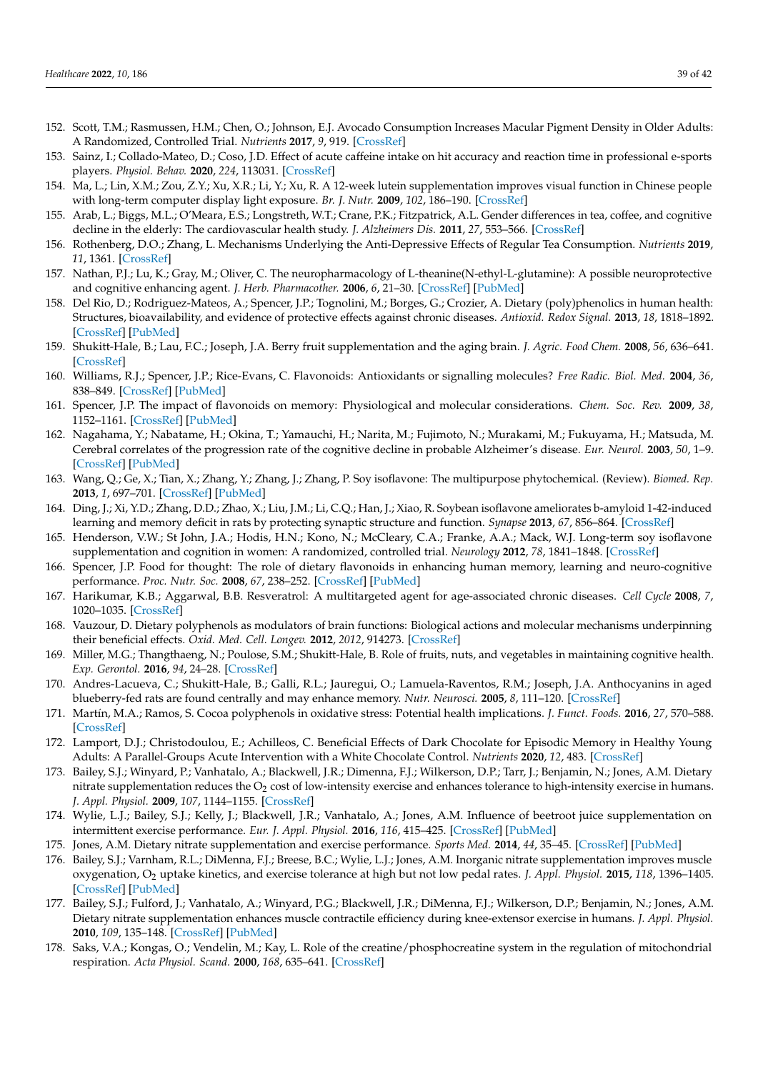- <span id="page-38-25"></span><span id="page-38-1"></span><span id="page-38-0"></span>152. Scott, T.M.; Rasmussen, H.M.; Chen, O.; Johnson, E.J. Avocado Consumption Increases Macular Pigment Density in Older Adults: A Randomized, Controlled Trial. *Nutrients* **2017**, *9*, 919. [\[CrossRef\]](http://doi.org/10.3390/nu9090919)
- <span id="page-38-26"></span>153. Sainz, I.; Collado-Mateo, D.; Coso, J.D. Effect of acute caffeine intake on hit accuracy and reaction time in professional e-sports players. *Physiol. Behav.* **2020**, *224*, 113031. [\[CrossRef\]](http://doi.org/10.1016/j.physbeh.2020.113031)
- <span id="page-38-2"></span>154. Ma, L.; Lin, X.M.; Zou, Z.Y.; Xu, X.R.; Li, Y.; Xu, R. A 12-week lutein supplementation improves visual function in Chinese people with long-term computer display light exposure. *Br. J. Nutr.* **2009**, *102*, 186–190. [\[CrossRef\]](http://doi.org/10.1017/S0007114508163000)
- <span id="page-38-3"></span>155. Arab, L.; Biggs, M.L.; O'Meara, E.S.; Longstreth, W.T.; Crane, P.K.; Fitzpatrick, A.L. Gender differences in tea, coffee, and cognitive decline in the elderly: The cardiovascular health study. *J. Alzheimers Dis.* **2011**, *27*, 553–566. [\[CrossRef\]](http://doi.org/10.3233/JAD-2011-110431)
- <span id="page-38-4"></span>156. Rothenberg, D.O.; Zhang, L. Mechanisms Underlying the Anti-Depressive Effects of Regular Tea Consumption. *Nutrients* **2019**, *11*, 1361. [\[CrossRef\]](http://doi.org/10.3390/nu11061361)
- <span id="page-38-5"></span>157. Nathan, P.J.; Lu, K.; Gray, M.; Oliver, C. The neuropharmacology of L-theanine(N-ethyl-L-glutamine): A possible neuroprotective and cognitive enhancing agent. *J. Herb. Pharmacother.* **2006**, *6*, 21–30. [\[CrossRef\]](http://doi.org/10.1080/J157v06n02_02) [\[PubMed\]](http://www.ncbi.nlm.nih.gov/pubmed/17182482)
- <span id="page-38-6"></span>158. Del Rio, D.; Rodriguez-Mateos, A.; Spencer, J.P.; Tognolini, M.; Borges, G.; Crozier, A. Dietary (poly)phenolics in human health: Structures, bioavailability, and evidence of protective effects against chronic diseases. *Antioxid. Redox Signal.* **2013**, *18*, 1818–1892. [\[CrossRef\]](http://doi.org/10.1089/ars.2012.4581) [\[PubMed\]](http://www.ncbi.nlm.nih.gov/pubmed/22794138)
- <span id="page-38-7"></span>159. Shukitt-Hale, B.; Lau, F.C.; Joseph, J.A. Berry fruit supplementation and the aging brain. *J. Agric. Food Chem.* **2008**, *56*, 636–641. [\[CrossRef\]](http://doi.org/10.1021/jf072505f)
- 160. Williams, R.J.; Spencer, J.P.; Rice-Evans, C. Flavonoids: Antioxidants or signalling molecules? *Free Radic. Biol. Med.* **2004**, *36*, 838–849. [\[CrossRef\]](http://doi.org/10.1016/j.freeradbiomed.2004.01.001) [\[PubMed\]](http://www.ncbi.nlm.nih.gov/pubmed/15019969)
- <span id="page-38-8"></span>161. Spencer, J.P. The impact of flavonoids on memory: Physiological and molecular considerations. *Chem. Soc. Rev.* **2009**, *38*, 1152–1161. [\[CrossRef\]](http://doi.org/10.1039/b800422f) [\[PubMed\]](http://www.ncbi.nlm.nih.gov/pubmed/19421586)
- <span id="page-38-9"></span>162. Nagahama, Y.; Nabatame, H.; Okina, T.; Yamauchi, H.; Narita, M.; Fujimoto, N.; Murakami, M.; Fukuyama, H.; Matsuda, M. Cerebral correlates of the progression rate of the cognitive decline in probable Alzheimer's disease. *Eur. Neurol.* **2003**, *50*, 1–9. [\[CrossRef\]](http://doi.org/10.1159/000070851) [\[PubMed\]](http://www.ncbi.nlm.nih.gov/pubmed/12824705)
- 163. Wang, Q.; Ge, X.; Tian, X.; Zhang, Y.; Zhang, J.; Zhang, P. Soy isoflavone: The multipurpose phytochemical. (Review). *Biomed. Rep.* **2013**, *1*, 697–701. [\[CrossRef\]](http://doi.org/10.3892/br.2013.129) [\[PubMed\]](http://www.ncbi.nlm.nih.gov/pubmed/24649012)
- <span id="page-38-10"></span>164. Ding, J.; Xi, Y.D.; Zhang, D.D.; Zhao, X.; Liu, J.M.; Li, C.Q.; Han, J.; Xiao, R. Soybean isoflavone ameliorates b-amyloid 1-42-induced learning and memory deficit in rats by protecting synaptic structure and function. *Synapse* **2013**, *67*, 856–864. [\[CrossRef\]](http://doi.org/10.1002/syn.21692)
- <span id="page-38-11"></span>165. Henderson, V.W.; St John, J.A.; Hodis, H.N.; Kono, N.; McCleary, C.A.; Franke, A.A.; Mack, W.J. Long-term soy isoflavone supplementation and cognition in women: A randomized, controlled trial. *Neurology* **2012**, *78*, 1841–1848. [\[CrossRef\]](http://doi.org/10.1212/WNL.0b013e318258f822)
- <span id="page-38-12"></span>166. Spencer, J.P. Food for thought: The role of dietary flavonoids in enhancing human memory, learning and neuro-cognitive performance. *Proc. Nutr. Soc.* **2008**, *67*, 238–252. [\[CrossRef\]](http://doi.org/10.1017/S0029665108007088) [\[PubMed\]](http://www.ncbi.nlm.nih.gov/pubmed/18412998)
- <span id="page-38-13"></span>167. Harikumar, K.B.; Aggarwal, B.B. Resveratrol: A multitargeted agent for age-associated chronic diseases. *Cell Cycle* **2008**, *7*, 1020–1035. [\[CrossRef\]](http://doi.org/10.4161/cc.7.8.5740)
- <span id="page-38-14"></span>168. Vauzour, D. Dietary polyphenols as modulators of brain functions: Biological actions and molecular mechanisms underpinning their beneficial effects. *Oxid. Med. Cell. Longev.* **2012**, *2012*, 914273. [\[CrossRef\]](http://doi.org/10.1155/2012/914273)
- <span id="page-38-15"></span>169. Miller, M.G.; Thangthaeng, N.; Poulose, S.M.; Shukitt-Hale, B. Role of fruits, nuts, and vegetables in maintaining cognitive health. *Exp. Gerontol.* **2016**, *94*, 24–28. [\[CrossRef\]](http://doi.org/10.1016/j.exger.2016.12.014)
- <span id="page-38-16"></span>170. Andres-Lacueva, C.; Shukitt-Hale, B.; Galli, R.L.; Jauregui, O.; Lamuela-Raventos, R.M.; Joseph, J.A. Anthocyanins in aged blueberry-fed rats are found centrally and may enhance memory. *Nutr. Neurosci.* **2005**, *8*, 111–120. [\[CrossRef\]](http://doi.org/10.1080/10284150500078117)
- <span id="page-38-17"></span>171. Martín, M.A.; Ramos, S. Cocoa polyphenols in oxidative stress: Potential health implications. *J. Funct. Foods.* **2016**, *27*, 570–588. [\[CrossRef\]](http://doi.org/10.1016/j.jff.2016.10.008)
- <span id="page-38-18"></span>172. Lamport, D.J.; Christodoulou, E.; Achilleos, C. Beneficial Effects of Dark Chocolate for Episodic Memory in Healthy Young Adults: A Parallel-Groups Acute Intervention with a White Chocolate Control. *Nutrients* **2020**, *12*, 483. [\[CrossRef\]](http://doi.org/10.3390/nu12020483)
- <span id="page-38-19"></span>173. Bailey, S.J.; Winyard, P.; Vanhatalo, A.; Blackwell, J.R.; Dimenna, F.J.; Wilkerson, D.P.; Tarr, J.; Benjamin, N.; Jones, A.M. Dietary nitrate supplementation reduces the  $O_2$  cost of low-intensity exercise and enhances tolerance to high-intensity exercise in humans. *J. Appl. Physiol.* **2009**, *107*, 1144–1155. [\[CrossRef\]](http://doi.org/10.1152/japplphysiol.00722.2009)
- <span id="page-38-20"></span>174. Wylie, L.J.; Bailey, S.J.; Kelly, J.; Blackwell, J.R.; Vanhatalo, A.; Jones, A.M. Influence of beetroot juice supplementation on intermittent exercise performance. *Eur. J. Appl. Physiol.* **2016**, *116*, 415–425. [\[CrossRef\]](http://doi.org/10.1007/s00421-015-3296-4) [\[PubMed\]](http://www.ncbi.nlm.nih.gov/pubmed/26614506)
- <span id="page-38-21"></span>175. Jones, A.M. Dietary nitrate supplementation and exercise performance. *Sports Med.* **2014**, *44*, 35–45. [\[CrossRef\]](http://doi.org/10.1007/s40279-014-0149-y) [\[PubMed\]](http://www.ncbi.nlm.nih.gov/pubmed/24791915)
- <span id="page-38-22"></span>176. Bailey, S.J.; Varnham, R.L.; DiMenna, F.J.; Breese, B.C.; Wylie, L.J.; Jones, A.M. Inorganic nitrate supplementation improves muscle oxygenation, O<sup>2</sup> uptake kinetics, and exercise tolerance at high but not low pedal rates. *J. Appl. Physiol.* **2015**, *118*, 1396–1405. [\[CrossRef\]](http://doi.org/10.1152/japplphysiol.01141.2014) [\[PubMed\]](http://www.ncbi.nlm.nih.gov/pubmed/25858494)
- <span id="page-38-23"></span>177. Bailey, S.J.; Fulford, J.; Vanhatalo, A.; Winyard, P.G.; Blackwell, J.R.; DiMenna, F.J.; Wilkerson, D.P.; Benjamin, N.; Jones, A.M. Dietary nitrate supplementation enhances muscle contractile efficiency during knee-extensor exercise in humans. *J. Appl. Physiol.* **2010**, *109*, 135–148. [\[CrossRef\]](http://doi.org/10.1152/japplphysiol.00046.2010) [\[PubMed\]](http://www.ncbi.nlm.nih.gov/pubmed/20466802)
- <span id="page-38-24"></span>178. Saks, V.A.; Kongas, O.; Vendelin, M.; Kay, L. Role of the creatine/phosphocreatine system in the regulation of mitochondrial respiration. *Acta Physiol. Scand.* **2000**, *168*, 635–641. [\[CrossRef\]](http://doi.org/10.1046/j.1365-201x.2000.00715.x)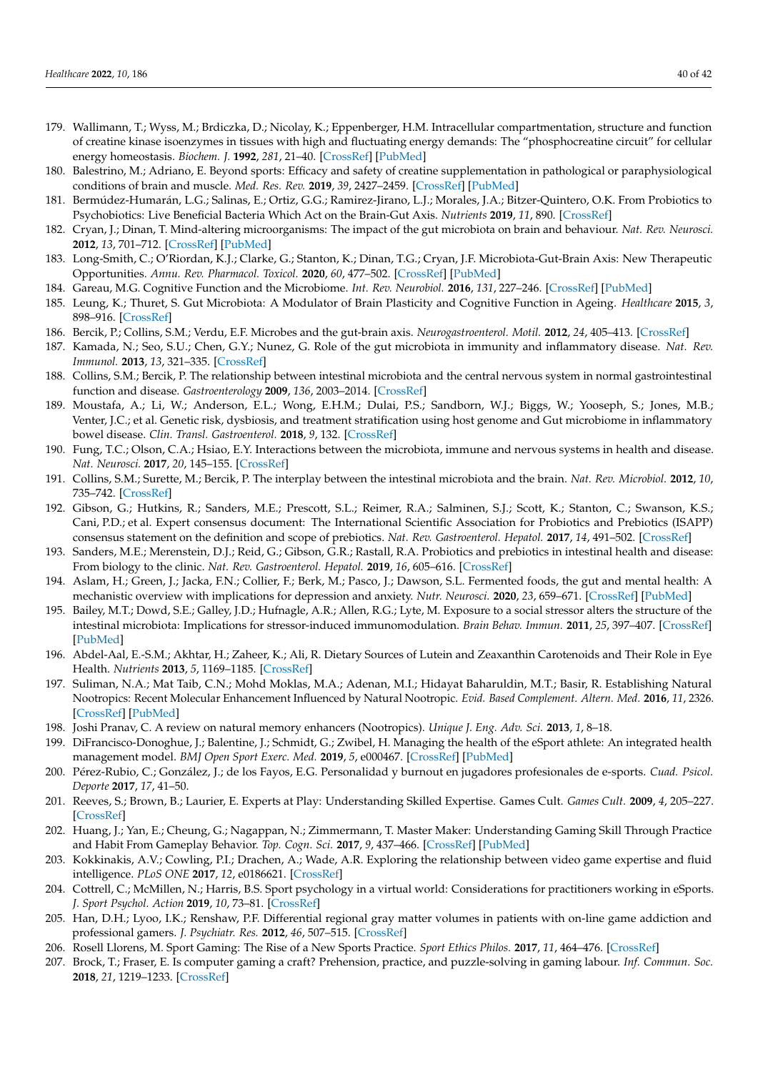- <span id="page-39-0"></span>179. Wallimann, T.; Wyss, M.; Brdiczka, D.; Nicolay, K.; Eppenberger, H.M. Intracellular compartmentation, structure and function of creatine kinase isoenzymes in tissues with high and fluctuating energy demands: The "phosphocreatine circuit" for cellular energy homeostasis. *Biochem. J.* **1992**, *281*, 21–40. [\[CrossRef\]](http://doi.org/10.1042/bj2810021) [\[PubMed\]](http://www.ncbi.nlm.nih.gov/pubmed/1731757)
- <span id="page-39-1"></span>180. Balestrino, M.; Adriano, E. Beyond sports: Efficacy and safety of creatine supplementation in pathological or paraphysiological conditions of brain and muscle. *Med. Res. Rev.* **2019**, *39*, 2427–2459. [\[CrossRef\]](http://doi.org/10.1002/med.21590) [\[PubMed\]](http://www.ncbi.nlm.nih.gov/pubmed/31012130)
- <span id="page-39-2"></span>181. Bermúdez-Humarán, L.G.; Salinas, E.; Ortiz, G.G.; Ramirez-Jirano, L.J.; Morales, J.A.; Bitzer-Quintero, O.K. From Probiotics to Psychobiotics: Live Beneficial Bacteria Which Act on the Brain-Gut Axis. *Nutrients* **2019**, *11*, 890. [\[CrossRef\]](http://doi.org/10.3390/nu11040890)
- 182. Cryan, J.; Dinan, T. Mind-altering microorganisms: The impact of the gut microbiota on brain and behaviour. *Nat. Rev. Neurosci.* **2012**, *13*, 701–712. [\[CrossRef\]](http://doi.org/10.1038/nrn3346) [\[PubMed\]](http://www.ncbi.nlm.nih.gov/pubmed/22968153)
- <span id="page-39-3"></span>183. Long-Smith, C.; O'Riordan, K.J.; Clarke, G.; Stanton, K.; Dinan, T.G.; Cryan, J.F. Microbiota-Gut-Brain Axis: New Therapeutic Opportunities. *Annu. Rev. Pharmacol. Toxicol.* **2020**, *60*, 477–502. [\[CrossRef\]](http://doi.org/10.1146/annurev-pharmtox-010919-023628) [\[PubMed\]](http://www.ncbi.nlm.nih.gov/pubmed/31506009)
- <span id="page-39-4"></span>184. Gareau, M.G. Cognitive Function and the Microbiome. *Int. Rev. Neurobiol.* **2016**, *131*, 227–246. [\[CrossRef\]](http://doi.org/10.1016/bs.irn.2016.08.001) [\[PubMed\]](http://www.ncbi.nlm.nih.gov/pubmed/27793221)
- 185. Leung, K.; Thuret, S. Gut Microbiota: A Modulator of Brain Plasticity and Cognitive Function in Ageing. *Healthcare* **2015**, *3*, 898–916. [\[CrossRef\]](http://doi.org/10.3390/healthcare3040898)
- <span id="page-39-5"></span>186. Bercik, P.; Collins, S.M.; Verdu, E.F. Microbes and the gut-brain axis. *Neurogastroenterol. Motil.* **2012**, *24*, 405–413. [\[CrossRef\]](http://doi.org/10.1111/j.1365-2982.2012.01906.x)
- <span id="page-39-6"></span>187. Kamada, N.; Seo, S.U.; Chen, G.Y.; Nunez, G. Role of the gut microbiota in immunity and inflammatory disease. *Nat. Rev. Immunol.* **2013**, *13*, 321–335. [\[CrossRef\]](http://doi.org/10.1038/nri3430)
- <span id="page-39-7"></span>188. Collins, S.M.; Bercik, P. The relationship between intestinal microbiota and the central nervous system in normal gastrointestinal function and disease. *Gastroenterology* **2009**, *136*, 2003–2014. [\[CrossRef\]](http://doi.org/10.1053/j.gastro.2009.01.075)
- <span id="page-39-8"></span>189. Moustafa, A.; Li, W.; Anderson, E.L.; Wong, E.H.M.; Dulai, P.S.; Sandborn, W.J.; Biggs, W.; Yooseph, S.; Jones, M.B.; Venter, J.C.; et al. Genetic risk, dysbiosis, and treatment stratification using host genome and Gut microbiome in inflammatory bowel disease. *Clin. Transl. Gastroenterol.* **2018**, *9*, 132. [\[CrossRef\]](http://doi.org/10.1038/ctg.2017.58)
- <span id="page-39-9"></span>190. Fung, T.C.; Olson, C.A.; Hsiao, E.Y. Interactions between the microbiota, immune and nervous systems in health and disease. *Nat. Neurosci.* **2017**, *20*, 145–155. [\[CrossRef\]](http://doi.org/10.1038/nn.4476)
- <span id="page-39-10"></span>191. Collins, S.M.; Surette, M.; Bercik, P. The interplay between the intestinal microbiota and the brain. *Nat. Rev. Microbiol.* **2012**, *10*, 735–742. [\[CrossRef\]](http://doi.org/10.1038/nrmicro2876)
- <span id="page-39-11"></span>192. Gibson, G.; Hutkins, R.; Sanders, M.E.; Prescott, S.L.; Reimer, R.A.; Salminen, S.J.; Scott, K.; Stanton, C.; Swanson, K.S.; Cani, P.D.; et al. Expert consensus document: The International Scientific Association for Probiotics and Prebiotics (ISAPP) consensus statement on the definition and scope of prebiotics. *Nat. Rev. Gastroenterol. Hepatol.* **2017**, *14*, 491–502. [\[CrossRef\]](http://doi.org/10.1038/nrgastro.2017.75)
- <span id="page-39-12"></span>193. Sanders, M.E.; Merenstein, D.J.; Reid, G.; Gibson, G.R.; Rastall, R.A. Probiotics and prebiotics in intestinal health and disease: From biology to the clinic. *Nat. Rev. Gastroenterol. Hepatol.* **2019**, *16*, 605–616. [\[CrossRef\]](http://doi.org/10.1038/s41575-019-0173-3)
- <span id="page-39-13"></span>194. Aslam, H.; Green, J.; Jacka, F.N.; Collier, F.; Berk, M.; Pasco, J.; Dawson, S.L. Fermented foods, the gut and mental health: A mechanistic overview with implications for depression and anxiety. *Nutr. Neurosci.* **2020**, *23*, 659–671. [\[CrossRef\]](http://doi.org/10.1080/1028415X.2018.1544332) [\[PubMed\]](http://www.ncbi.nlm.nih.gov/pubmed/30415609)
- <span id="page-39-14"></span>195. Bailey, M.T.; Dowd, S.E.; Galley, J.D.; Hufnagle, A.R.; Allen, R.G.; Lyte, M. Exposure to a social stressor alters the structure of the intestinal microbiota: Implications for stressor-induced immunomodulation. *Brain Behav. Immun.* **2011**, *25*, 397–407. [\[CrossRef\]](http://doi.org/10.1016/j.bbi.2010.10.023) [\[PubMed\]](http://www.ncbi.nlm.nih.gov/pubmed/21040780)
- <span id="page-39-15"></span>196. Abdel-Aal, E.-S.M.; Akhtar, H.; Zaheer, K.; Ali, R. Dietary Sources of Lutein and Zeaxanthin Carotenoids and Their Role in Eye Health. *Nutrients* **2013**, *5*, 1169–1185. [\[CrossRef\]](http://doi.org/10.3390/nu5041169)
- <span id="page-39-16"></span>197. Suliman, N.A.; Mat Taib, C.N.; Mohd Moklas, M.A.; Adenan, M.I.; Hidayat Baharuldin, M.T.; Basir, R. Establishing Natural Nootropics: Recent Molecular Enhancement Influenced by Natural Nootropic. *Evid. Based Complement. Altern. Med.* **2016**, *11*, 2326. [\[CrossRef\]](http://doi.org/10.1155/2016/4391375) [\[PubMed\]](http://www.ncbi.nlm.nih.gov/pubmed/27656235)
- <span id="page-39-17"></span>198. Joshi Pranav, C. A review on natural memory enhancers (Nootropics). *Unique J. Eng. Adv. Sci.* **2013**, *1*, 8–18.
- <span id="page-39-18"></span>199. DiFrancisco-Donoghue, J.; Balentine, J.; Schmidt, G.; Zwibel, H. Managing the health of the eSport athlete: An integrated health management model. *BMJ Open Sport Exerc. Med.* **2019**, *5*, e000467. [\[CrossRef\]](http://doi.org/10.1136/bmjsem-2018-000467) [\[PubMed\]](http://www.ncbi.nlm.nih.gov/pubmed/30792883)
- <span id="page-39-19"></span>200. Pérez-Rubio, C.; González, J.; de los Fayos, E.G. Personalidad y burnout en jugadores profesionales de e-sports. *Cuad. Psicol. Deporte* **2017**, *17*, 41–50.
- <span id="page-39-20"></span>201. Reeves, S.; Brown, B.; Laurier, E. Experts at Play: Understanding Skilled Expertise. Games Cult. *Games Cult.* **2009**, *4*, 205–227. [\[CrossRef\]](http://doi.org/10.1177/1555412009339730)
- <span id="page-39-21"></span>202. Huang, J.; Yan, E.; Cheung, G.; Nagappan, N.; Zimmermann, T. Master Maker: Understanding Gaming Skill Through Practice and Habit From Gameplay Behavior. *Top. Cogn. Sci.* **2017**, *9*, 437–466. [\[CrossRef\]](http://doi.org/10.1111/tops.12251) [\[PubMed\]](http://www.ncbi.nlm.nih.gov/pubmed/28198102)
- <span id="page-39-22"></span>203. Kokkinakis, A.V.; Cowling, P.I.; Drachen, A.; Wade, A.R. Exploring the relationship between video game expertise and fluid intelligence. *PLoS ONE* **2017**, *12*, e0186621. [\[CrossRef\]](http://doi.org/10.1371/journal.pone.0186621)
- <span id="page-39-23"></span>204. Cottrell, C.; McMillen, N.; Harris, B.S. Sport psychology in a virtual world: Considerations for practitioners working in eSports. *J. Sport Psychol. Action* **2019**, *10*, 73–81. [\[CrossRef\]](http://doi.org/10.1080/21520704.2018.1518280)
- <span id="page-39-24"></span>205. Han, D.H.; Lyoo, I.K.; Renshaw, P.F. Differential regional gray matter volumes in patients with on-line game addiction and professional gamers. *J. Psychiatr. Res.* **2012**, *46*, 507–515. [\[CrossRef\]](http://doi.org/10.1016/j.jpsychires.2012.01.004)
- <span id="page-39-25"></span>206. Rosell Llorens, M. Sport Gaming: The Rise of a New Sports Practice. *Sport Ethics Philos.* **2017**, *11*, 464–476. [\[CrossRef\]](http://doi.org/10.1080/17511321.2017.1318947)
- <span id="page-39-26"></span>207. Brock, T.; Fraser, E. Is computer gaming a craft? Prehension, practice, and puzzle-solving in gaming labour. *Inf. Commun. Soc.* **2018**, *21*, 1219–1233. [\[CrossRef\]](http://doi.org/10.1080/1369118X.2018.1468920)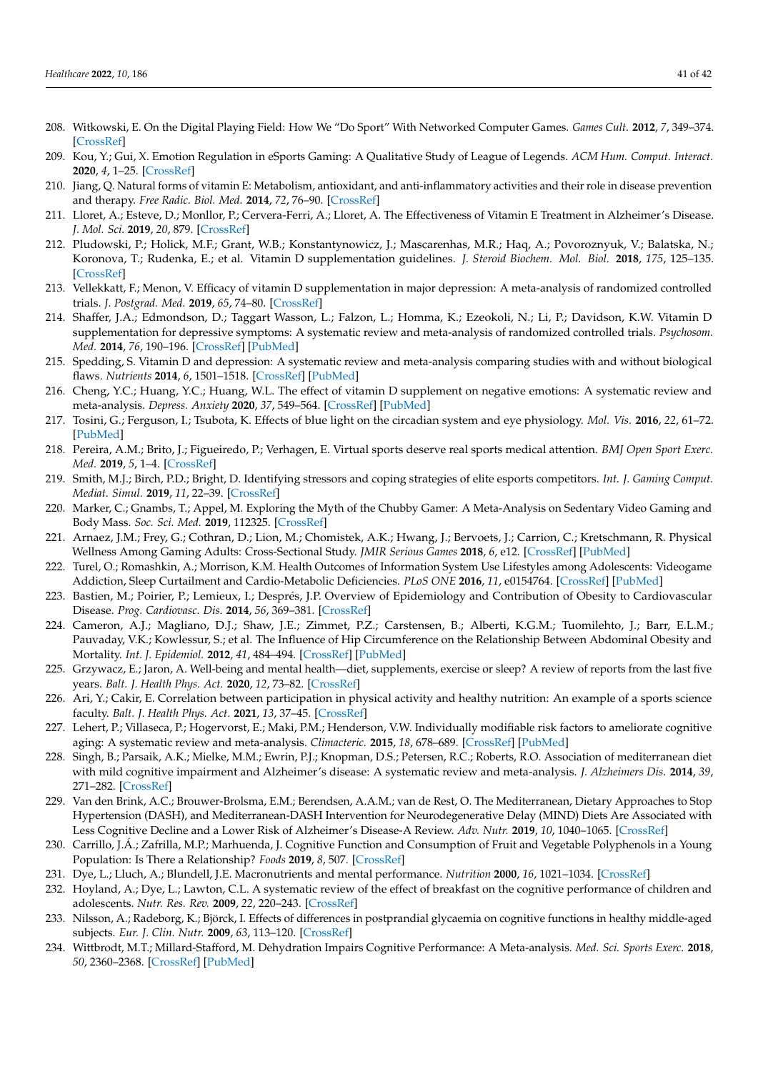- <span id="page-40-0"></span>208. Witkowski, E. On the Digital Playing Field: How We "Do Sport" With Networked Computer Games. *Games Cult.* **2012**, *7*, 349–374. [\[CrossRef\]](http://doi.org/10.1177/1555412012454222)
- <span id="page-40-1"></span>209. Kou, Y.; Gui, X. Emotion Regulation in eSports Gaming: A Qualitative Study of League of Legends. *ACM Hum. Comput. Interact.* **2020**, *4*, 1–25. [\[CrossRef\]](http://doi.org/10.1145/3415229)
- <span id="page-40-2"></span>210. Jiang, Q. Natural forms of vitamin E: Metabolism, antioxidant, and anti-inflammatory activities and their role in disease prevention and therapy. *Free Radic. Biol. Med.* **2014**, *72*, 76–90. [\[CrossRef\]](http://doi.org/10.1016/j.freeradbiomed.2014.03.035)
- <span id="page-40-3"></span>211. Lloret, A.; Esteve, D.; Monllor, P.; Cervera-Ferri, A.; Lloret, A. The Effectiveness of Vitamin E Treatment in Alzheimer's Disease. *J. Mol. Sci.* **2019**, *20*, 879. [\[CrossRef\]](http://doi.org/10.3390/ijms20040879)
- 212. Pludowski, P.; Holick, M.F.; Grant, W.B.; Konstantynowicz, J.; Mascarenhas, M.R.; Haq, A.; Povoroznyuk, V.; Balatska, N.; Koronova, T.; Rudenka, E.; et al. Vitamin D supplementation guidelines. *J. Steroid Biochem. Mol. Biol.* **2018**, *175*, 125–135. [\[CrossRef\]](http://doi.org/10.1016/j.jsbmb.2017.01.021)
- 213. Vellekkatt, F.; Menon, V. Efficacy of vitamin D supplementation in major depression: A meta-analysis of randomized controlled trials. *J. Postgrad. Med.* **2019**, *65*, 74–80. [\[CrossRef\]](http://doi.org/10.4103/jpgm.JPGM_571_17)
- <span id="page-40-4"></span>214. Shaffer, J.A.; Edmondson, D.; Taggart Wasson, L.; Falzon, L.; Homma, K.; Ezeokoli, N.; Li, P.; Davidson, K.W. Vitamin D supplementation for depressive symptoms: A systematic review and meta-analysis of randomized controlled trials. *Psychosom. Med.* **2014**, *76*, 190–196. [\[CrossRef\]](http://doi.org/10.1097/PSY.0000000000000044) [\[PubMed\]](http://www.ncbi.nlm.nih.gov/pubmed/24632894)
- <span id="page-40-5"></span>215. Spedding, S. Vitamin D and depression: A systematic review and meta-analysis comparing studies with and without biological flaws. *Nutrients* **2014**, *6*, 1501–1518. [\[CrossRef\]](http://doi.org/10.3390/nu6041501) [\[PubMed\]](http://www.ncbi.nlm.nih.gov/pubmed/24732019)
- <span id="page-40-6"></span>216. Cheng, Y.C.; Huang, Y.C.; Huang, W.L. The effect of vitamin D supplement on negative emotions: A systematic review and meta-analysis. *Depress. Anxiety* **2020**, *37*, 549–564. [\[CrossRef\]](http://doi.org/10.1002/da.23025) [\[PubMed\]](http://www.ncbi.nlm.nih.gov/pubmed/32365423)
- <span id="page-40-7"></span>217. Tosini, G.; Ferguson, I.; Tsubota, K. Effects of blue light on the circadian system and eye physiology. *Mol. Vis.* **2016**, *22*, 61–72. [\[PubMed\]](http://www.ncbi.nlm.nih.gov/pubmed/26900325)
- <span id="page-40-8"></span>218. Pereira, A.M.; Brito, J.; Figueiredo, P.; Verhagen, E. Virtual sports deserve real sports medical attention. *BMJ Open Sport Exerc. Med.* **2019**, *5*, 1–4. [\[CrossRef\]](http://doi.org/10.1136/bmjsem-2019-000606)
- <span id="page-40-9"></span>219. Smith, M.J.; Birch, P.D.; Bright, D. Identifying stressors and coping strategies of elite esports competitors. *Int. J. Gaming Comput. Mediat. Simul.* **2019**, *11*, 22–39. [\[CrossRef\]](http://doi.org/10.4018/IJGCMS.2019040102)
- 220. Marker, C.; Gnambs, T.; Appel, M. Exploring the Myth of the Chubby Gamer: A Meta-Analysis on Sedentary Video Gaming and Body Mass. *Soc. Sci. Med.* **2019**, 112325. [\[CrossRef\]](http://doi.org/10.1016/j.socscimed.2019.05.030)
- <span id="page-40-10"></span>221. Arnaez, J.M.; Frey, G.; Cothran, D.; Lion, M.; Chomistek, A.K.; Hwang, J.; Bervoets, J.; Carrion, C.; Kretschmann, R. Physical Wellness Among Gaming Adults: Cross-Sectional Study. *JMIR Serious Games* **2018**, *6*, e12. [\[CrossRef\]](http://doi.org/10.2196/games.9571) [\[PubMed\]](http://www.ncbi.nlm.nih.gov/pubmed/29895516)
- 222. Turel, O.; Romashkin, A.; Morrison, K.M. Health Outcomes of Information System Use Lifestyles among Adolescents: Videogame Addiction, Sleep Curtailment and Cardio-Metabolic Deficiencies. *PLoS ONE* **2016**, *11*, e0154764. [\[CrossRef\]](http://doi.org/10.1371/journal.pone.0154764) [\[PubMed\]](http://www.ncbi.nlm.nih.gov/pubmed/27149512)
- <span id="page-40-11"></span>223. Bastien, M.; Poirier, P.; Lemieux, I.; Després, J.P. Overview of Epidemiology and Contribution of Obesity to Cardiovascular Disease. *Prog. Cardiovasc. Dis.* **2014**, *56*, 369–381. [\[CrossRef\]](http://doi.org/10.1016/j.pcad.2013.10.016)
- <span id="page-40-12"></span>224. Cameron, A.J.; Magliano, D.J.; Shaw, J.E.; Zimmet, P.Z.; Carstensen, B.; Alberti, K.G.M.; Tuomilehto, J.; Barr, E.L.M.; Pauvaday, V.K.; Kowlessur, S.; et al. The Influence of Hip Circumference on the Relationship Between Abdominal Obesity and Mortality. *Int. J. Epidemiol.* **2012**, *41*, 484–494. [\[CrossRef\]](http://doi.org/10.1093/ije/dyr198) [\[PubMed\]](http://www.ncbi.nlm.nih.gov/pubmed/22266094)
- <span id="page-40-13"></span>225. Grzywacz, E.; Jaron, A. Well-being and mental health—diet, supplements, exercise or sleep? A review of reports from the last five years. *Balt. J. Health Phys. Act.* **2020**, *12*, 73–82. [\[CrossRef\]](http://doi.org/10.29359/BJHPA.12.2.08)
- <span id="page-40-14"></span>226. Ari, Y.; Cakir, E. Correlation between participation in physical activity and healthy nutrition: An example of a sports science faculty. *Balt. J. Health Phys. Act.* **2021**, *13*, 37–45. [\[CrossRef\]](http://doi.org/10.29359/BJHPA.13.3.05)
- 227. Lehert, P.; Villaseca, P.; Hogervorst, E.; Maki, P.M.; Henderson, V.W. Individually modifiable risk factors to ameliorate cognitive aging: A systematic review and meta-analysis. *Climacteric.* **2015**, *18*, 678–689. [\[CrossRef\]](http://doi.org/10.3109/13697137.2015.1078106) [\[PubMed\]](http://www.ncbi.nlm.nih.gov/pubmed/26361790)
- <span id="page-40-15"></span>228. Singh, B.; Parsaik, A.K.; Mielke, M.M.; Ewrin, P.J.; Knopman, D.S.; Petersen, R.C.; Roberts, R.O. Association of mediterranean diet with mild cognitive impairment and Alzheimer's disease: A systematic review and meta-analysis. *J. Alzheimers Dis.* **2014**, *39*, 271–282. [\[CrossRef\]](http://doi.org/10.3233/JAD-130830)
- <span id="page-40-16"></span>229. Van den Brink, A.C.; Brouwer-Brolsma, E.M.; Berendsen, A.A.M.; van de Rest, O. The Mediterranean, Dietary Approaches to Stop Hypertension (DASH), and Mediterranean-DASH Intervention for Neurodegenerative Delay (MIND) Diets Are Associated with Less Cognitive Decline and a Lower Risk of Alzheimer's Disease-A Review. *Adv. Nutr.* **2019**, *10*, 1040–1065. [\[CrossRef\]](http://doi.org/10.1093/advances/nmz054)
- <span id="page-40-17"></span>230. Carrillo, J.Á.; Zafrilla, M.P.; Marhuenda, J. Cognitive Function and Consumption of Fruit and Vegetable Polyphenols in a Young Population: Is There a Relationship? *Foods* **2019**, *8*, 507. [\[CrossRef\]](http://doi.org/10.3390/foods8100507)
- 231. Dye, L.; Lluch, A.; Blundell, J.E. Macronutrients and mental performance. *Nutrition* **2000**, *16*, 1021–1034. [\[CrossRef\]](http://doi.org/10.1016/S0899-9007(00)00450-0)
- <span id="page-40-18"></span>232. Hoyland, A.; Dye, L.; Lawton, C.L. A systematic review of the effect of breakfast on the cognitive performance of children and adolescents. *Nutr. Res. Rev.* **2009**, *22*, 220–243. [\[CrossRef\]](http://doi.org/10.1017/S0954422409990175)
- <span id="page-40-19"></span>233. Nilsson, A.; Radeborg, K.; Björck, I. Effects of differences in postprandial glycaemia on cognitive functions in healthy middle-aged subjects. *Eur. J. Clin. Nutr.* **2009**, *63*, 113–120. [\[CrossRef\]](http://doi.org/10.1038/sj.ejcn.1602900)
- <span id="page-40-20"></span>234. Wittbrodt, M.T.; Millard-Stafford, M. Dehydration Impairs Cognitive Performance: A Meta-analysis. *Med. Sci. Sports Exerc.* **2018**, *50*, 2360–2368. [\[CrossRef\]](http://doi.org/10.1249/MSS.0000000000001682) [\[PubMed\]](http://www.ncbi.nlm.nih.gov/pubmed/29933347)